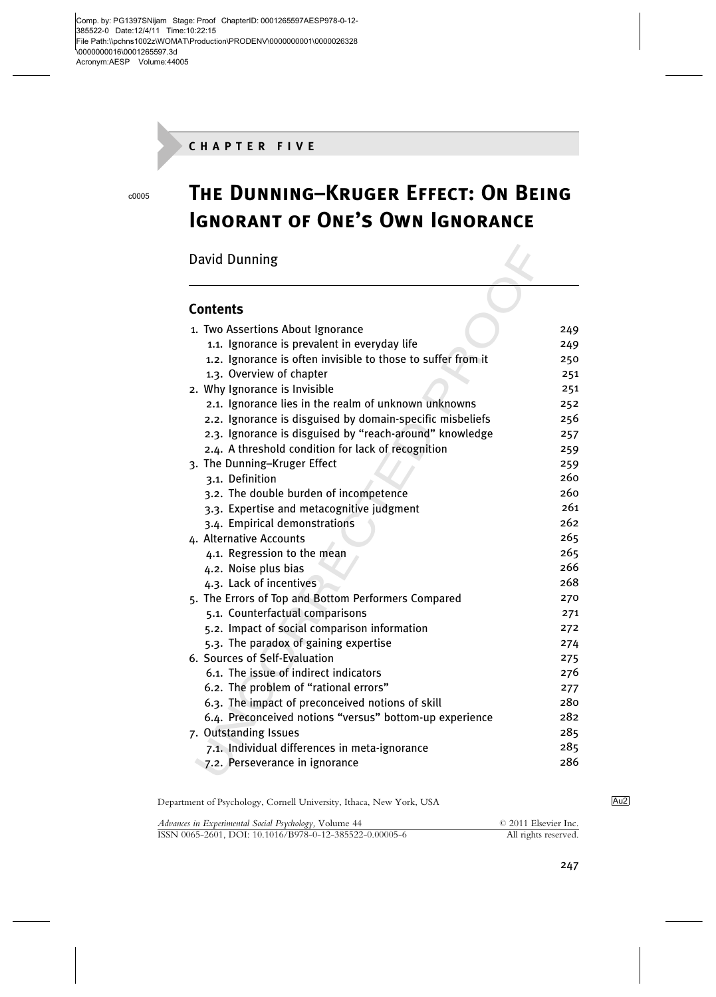|<br>|Comp. by: PG1397SNijam Stage: Proof ChapterID: 0001265597AESP978-0-12-<br>|385522-0 Date:12/4/11 Time:10:22:15 385522-0 Date:12/4/11 Time:10:22:15<br>File Path:\\pchns1002z\WOMAT\Production\PRODENV\0000000001\0000026328<br>\0000000016\0001265597.3d<br>Acronym:AESP Volume:44005

# CHAPTER FIVE

# c0005 The Dunning–Kruger Effect: On Being Ignorant of One's Own Ignorance

# **Contents**

| <b>David Dunning</b>                                         |     |
|--------------------------------------------------------------|-----|
| <b>Contents</b>                                              |     |
| 1. Two Assertions About Ignorance                            | 249 |
| 1.1. Ignorance is prevalent in everyday life                 | 249 |
| 1.2. Ignorance is often invisible to those to suffer from it | 250 |
| 1.3. Overview of chapter                                     | 251 |
| 2. Why Ignorance is Invisible                                | 251 |
| 2.1. Ignorance lies in the realm of unknown unknowns         | 252 |
| 2.2. Ignorance is disguised by domain-specific misbeliefs    | 256 |
| 2.3. Ignorance is disguised by "reach-around" knowledge      | 257 |
| 2.4. A threshold condition for lack of recognition           | 259 |
| 3. The Dunning-Kruger Effect                                 | 259 |
| 3.1. Definition                                              | 260 |
| 3.2. The double burden of incompetence                       | 260 |
| 3.3. Expertise and metacognitive judgment                    | 261 |
| 3.4. Empirical demonstrations                                | 262 |
| 4. Alternative Accounts                                      | 265 |
| 4.1. Regression to the mean                                  | 265 |
| 4.2. Noise plus bias                                         | 266 |
| 4.3. Lack of incentives                                      | 268 |
| 5. The Errors of Top and Bottom Performers Compared          | 270 |
| 5.1. Counterfactual comparisons                              | 271 |
| 5.2. Impact of social comparison information                 | 272 |
| 5.3. The paradox of gaining expertise                        | 274 |
| 6. Sources of Self-Evaluation                                | 275 |
| 6.1. The issue of indirect indicators                        | 276 |
| 6.2. The problem of "rational errors"                        | 277 |
| 6.3. The impact of preconceived notions of skill             | 280 |
| 6.4. Preconceived notions "versus" bottom-up experience      | 282 |
| 7. Outstanding Issues                                        | 285 |
| 7.1. Individual differences in meta-ignorance                | 285 |
| 7.2. Perseverance in ignorance                               | 286 |

Department of Psychology, Cornell University, Ithaca, New York, USA Au2

| Advances in Experimental Social Psychology, Volume 44   | © 2011 Elsevier Inc. |
|---------------------------------------------------------|----------------------|
| ISSN 0065-2601, DOI: 10.1016/B978-0-12-385522-0.00005-6 | All rights reserved. |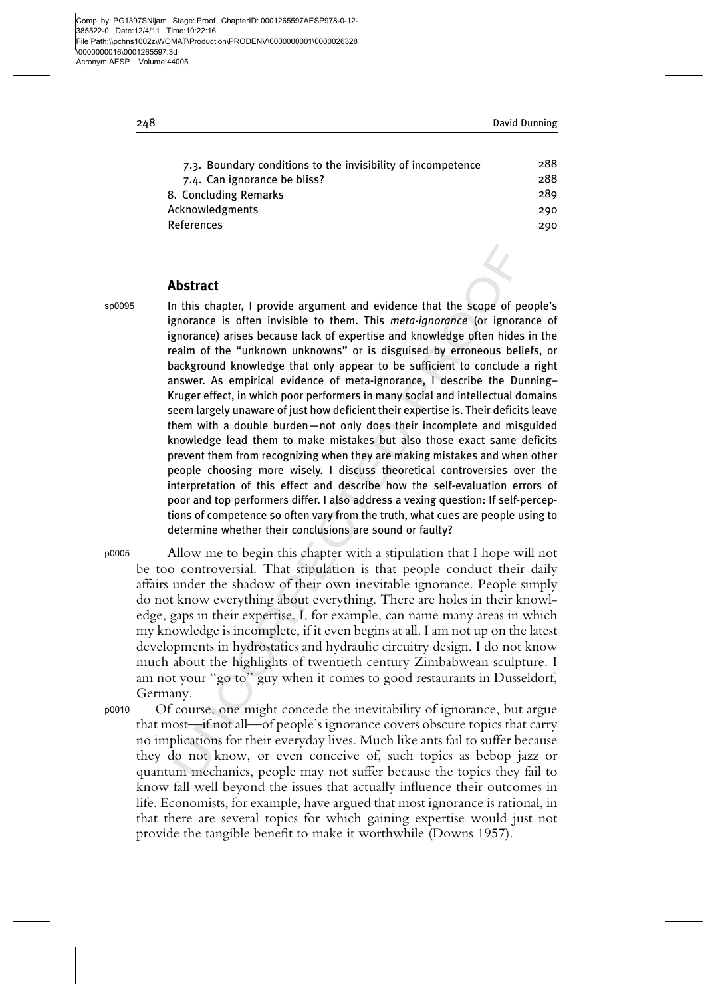| 248 | David Dunning |
|-----|---------------|
|-----|---------------|

| 7.3. Boundary conditions to the invisibility of incompetence | 288 |
|--------------------------------------------------------------|-----|
| 7.4. Can ignorance be bliss?                                 | 288 |
| 8. Concluding Remarks                                        | 289 |
| Acknowledgments                                              | 290 |
| References                                                   | 290 |
|                                                              |     |

# **Abstract**

nce that the scope of porta-ignorance (or ignorance disposition in the scope of portal disposition of the sufficient to conclude ance, I describe the Du v social and intellectual differences is. Their deficit sp0095 In this chapter, I provide argument and evidence that the scope of people's ignorance is often invisible to them. This meta-ignorance (or ignorance of ignorance) arises because lack of expertise and knowledge often hides in the realm of the "unknown unknowns" or is disguised by erroneous beliefs, or background knowledge that only appear to be sufficient to conclude a right answer. As empirical evidence of meta-ignorance, I describe the Dunning– Kruger effect, in which poor performers in many social and intellectual domains seem largely unaware of just how deficient their expertise is. Their deficits leave them with a double burden—not only does their incomplete and misguided knowledge lead them to make mistakes but also those exact same deficits prevent them from recognizing when they are making mistakes and when other people choosing more wisely. I discuss theoretical controversies over the interpretation of this effect and describe how the self-evaluation errors of poor and top performers differ. I also address a vexing question: If self-perceptions of competence so often vary from the truth, what cues are people using to determine whether their conclusions are sound or faulty?

hem with a double burden—not only does thei<br>nowledge lead them to make mistakes but als<br>revent them from recognizing when they are make<br>eople choosing more wisely. I discuss theore<br>therpretation of this effect and describe p0005 Allow me to begin this chapter with a stipulation that I hope will not be too controversial. That stipulation is that people conduct their daily affairs under the shadow of their own inevitable ignorance. People simply do not know everything about everything. There are holes in their knowledge, gaps in their expertise. I, for example, can name many areas in which my knowledge is incomplete, if it even begins at all. I am not up on the latest developments in hydrostatics and hydraulic circuitry design. I do not know much about the highlights of twentieth century Zimbabwean sculpture. I am not your "go to" guy when it comes to good restaurants in Dusseldorf, Germany.

p0010 Of course, one might concede the inevitability of ignorance, but argue that most—if not all—of people's ignorance covers obscure topics that carry no implications for their everyday lives. Much like ants fail to suffer because they do not know, or even conceive of, such topics as bebop jazz or quantum mechanics, people may not suffer because the topics they fail to know fall well beyond the issues that actually influence their outcomes in life. Economists, for example, have argued that most ignorance is rational, in that there are several topics for which gaining expertise would just not provide the tangible benefit to make it worthwhile (Downs 1957).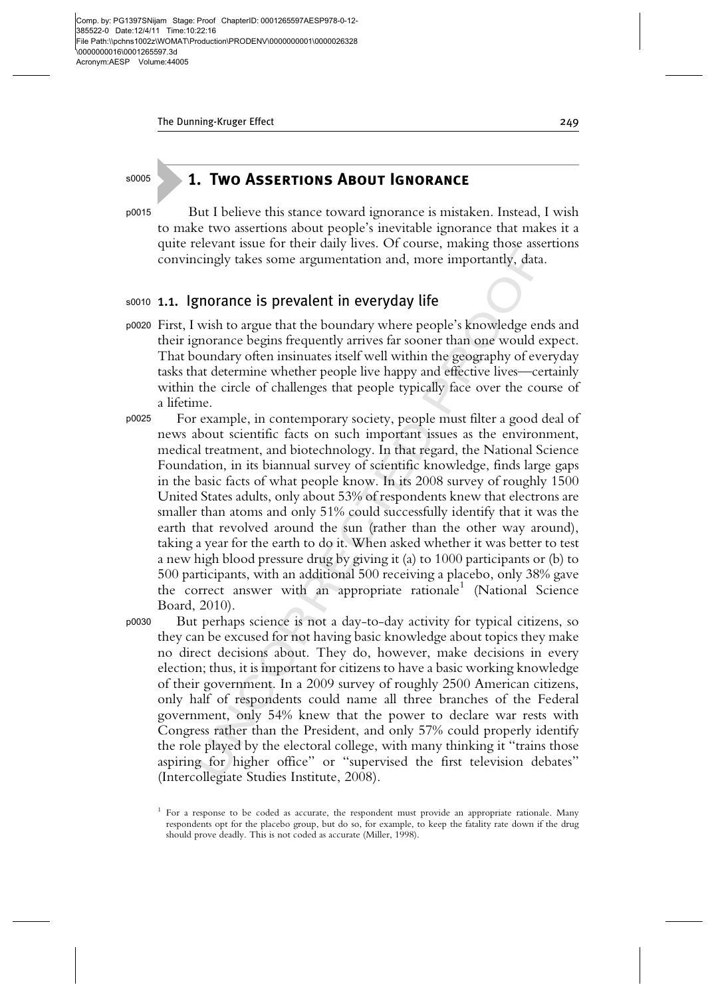The Dunning-Kruger Effect 249

# s0005 1. Two Assertions About Ignorance

p0015 But I believe this stance toward ignorance is mistaken. Instead, I wish to make two assertions about people's inevitable ignorance that makes it a quite relevant issue for their daily lives. Of course, making those assertions convincingly takes some argumentation and, more importantly, data.

# s0010 1.1. Ignorance is prevalent in everyday life

- rise, making diose assessed<br>ore importantly, data<br>**ife**<br>eople's knowledge en<br>oner than one would e<br>in the geography of even<br>and effective lives—ce<br>cally face over the cot p0020 First, I wish to argue that the boundary where people's knowledge ends and their ignorance begins frequently arrives far sooner than one would expect. That boundary often insinuates itself well within the geography of everyday tasks that determine whether people live happy and effective lives—certainly within the circle of challenges that people typically face over the course of a lifetime.
- example, in contemporary society, people<br>boott scientific facts on such important is<br>al treatment, and biotechnology. In that reg<br>ation, in its biannual survey of scientific kr<br>basic facts of what people know. In its 200<br> p0025 For example, in contemporary society, people must filter a good deal of news about scientific facts on such important issues as the environment, medical treatment, and biotechnology. In that regard, the National Science Foundation, in its biannual survey of scientific knowledge, finds large gaps in the basic facts of what people know. In its 2008 survey of roughly 1500 United States adults, only about 53% of respondents knew that electrons are smaller than atoms and only 51% could successfully identify that it was the earth that revolved around the sun (rather than the other way around), taking a year for the earth to do it. When asked whether it was better to test a new high blood pressure drug by giving it (a) to 1000 participants or (b) to 500 participants, with an additional 500 receiving a placebo, only 38% gave the correct answer with an appropriate rationale<sup>1</sup> (National Science Board, 2010).
- p0030 But perhaps science is not a day-to-day activity for typical citizens, so they can be excused for not having basic knowledge about topics they make no direct decisions about. They do, however, make decisions in every election; thus, it is important for citizens to have a basic working knowledge of their government. In a 2009 survey of roughly 2500 American citizens, only half of respondents could name all three branches of the Federal government, only 54% knew that the power to declare war rests with Congress rather than the President, and only 57% could properly identify the role played by the electoral college, with many thinking it "trains those aspiring for higher office" or "supervised the first television debates" (Intercollegiate Studies Institute, 2008).

<sup>1</sup> For a response to be coded as accurate, the respondent must provide an appropriate rationale. Many respondents opt for the placebo group, but do so, for example, to keep the fatality rate down if the drug should prove deadly. This is not coded as accurate (Miller, 1998).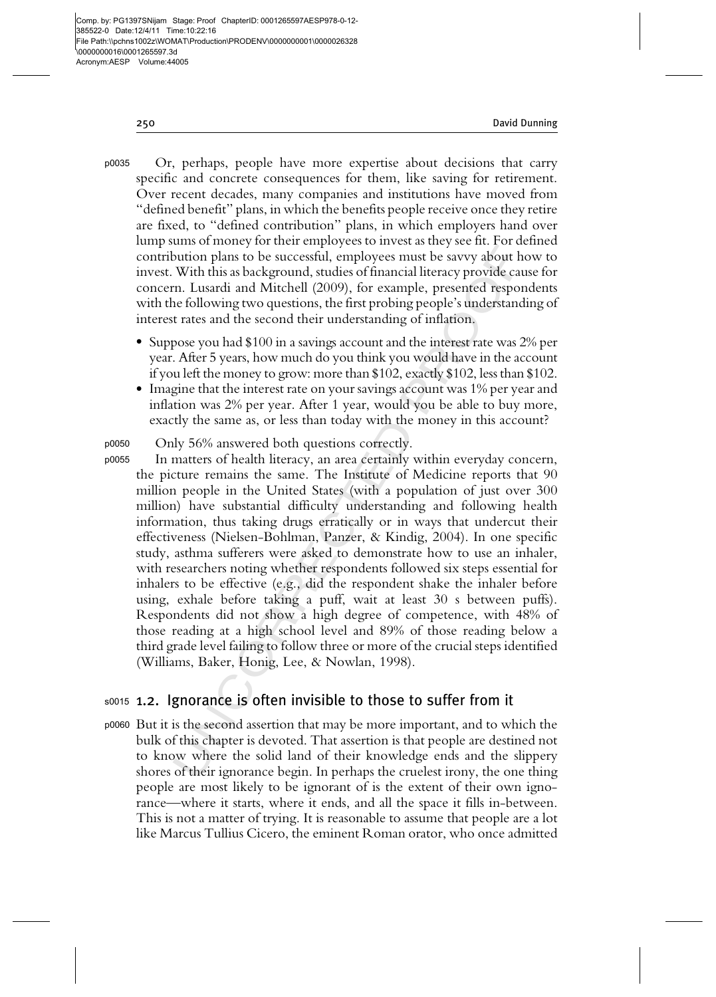- must be savvy about h<br>must be savvy about h<br>cial literacy provide can<br>mple, presented respon<br>mg people's understance<br>g of inflation.<br>d the interest rate was 2<br>ou would have in the action account was 1% per year p0035 Or, perhaps, people have more expertise about decisions that carry specific and concrete consequences for them, like saving for retirement. Over recent decades, many companies and institutions have moved from "defined benefit" plans, in which the benefits people receive once they retire are fixed, to "defined contribution" plans, in which employers hand over lump sums of money for their employees to invest as they see fit. For defined contribution plans to be successful, employees must be savvy about how to invest. With this as background, studies of financial literacy provide cause for concern. Lusardi and Mitchell (2009), for example, presented respondents with the following two questions, the first probing people's understanding of interest rates and the second their understanding of inflation.
	- Suppose you had \$100 in a savings account and the interest rate was 2% per year. After 5 years, how much do you think you would have in the account if you left the money to grow: more than \$102, exactly \$102, less than \$102.
	- Imagine that the interest rate on your savings account was 1% per year and inflation was 2% per year. After 1 year, would you be able to buy more, exactly the same as, or less than today with the money in this account?

### p0050 Only 56% answered both questions correctly.

ty the same as, or less than today with the<br>ly 56% answered both questions correctly.<br>matters of health literacy, an area certainly<br>cture remains the same. The Institute of<br>1 people in the United States (with a poq<br>1) have p0055 In matters of health literacy, an area certainly within everyday concern, the picture remains the same. The Institute of Medicine reports that 90 million people in the United States (with a population of just over 300 million) have substantial difficulty understanding and following health information, thus taking drugs erratically or in ways that undercut their effectiveness (Nielsen-Bohlman, Panzer, & Kindig, 2004). In one specific study, asthma sufferers were asked to demonstrate how to use an inhaler, with researchers noting whether respondents followed six steps essential for inhalers to be effective (e.g., did the respondent shake the inhaler before using, exhale before taking a puff, wait at least 30 s between puffs). Respondents did not show a high degree of competence, with 48% of those reading at a high school level and 89% of those reading below a third grade level failing to follow three or more of the crucial steps identified (Williams, Baker, Honig, Lee, & Nowlan, 1998).

# s0015 1.2. Ignorance is often invisible to those to suffer from it

p0060 But it is the second assertion that may be more important, and to which the bulk of this chapter is devoted. That assertion is that people are destined not to know where the solid land of their knowledge ends and the slippery shores of their ignorance begin. In perhaps the cruelest irony, the one thing people are most likely to be ignorant of is the extent of their own ignorance—where it starts, where it ends, and all the space it fills in-between. This is not a matter of trying. It is reasonable to assume that people are a lot like Marcus Tullius Cicero, the eminent Roman orator, who once admitted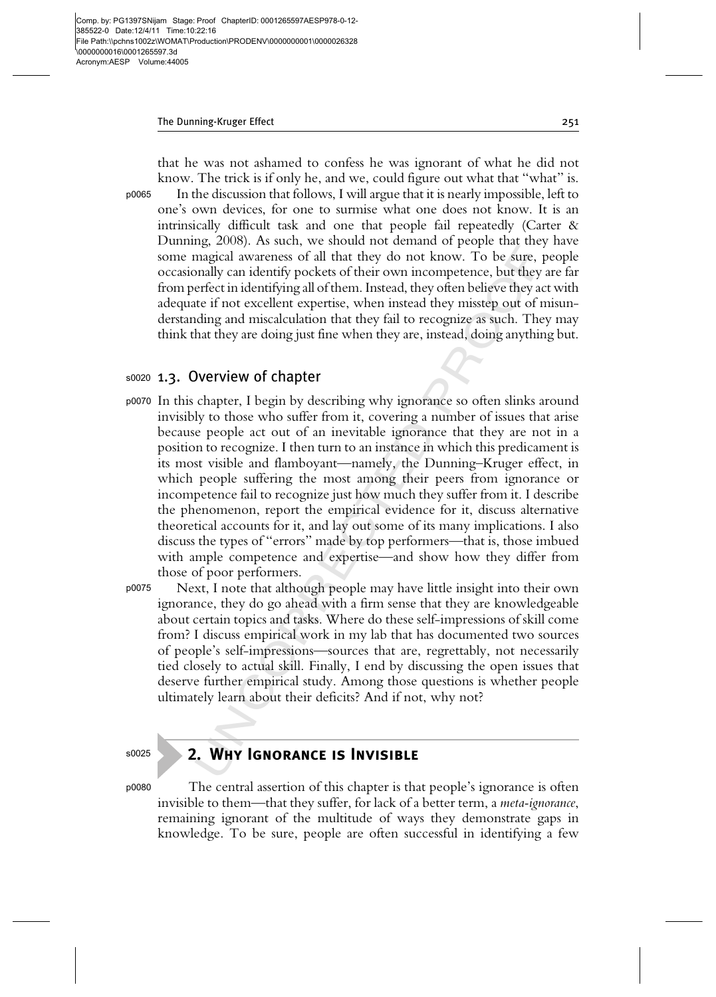The Dunning-Kruger Effect 251

throw. To be sure, properties the sure of the same of the set of the set of the set of the set of the set of the set of the set of the set of the set of the set of the set of the set of the set of the set of the set of the that he was not ashamed to confess he was ignorant of what he did not know. The trick is if only he, and we, could figure out what that "what" is. p0065 In the discussion that follows, I will argue that it is nearly impossible, left to one's own devices, for one to surmise what one does not know. It is an intrinsically difficult task and one that people fail repeatedly (Carter & Dunning, 2008). As such, we should not demand of people that they have some magical awareness of all that they do not know. To be sure, people occasionally can identify pockets of their own incompetence, but they are far from perfect in identifying all of them. Instead, they often believe they act with adequate if not excellent expertise, when instead they misstep out of misunderstanding and miscalculation that they fail to recognize as such. They may think that they are doing just fine when they are, instead, doing anything but.

# s0020 1.3. Overview of chapter

- by conserve such a minitary correct people act out of an inevitable ignoran<br>the epoople act out of an inevitable ignoran<br>no recognize. I then turn to an instance in<br>twisible and flamboyant—namely, the D<br>people suffering th p0070 In this chapter, I begin by describing why ignorance so often slinks around invisibly to those who suffer from it, covering a number of issues that arise because people act out of an inevitable ignorance that they are not in a position to recognize. I then turn to an instance in which this predicament is its most visible and flamboyant—namely, the Dunning–Kruger effect, in which people suffering the most among their peers from ignorance or incompetence fail to recognize just how much they suffer from it. I describe the phenomenon, report the empirical evidence for it, discuss alternative theoretical accounts for it, and lay out some of its many implications. I also discuss the types of "errors" made by top performers—that is, those imbued with ample competence and expertise—and show how they differ from those of poor performers.
- p0075 Next, I note that although people may have little insight into their own ignorance, they do go ahead with a firm sense that they are knowledgeable about certain topics and tasks. Where do these self-impressions of skill come from? I discuss empirical work in my lab that has documented two sources of people's self-impressions—sources that are, regrettably, not necessarily tied closely to actual skill. Finally, I end by discussing the open issues that deserve further empirical study. Among those questions is whether people ultimately learn about their deficits? And if not, why not?

# s0025 2. WHY IGNORANCE IS INVISIBLE

p0080 The central assertion of this chapter is that people's ignorance is often invisible to them—that they suffer, for lack of a better term, a *meta-ignorance*, remaining ignorant of the multitude of ways they demonstrate gaps in knowledge. To be sure, people are often successful in identifying a few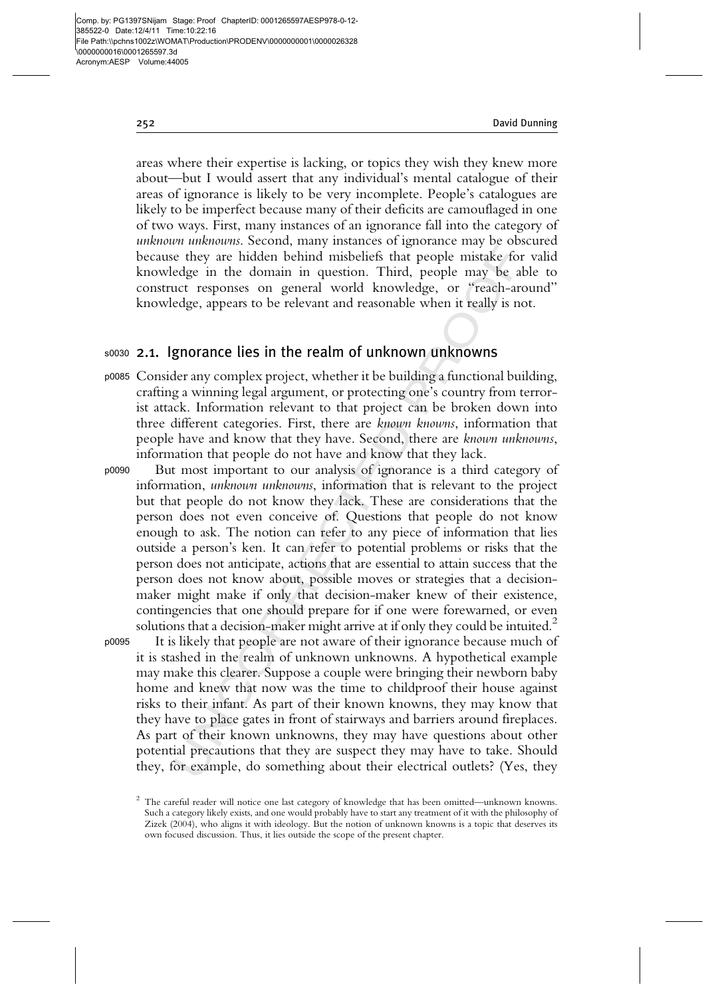at people mistake for<br>at people may be a<br>vledge, or "reach-are<br>ble when it really is no<br>**own unknowns**<br>ilding a functional bu:<br>g one's country from t<br>t can be broken dow. areas where their expertise is lacking, or topics they wish they knew more about—but I would assert that any individual's mental catalogue of their areas of ignorance is likely to be very incomplete. People's catalogues are likely to be imperfect because many of their deficits are camouflaged in one of two ways. First, many instances of an ignorance fall into the category of unknown unknowns. Second, many instances of ignorance may be obscured because they are hidden behind misbeliefs that people mistake for valid knowledge in the domain in question. Third, people may be able to construct responses on general world knowledge, or "reach-around" knowledge, appears to be relevant and reasonable when it really is not.

### s0030 2.1. Ignorance lies in the realm of unknown unknowns

- p0085 Consider any complex project, whether it be building a functional building, crafting a winning legal argument, or protecting one's country from terrorist attack. Information relevant to that project can be broken down into three different categories. First, there are known knowns, information that people have and know that they have. Second, there are known unknowns, information that people do not have and know that they lack.
- different categories. First, there are *known* have and know that they have. Second, thation that people do not have and know the most important to our analysis of ignoral ation, *unknown unknowns*, information that at peo p0090 But most important to our analysis of ignorance is a third category of information, unknown unknowns, information that is relevant to the project but that people do not know they lack. These are considerations that the person does not even conceive of. Questions that people do not know enough to ask. The notion can refer to any piece of information that lies outside a person's ken. It can refer to potential problems or risks that the person does not anticipate, actions that are essential to attain success that the person does not know about, possible moves or strategies that a decisionmaker might make if only that decision-maker knew of their existence, contingencies that one should prepare for if one were forewarned, or even solutions that a decision-maker might arrive at if only they could be intuited.<sup>2</sup>

p0095 It is likely that people are not aware of their ignorance because much of it is stashed in the realm of unknown unknowns. A hypothetical example may make this clearer. Suppose a couple were bringing their newborn baby home and knew that now was the time to childproof their house against risks to their infant. As part of their known knowns, they may know that they have to place gates in front of stairways and barriers around fireplaces. As part of their known unknowns, they may have questions about other potential precautions that they are suspect they may have to take. Should they, for example, do something about their electrical outlets? (Yes, they

<sup>2</sup> The careful reader will notice one last category of knowledge that has been omitted—unknown knowns. Such a category likely exists, and one would probably have to start any treatment of it with the philosophy of Zizek (2004), who aligns it with ideology. But the notion of unknown knowns is a topic that deserves its own focused discussion. Thus, it lies outside the scope of the present chapter.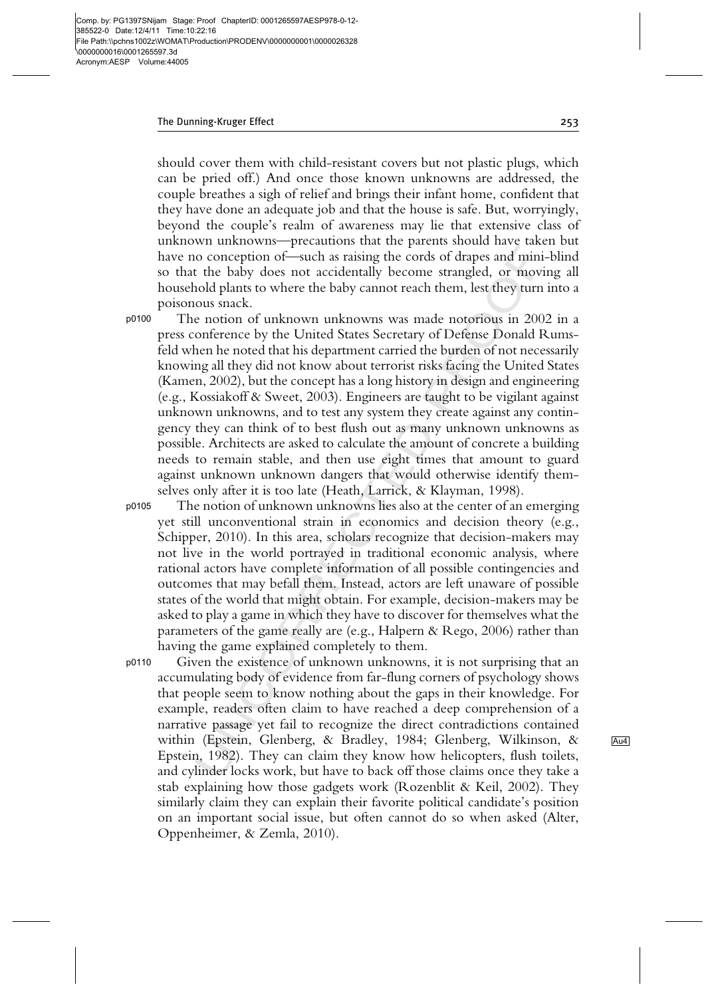#### The Dunning-Kruger Effect 253

should cover them with child-resistant covers but not plastic plugs, which can be pried off.) And once those known unknowns are addressed, the couple breathes a sigh of relief and brings their infant home, confident that they have done an adequate job and that the house is safe. But, worryingly, beyond the couple's realm of awareness may lie that extensive class of unknown unknowns—precautions that the parents should have taken but have no conception of—such as raising the cords of drapes and mini-blind so that the baby does not accidentally become strangled, or moving all household plants to where the baby cannot reach them, lest they turn into a poisonous snack.

The strangled, or movid<br>the strangled, or movids the strangled, or movid<br>the notorious in 200<br>of Defense Donald I<br>the burden of not nece<br>tisks facing the United<br>ry in design and engin<br>taught to be vigilant and experience p0100 The notion of unknown unknowns was made notorious in 2002 in a press conference by the United States Secretary of Defense Donald Rumsfeld when he noted that his department carried the burden of not necessarily knowing all they did not know about terrorist risks facing the United States (Kamen, 2002), but the concept has a long history in design and engineering (e.g., Kossiakoff & Sweet, 2003). Engineers are taught to be vigilant against unknown unknowns, and to test any system they create against any contingency they can think of to best flush out as many unknown unknowns as possible. Architects are asked to calculate the amount of concrete a building needs to remain stable, and then use eight times that amount to guard against unknown unknown dangers that would otherwise identify themselves only after it is too late (Heath, Larrick, & Klayman, 1998).

they can think of to best flush out as man<br>e. Architects are asked to calculate the amo<br>to remain stable, and then use eight tim<br>unknown unknown dangers that would<br>only after it is too late (Heath, Larrick, & R<br>e notion of p0105 The notion of unknown unknowns lies also at the center of an emerging yet still unconventional strain in economics and decision theory (e.g., Schipper, 2010). In this area, scholars recognize that decision-makers may not live in the world portrayed in traditional economic analysis, where rational actors have complete information of all possible contingencies and outcomes that may befall them. Instead, actors are left unaware of possible states of the world that might obtain. For example, decision-makers may be asked to play a game in which they have to discover for themselves what the parameters of the game really are (e.g., Halpern & Rego, 2006) rather than having the game explained completely to them.

p0110 Given the existence of unknown unknowns, it is not surprising that an accumulating body of evidence from far-flung corners of psychology shows that people seem to know nothing about the gaps in their knowledge. For example, readers often claim to have reached a deep comprehension of a narrative passage yet fail to recognize the direct contradictions contained within (Epstein, Glenberg, & Bradley, 1984; Glenberg, Wilkinson,  $\&$   $\overline{A_{\alpha4}}$ Epstein, 1982). They can claim they know how helicopters, flush toilets, and cylinder locks work, but have to back off those claims once they take a stab explaining how those gadgets work (Rozenblit & Keil, 2002). They similarly claim they can explain their favorite political candidate's position on an important social issue, but often cannot do so when asked (Alter, Oppenheimer, & Zemla, 2010).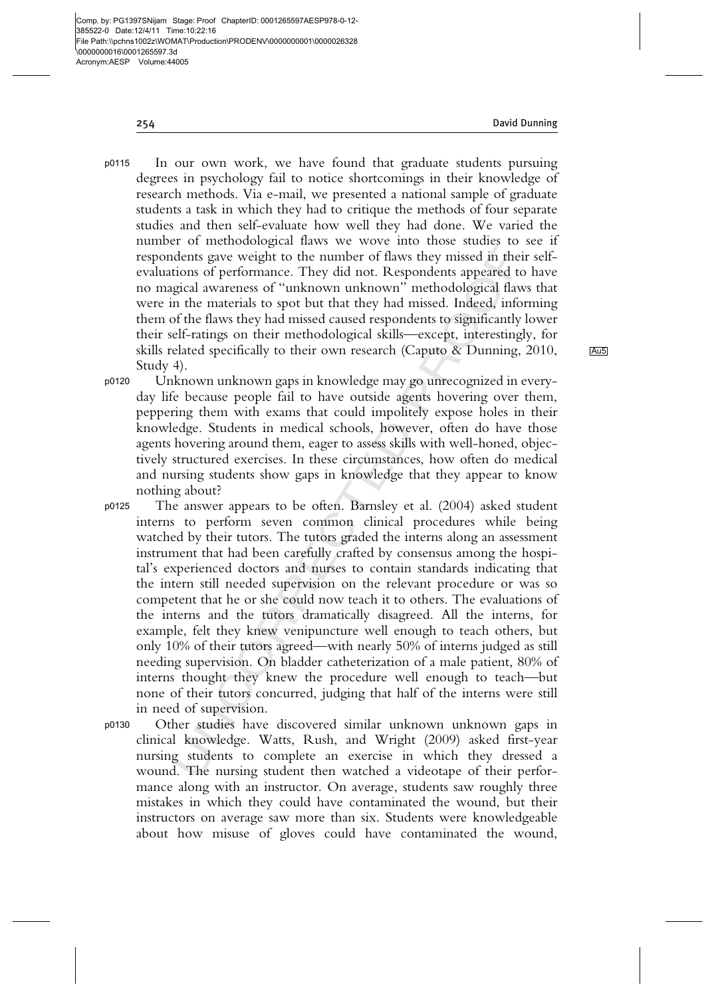254 David Dunning

- ws they missed in their<br>spondents appeared to<br>" methodological flav<br>d' missed. Indeed, info<br>ndents to significantly<br>s—except, interesting<br>(Caputo & Dunning,<br>y go unrecognized in agents hovering over p0115 In our own work, we have found that graduate students pursuing degrees in psychology fail to notice shortcomings in their knowledge of research methods. Via e-mail, we presented a national sample of graduate students a task in which they had to critique the methods of four separate studies and then self-evaluate how well they had done. We varied the number of methodological flaws we wove into those studies to see if respondents gave weight to the number of flaws they missed in their selfevaluations of performance. They did not. Respondents appeared to have no magical awareness of "unknown unknown" methodological flaws that were in the materials to spot but that they had missed. Indeed, informing them of the flaws they had missed caused respondents to significantly lower their self-ratings on their methodological skills—except, interestingly, for skills related specifically to their own research (Caputo & Dunning, 2010,  $\overline{A\omega 5}$ Study 4).
- p0120 Unknown unknown gaps in knowledge may go unrecognized in everyday life because people fail to have outside agents hovering over them, peppering them with exams that could impolitely expose holes in their knowledge. Students in medical schools, however, often do have those agents hovering around them, eager to assess skills with well-honed, objectively structured exercises. In these circumstances, how often do medical and nursing students show gaps in knowledge that they appear to know nothing about?
- edge. Students in medical schools, hower hovering around them, eager to assess skills structured exercises. In these circumstance ursing students show gaps in knowledge t g about?<br>e answer appears to be often. Barnsley et p0125 The answer appears to be often. Barnsley et al. (2004) asked student interns to perform seven common clinical procedures while being watched by their tutors. The tutors graded the interns along an assessment instrument that had been carefully crafted by consensus among the hospital's experienced doctors and nurses to contain standards indicating that the intern still needed supervision on the relevant procedure or was so competent that he or she could now teach it to others. The evaluations of the interns and the tutors dramatically disagreed. All the interns, for example, felt they knew venipuncture well enough to teach others, but only 10% of their tutors agreed—with nearly 50% of interns judged as still needing supervision. On bladder catheterization of a male patient, 80% of interns thought they knew the procedure well enough to teach—but none of their tutors concurred, judging that half of the interns were still in need of supervision.
- p0130 Other studies have discovered similar unknown unknown gaps in clinical knowledge. Watts, Rush, and Wright (2009) asked first-year nursing students to complete an exercise in which they dressed a wound. The nursing student then watched a videotape of their performance along with an instructor. On average, students saw roughly three mistakes in which they could have contaminated the wound, but their instructors on average saw more than six. Students were knowledgeable about how misuse of gloves could have contaminated the wound,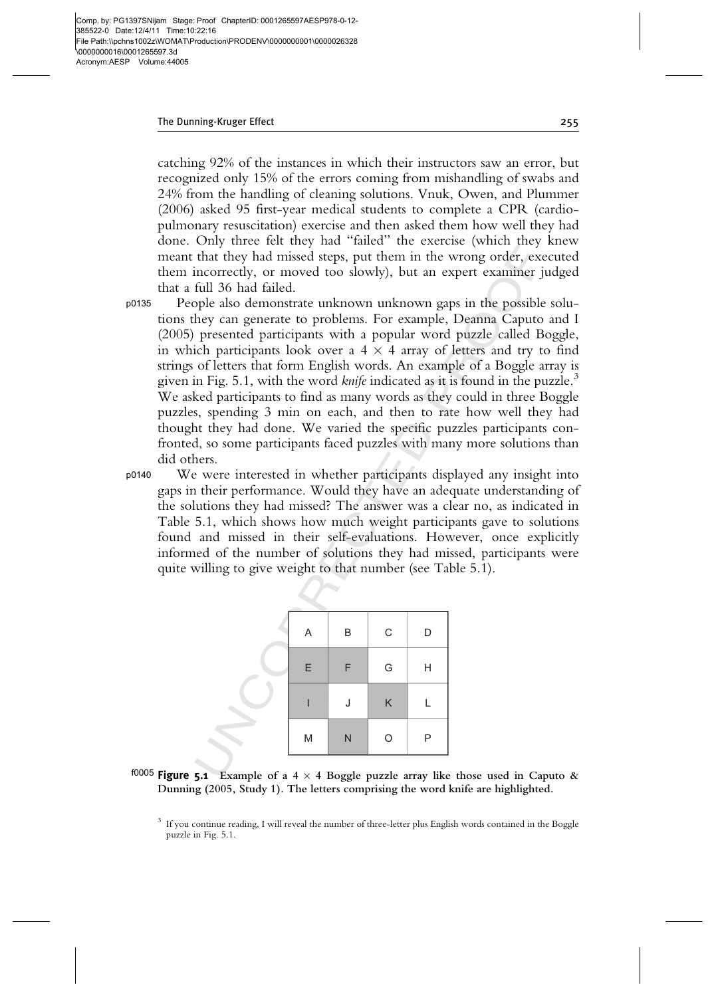#### The Dunning-Kruger Effect 255

catching 92% of the instances in which their instructors saw an error, but recognized only 15% of the errors coming from mishandling of swabs and 24% from the handling of cleaning solutions. Vnuk, Owen, and Plummer (2006) asked 95 first-year medical students to complete a CPR (cardiopulmonary resuscitation) exercise and then asked them how well they had done. Only three felt they had "failed" the exercise (which they knew meant that they had missed steps, put them in the wrong order, executed them incorrectly, or moved too slowly), but an expert examiner judged that a full 36 had failed.

- the wrong order, example in the possible<br>the properties and experience in the possible<br>mple, Deanna Caputo<br>word puzzle called B<br>y of letters and try t<br>example of a Boggle a<br>as it is found in the p<br>is they could in three I<br> p0135 People also demonstrate unknown unknown gaps in the possible solutions they can generate to problems. For example, Deanna Caputo and I (2005) presented participants with a popular word puzzle called Boggle, in which participants look over a  $4 \times 4$  array of letters and try to find strings of letters that form English words. An example of a Boggle array is given in Fig. 5.1, with the word *knife* indicated as it is found in the puzzle.<sup>3</sup> We asked participants to find as many words as they could in three Boggle puzzles, spending 3 min on each, and then to rate how well they had thought they had done. We varied the specific puzzles participants confronted, so some participants faced puzzles with many more solutions than did others.
- p0140 We were interested in whether participants displayed any insight into gaps in their performance. Would they have an adequate understanding of the solutions they had missed? The answer was a clear no, as indicated in Table 5.1, which shows how much weight participants gave to solutions found and missed in their self-evaluations. However, once explicitly informed of the number of solutions they had missed, participants were quite willing to give weight to that number (see Table 5.1).

| nt they had done. We varied the specific pu               |   |   |   |   |
|-----------------------------------------------------------|---|---|---|---|
| d, so some participants faced puzzles with ma             |   |   |   |   |
| ers.                                                      |   |   |   |   |
| e were interested in whether participants dis-            |   |   |   |   |
| their performance. Would they have an ade                 |   |   |   |   |
| utions they had missed? The answer was a c                |   |   |   |   |
| 5.1, which shows how much weight partici                  |   |   |   |   |
| and missed in their self-evaluations. Hoy                 |   |   |   |   |
| ed of the number of solutions they had mi                 |   |   |   |   |
| willing to give weight to that number (see Ta             |   |   |   |   |
|                                                           |   |   |   |   |
|                                                           |   |   |   |   |
|                                                           |   |   |   |   |
|                                                           | A | B | С | D |
|                                                           |   |   |   |   |
|                                                           | E | F | G | H |
|                                                           |   |   |   |   |
|                                                           |   | J | K |   |
|                                                           |   |   |   |   |
|                                                           |   |   |   |   |
|                                                           | M | N | O | P |
|                                                           |   |   |   |   |
| Example of a $4 \times 4$ Boggle puzzle array like<br>5.1 |   |   |   |   |

 $f0005$  Figure 5.1 Example of a 4  $\times$  4 Boggle puzzle array like those used in Caputo & Dunning (2005, Study 1). The letters comprising the word knife are highlighted.

<sup>3</sup> If you continue reading, I will reveal the number of three-letter plus English words contained in the Boggle puzzle in Fig. 5.1.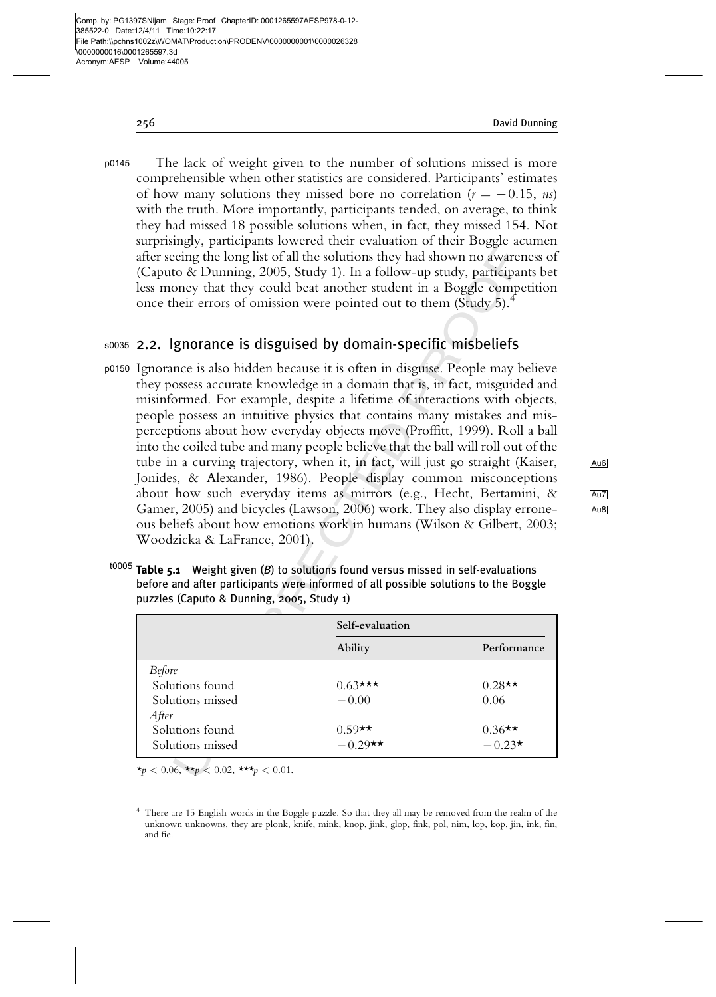256 David Dunning

and shown no aware<br>w-up study, participan<br>mt in a Boggle composition<br>to them (Study 5).<sup>4</sup><br>specific misbeliefs<br>lisguise. People may b<br>nat is, in fact, misguide<br>of interactions with o p0145 The lack of weight given to the number of solutions missed is more comprehensible when other statistics are considered. Participants' estimates of how many solutions they missed bore no correlation ( $r = -0.15$ , ns) with the truth. More importantly, participants tended, on average, to think they had missed 18 possible solutions when, in fact, they missed 154. Not surprisingly, participants lowered their evaluation of their Boggle acumen after seeing the long list of all the solutions they had shown no awareness of (Caputo & Dunning, 2005, Study 1). In a follow-up study, participants bet less money that they could beat another student in a Boggle competition once their errors of omission were pointed out to them (Study 5).4

# s0035 2.2. Ignorance is disguised by domain-specific misbeliefs

- p0150 Ignorance is also hidden because it is often in disguise. People may believe they possess accurate knowledge in a domain that is, in fact, misguided and misinformed. For example, despite a lifetime of interactions with objects, people possess an intuitive physics that contains many mistakes and misperceptions about how everyday objects move (Proffitt, 1999). Roll a ball into the coiled tube and many people believe that the ball will roll out of the tube in a curving trajectory, when it, in fact, will just go straight (Kaiser, Au6 Jonides, & Alexander, 1986). People display common misconceptions about how such everyday items as mirrors (e.g., Hecht, Bertamini,  $\&$  Au7 Gamer, 2005) and bicycles (Lawson, 2006) work. They also display erroneous beliefs about how emotions work in humans (Wilson & Gilbert, 2003; Woodzicka & LaFrance, 2001).
- $t0005$  Table 5.1 Weight given (B) to solutions found versus missed in self-evaluations before and after participants were informed of all possible solutions to the Boggle puzzles (Caputo & Dunning, 2005, Study 1)

|                                           | perceptions about how everyday objects move (Proffitt, 1999). Roll a ball<br>into the coiled tube and many people believe that the ball will roll out of the<br>tube in a curving trajectory, when it, in fact, will just go straight (Kaiser,<br>Jonides, & Alexander, 1986). People display common misconceptions<br>about how such everyday items as mirrors (e.g., Hecht, Bertamini, & |             |
|-------------------------------------------|--------------------------------------------------------------------------------------------------------------------------------------------------------------------------------------------------------------------------------------------------------------------------------------------------------------------------------------------------------------------------------------------|-------------|
| Woodzicka & LaFrance, 2001).              | Gamer, 2005) and bicycles (Lawson, 2006) work. They also display errone-<br>ous beliefs about how emotions work in humans (Wilson & Gilbert, 2003;                                                                                                                                                                                                                                         |             |
| puzzles (Caputo & Dunning, 2005, Study 1) | Table 5.1 Weight given (B) to solutions found versus missed in self-evaluations<br>before and after participants were informed of all possible solutions to the Boggle                                                                                                                                                                                                                     |             |
|                                           |                                                                                                                                                                                                                                                                                                                                                                                            |             |
|                                           | Self-evaluation                                                                                                                                                                                                                                                                                                                                                                            |             |
|                                           | Ability                                                                                                                                                                                                                                                                                                                                                                                    | Performance |
| <b>Before</b>                             |                                                                                                                                                                                                                                                                                                                                                                                            |             |
| Solutions found                           | $0.63$ ***                                                                                                                                                                                                                                                                                                                                                                                 | $0.28**$    |
| Solutions missed                          | $-0.00$                                                                                                                                                                                                                                                                                                                                                                                    | 0.06        |
| After                                     |                                                                                                                                                                                                                                                                                                                                                                                            |             |
| Solutions found                           | $0.59**$                                                                                                                                                                                                                                                                                                                                                                                   | $0.36**$    |
| Solutions missed                          | $-0.29**$                                                                                                                                                                                                                                                                                                                                                                                  | $-0.23*$    |

<sup>4</sup> There are 15 English words in the Boggle puzzle. So that they all may be removed from the realm of the unknown unknowns, they are plonk, knife, mink, knop, jink, glop, fink, pol, nim, lop, kop, jin, ink, fin, and fie.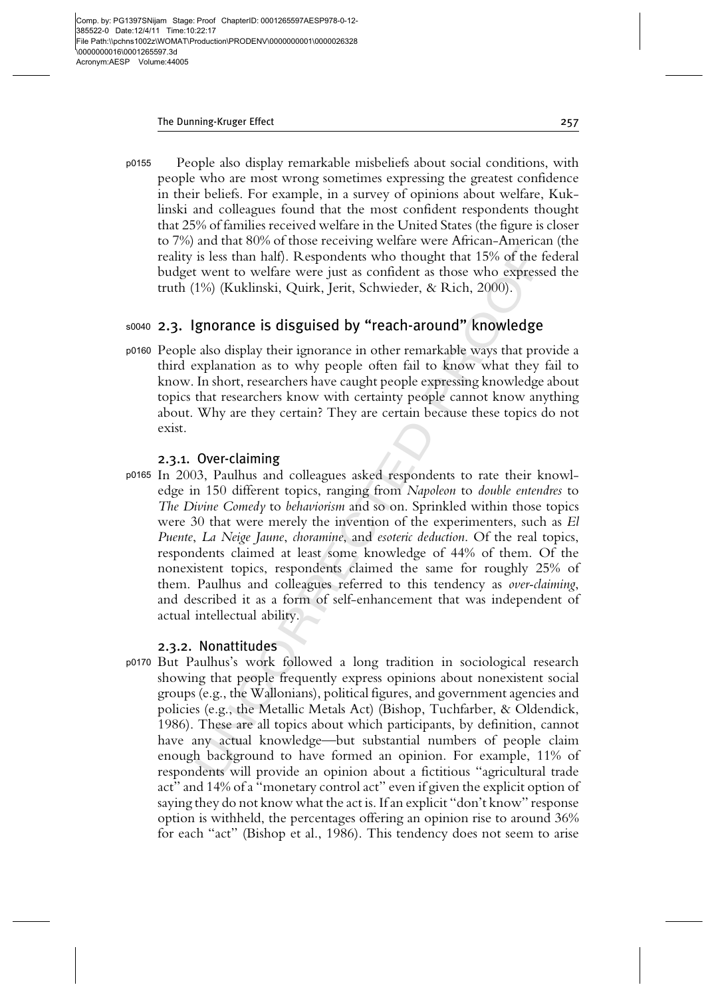#### The Dunning-Kruger Effect 257

p0155 People also display remarkable misbeliefs about social conditions, with people who are most wrong sometimes expressing the greatest confidence in their beliefs. For example, in a survey of opinions about welfare, Kuklinski and colleagues found that the most confident respondents thought that 25% of families received welfare in the United States (the figure is closer to 7%) and that 80% of those receiving welfare were African-American (the reality is less than half). Respondents who thought that 15% of the federal budget went to welfare were just as confident as those who expressed the truth (1%) (Kuklinski, Quirk, Jerit, Schwieder, & Rich, 2000).

# s0040 2.3. Ignorance is disguised by "reach-around" knowledge

ught that 15% of the 1<br>as those who express<br>& Rich, 2000).<br>**round" knowledge**<br>narkable ways that pro<br>to know what they<br>expressing knowledge<br>ople cannot know an<br>hecause these topics of p0160 People also display their ignorance in other remarkable ways that provide a third explanation as to why people often fail to know what they fail to know. In short, researchers have caught people expressing knowledge about topics that researchers know with certainty people cannot know anything about. Why are they certain? They are certain because these topics do not exist.

### 2.3.1. Over-claiming

**Over-claiming**<br>
23, Paulhus and colleagues asked responds<br>
150 different topics, ranging from *Napo*<br> *ivine Comedy* to *behaviorism* and so on. Spri<br>
30 that were merely the invention of the expansion of the expansion of p0165 In 2003, Paulhus and colleagues asked respondents to rate their knowledge in 150 different topics, ranging from Napoleon to double entendres to The Divine Comedy to behaviorism and so on. Sprinkled within those topics were 30 that were merely the invention of the experimenters, such as El Puente, La Neige Jaune, choramine, and esoteric deduction. Of the real topics, respondents claimed at least some knowledge of 44% of them. Of the nonexistent topics, respondents claimed the same for roughly 25% of them. Paulhus and colleagues referred to this tendency as over-claiming, and described it as a form of self-enhancement that was independent of actual intellectual ability.

### 2.3.2. Nonattitudes

p0170 But Paulhus's work followed a long tradition in sociological research showing that people frequently express opinions about nonexistent social groups (e.g., the Wallonians), political figures, and government agencies and policies (e.g., the Metallic Metals Act) (Bishop, Tuchfarber, & Oldendick, 1986). These are all topics about which participants, by definition, cannot have any actual knowledge—but substantial numbers of people claim enough background to have formed an opinion. For example, 11% of respondents will provide an opinion about a fictitious "agricultural trade act" and 14% of a "monetary control act" even if given the explicit option of saying they do not know what the act is. If an explicit "don't know" response option is withheld, the percentages offering an opinion rise to around 36% for each "act" (Bishop et al., 1986). This tendency does not seem to arise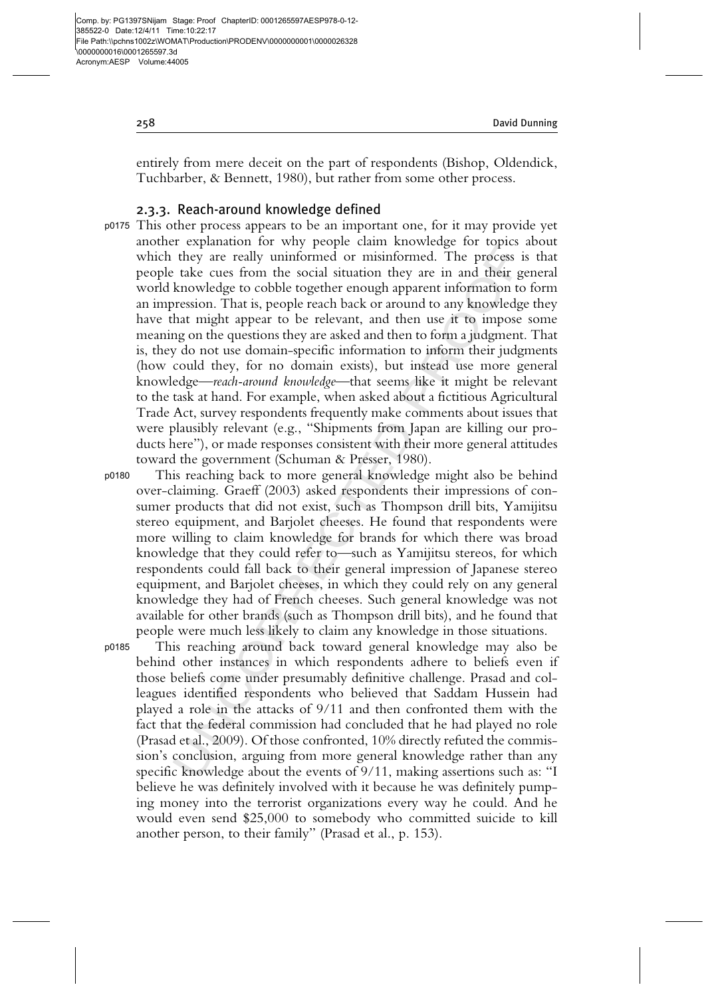entirely from mere deceit on the part of respondents (Bishop, Oldendick, Tuchbarber, & Bennett, 1980), but rather from some other process.

# 2.3.3. Reach-around knowledge defined

ormed. The process i<br>ey are in and their g<br>pparent information to<br>bund to any knowledg<br>hen use it to impose<br>en to form a judgment<br>n to inform their judg<br>t instead use more g<br>as like it might be re<br>bout a fictitious Agrice p0175 This other process appears to be an important one, for it may provide yet another explanation for why people claim knowledge for topics about which they are really uninformed or misinformed. The process is that people take cues from the social situation they are in and their general world knowledge to cobble together enough apparent information to form an impression. That is, people reach back or around to any knowledge they have that might appear to be relevant, and then use it to impose some meaning on the questions they are asked and then to form a judgment. That is, they do not use domain-specific information to inform their judgments (how could they, for no domain exists), but instead use more general knowledge—reach-around knowledge—that seems like it might be relevant to the task at hand. For example, when asked about a fictitious Agricultural Trade Act, survey respondents frequently make comments about issues that were plausibly relevant (e.g., "Shipments from Japan are killing our products here"), or made responses consistent with their more general attitudes toward the government (Schuman & Presser, 1980).

blausibly relevant (e.g., "Shipments from J<br>nere"), or made responses consistent with th<br>the government (Schuman & Presser, 198<br>is reaching back to more general knowled<br>laiming. Graeff (2003) asked respondents<br>products tha p0180 This reaching back to more general knowledge might also be behind over-claiming. Graeff (2003) asked respondents their impressions of consumer products that did not exist, such as Thompson drill bits, Yamijitsu stereo equipment, and Barjolet cheeses. He found that respondents were more willing to claim knowledge for brands for which there was broad knowledge that they could refer to—such as Yamijitsu stereos, for which respondents could fall back to their general impression of Japanese stereo equipment, and Barjolet cheeses, in which they could rely on any general knowledge they had of French cheeses. Such general knowledge was not available for other brands (such as Thompson drill bits), and he found that people were much less likely to claim any knowledge in those situations.

p0185 This reaching around back toward general knowledge may also be behind other instances in which respondents adhere to beliefs even if those beliefs come under presumably definitive challenge. Prasad and colleagues identified respondents who believed that Saddam Hussein had played a role in the attacks of 9/11 and then confronted them with the fact that the federal commission had concluded that he had played no role (Prasad et al., 2009). Of those confronted, 10% directly refuted the commission's conclusion, arguing from more general knowledge rather than any specific knowledge about the events of 9/11, making assertions such as: "I believe he was definitely involved with it because he was definitely pumping money into the terrorist organizations every way he could. And he would even send \$25,000 to somebody who committed suicide to kill another person, to their family" (Prasad et al., p. 153).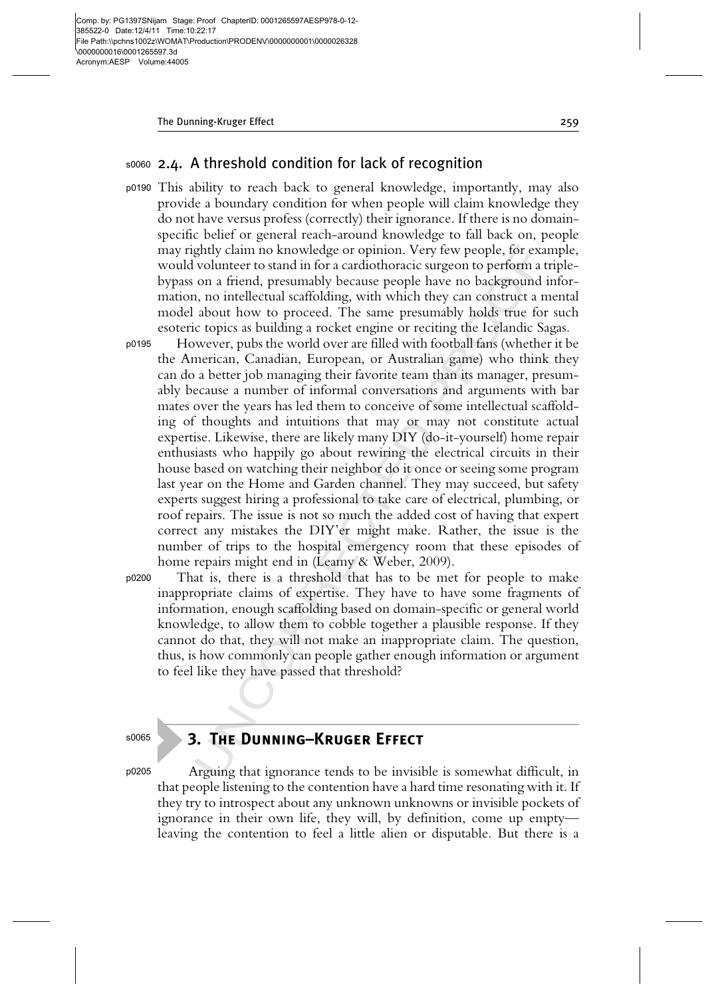The Dunning-Kruger Effect **259** 

# s0060 2.4. A threshold condition for lack of recognition

- ery few people, for examples to perform a<br>have no background<br>they can construct a 1<br>umably holds true fo<br>eciting the Icelandic S<br>h football fans (whethe<br>lian game) who thinl<br>in than its manager, pr<br>ons and arguments with s p0190 This ability to reach back to general knowledge, importantly, may also provide a boundary condition for when people will claim knowledge they do not have versus profess (correctly) their ignorance. If there is no domainspecific belief or general reach-around knowledge to fall back on, people may rightly claim no knowledge or opinion. Very few people, for example, would volunteer to stand in for a cardiothoracic surgeon to perform a triplebypass on a friend, presumably because people have no background information, no intellectual scaffolding, with which they can construct a mental model about how to proceed. The same presumably holds true for such esoteric topics as building a rocket engine or reciting the Icelandic Sagas.
- thoughts and intuitions that may or m<br>ise. Likewise, there are likely many DIY (do<br>iasts who happily go about rewiring the<br>based on watching their neighbor do it onc<br>ar on the Home and Garden channel. The<br>suggest hiring a p0195 However, pubs the world over are filled with football fans (whether it be the American, Canadian, European, or Australian game) who think they can do a better job managing their favorite team than its manager, presumably because a number of informal conversations and arguments with bar mates over the years has led them to conceive of some intellectual scaffolding of thoughts and intuitions that may or may not constitute actual expertise. Likewise, there are likely many DIY (do-it-yourself) home repair enthusiasts who happily go about rewiring the electrical circuits in their house based on watching their neighbor do it once or seeing some program last year on the Home and Garden channel. They may succeed, but safety experts suggest hiring a professional to take care of electrical, plumbing, or roof repairs. The issue is not so much the added cost of having that expert correct any mistakes the DIY'er might make. Rather, the issue is the number of trips to the hospital emergency room that these episodes of home repairs might end in (Leamy & Weber, 2009).

p0200 That is, there is a threshold that has to be met for people to make inappropriate claims of expertise. They have to have some fragments of information, enough scaffolding based on domain-specific or general world knowledge, to allow them to cobble together a plausible response. If they cannot do that, they will not make an inappropriate claim. The question, thus, is how commonly can people gather enough information or argument to feel like they have passed that threshold?

# s0065 3. THE DUNNING-KRUGER EFFECT

p0205 Arguing that ignorance tends to be invisible is somewhat difficult, in that people listening to the contention have a hard time resonating with it. If they try to introspect about any unknown unknowns or invisible pockets of ignorance in their own life, they will, by definition, come up empty leaving the contention to feel a little alien or disputable. But there is a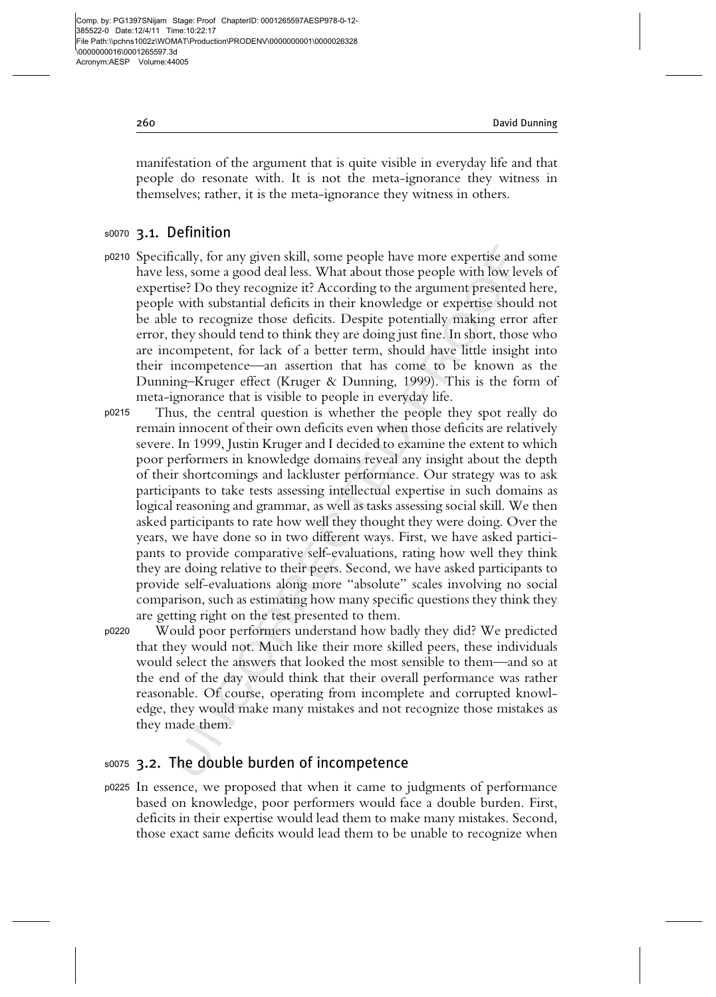manifestation of the argument that is quite visible in everyday life and that people do resonate with. It is not the meta-ignorance they witness in themselves; rather, it is the meta-ignorance they witness in others.

# s0070 3.1. Definition

- ve more expertise and<br>bse people with low le<br>he argument presentec<br>dge or expertise shou<br>otentially making erro<br>just fine. In short, thos<br>ould have little insightome to be known<br>1999). This is the fo<br>yday life. p0210 Specifically, for any given skill, some people have more expertise and some have less, some a good deal less. What about those people with low levels of expertise? Do they recognize it? According to the argument presented here, people with substantial deficits in their knowledge or expertise should not be able to recognize those deficits. Despite potentially making error after error, they should tend to think they are doing just fine. In short, those who are incompetent, for lack of a better term, should have little insight into their incompetence—an assertion that has come to be known as the Dunning–Kruger effect (Kruger & Dunning, 1999). This is the form of meta-ignorance that is visible to people in everyday life.
- is innocent of their own deficits even when the In 1999, Justin Kruger and I decided to examerformers in knowledge domains reveal and r shortcomings and lackluster performance pants to take tests assessing intellectual exp p0215 Thus, the central question is whether the people they spot really do remain innocent of their own deficits even when those deficits are relatively severe. In 1999, Justin Kruger and I decided to examine the extent to which poor performers in knowledge domains reveal any insight about the depth of their shortcomings and lackluster performance. Our strategy was to ask participants to take tests assessing intellectual expertise in such domains as logical reasoning and grammar, as well as tasks assessing social skill. We then asked participants to rate how well they thought they were doing. Over the years, we have done so in two different ways. First, we have asked participants to provide comparative self-evaluations, rating how well they think they are doing relative to their peers. Second, we have asked participants to provide self-evaluations along more "absolute" scales involving no social comparison, such as estimating how many specific questions they think they are getting right on the test presented to them.
- p0220 Would poor performers understand how badly they did? We predicted that they would not. Much like their more skilled peers, these individuals would select the answers that looked the most sensible to them—and so at the end of the day would think that their overall performance was rather reasonable. Of course, operating from incomplete and corrupted knowledge, they would make many mistakes and not recognize those mistakes as they made them.

# s0075 3.2. The double burden of incompetence

p0225 In essence, we proposed that when it came to judgments of performance based on knowledge, poor performers would face a double burden. First, deficits in their expertise would lead them to make many mistakes. Second, those exact same deficits would lead them to be unable to recognize when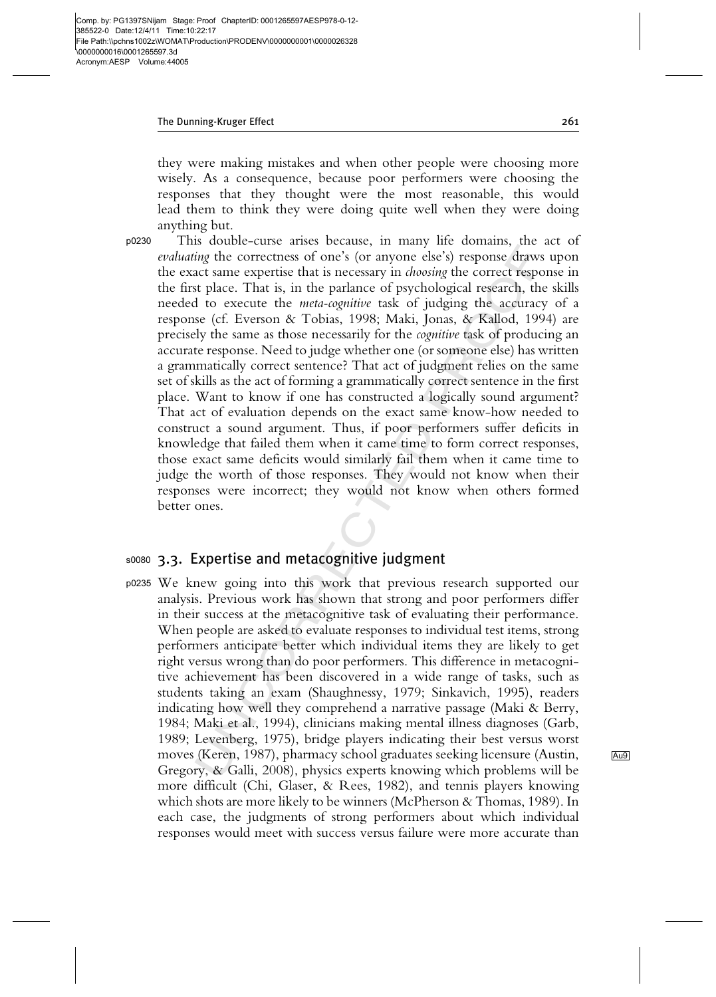they were making mistakes and when other people were choosing more wisely. As a consequence, because poor performers were choosing the responses that they thought were the most reasonable, this would lead them to think they were doing quite well when they were doing anything but.

else's) response draws<br>osing the correct response<br>hological research, the<br>judging the accuracy<br>Jonas, & Kallod, 199<br>ognitive task of produc<br>or someone else) has v<br>udgment relies on the<br>v correct sentence in the product of p0230 This double-curse arises because, in many life domains, the act of evaluating the correctness of one's (or anyone else's) response draws upon the exact same expertise that is necessary in choosing the correct response in the first place. That is, in the parlance of psychological research, the skills needed to execute the meta-cognitive task of judging the accuracy of a response (cf. Everson & Tobias, 1998; Maki, Jonas, & Kallod, 1994) are precisely the same as those necessarily for the cognitive task of producing an accurate response. Need to judge whether one (or someone else) has written a grammatically correct sentence? That act of judgment relies on the same set of skills as the act of forming a grammatically correct sentence in the first place. Want to know if one has constructed a logically sound argument? That act of evaluation depends on the exact same know-how needed to construct a sound argument. Thus, if poor performers suffer deficits in knowledge that failed them when it came time to form correct responses, those exact same deficits would similarly fail them when it came time to judge the worth of those responses. They would not know when their responses were incorrect; they would not know when others formed better ones.

# s0080 3.3. Expertise and metacognitive judgment

act a sound argument. Thus, if poor per<br>edge that failed them when it came time t<br>exact same deficits would similarly fail the<br>the worth of those responses. They wou<br>ses were incorrect; they would not kno<br>ones.<br>**Expertise** p0235 We knew going into this work that previous research supported our analysis. Previous work has shown that strong and poor performers differ in their success at the metacognitive task of evaluating their performance. When people are asked to evaluate responses to individual test items, strong performers anticipate better which individual items they are likely to get right versus wrong than do poor performers. This difference in metacognitive achievement has been discovered in a wide range of tasks, such as students taking an exam (Shaughnessy, 1979; Sinkavich, 1995), readers indicating how well they comprehend a narrative passage (Maki & Berry, 1984; Maki et al., 1994), clinicians making mental illness diagnoses (Garb, 1989; Levenberg, 1975), bridge players indicating their best versus worst moves (Keren, 1987), pharmacy school graduates seeking licensure (Austin, Au9 Gregory, & Galli, 2008), physics experts knowing which problems will be more difficult (Chi, Glaser, & Rees, 1982), and tennis players knowing which shots are more likely to be winners (McPherson & Thomas, 1989). In each case, the judgments of strong performers about which individual responses would meet with success versus failure were more accurate than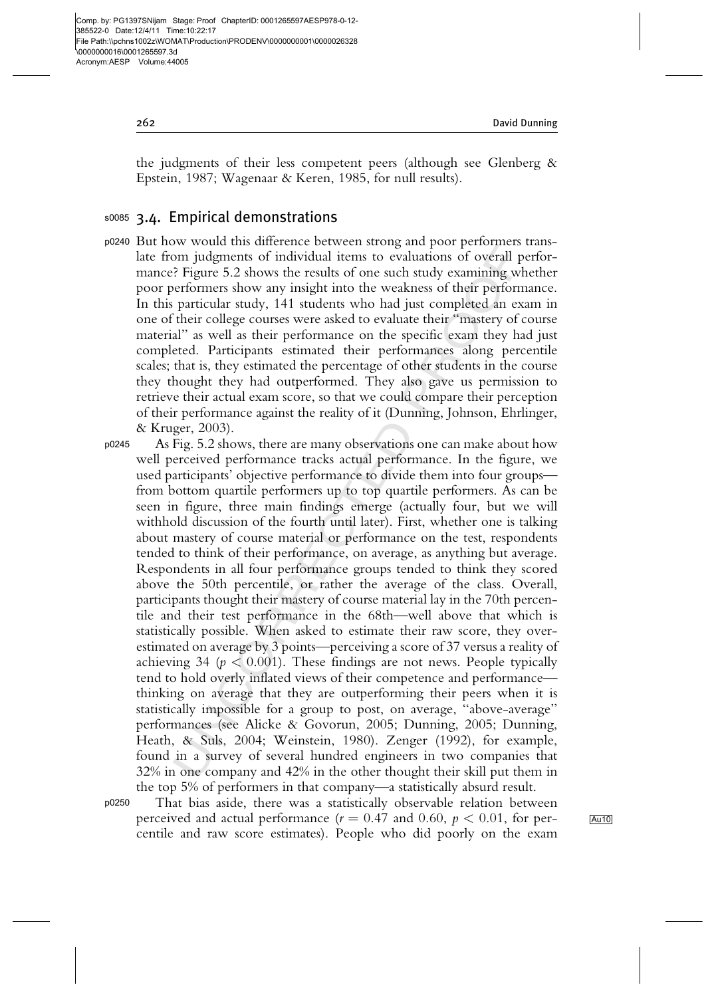the judgments of their less competent peers (although see Glenberg & Epstein, 1987; Wagenaar & Keren, 1985, for null results).

# s0085 3.4. Empirical demonstrations

valuations of overall p<br>valuations of overall p<br>th study examining wlakness of their perform<br>just completed an ex<br>atter their "mastery of specific exam they has<br>formances along perroduct also gave us permissi<br>ld compare th p0240 But how would this difference between strong and poor performers translate from judgments of individual items to evaluations of overall performance? Figure 5.2 shows the results of one such study examining whether poor performers show any insight into the weakness of their performance. In this particular study, 141 students who had just completed an exam in one of their college courses were asked to evaluate their "mastery of course material" as well as their performance on the specific exam they had just completed. Participants estimated their performances along percentile scales; that is, they estimated the percentage of other students in the course they thought they had outperformed. They also gave us permission to retrieve their actual exam score, so that we could compare their perception of their performance against the reality of it (Dunning, Johnson, Ehrlinger, & Kruger, 2003).

ger, 2003).<br>Fig. 5.2 shows, there are many observations<br>erceived performance tracks actual perform<br>articipants' objective performance to divide<br>oottom quartile performers up to top quart<br>in figure, three main findings eme p0245 As Fig. 5.2 shows, there are many observations one can make about how well perceived performance tracks actual performance. In the figure, we used participants' objective performance to divide them into four groups from bottom quartile performers up to top quartile performers. As can be seen in figure, three main findings emerge (actually four, but we will withhold discussion of the fourth until later). First, whether one is talking about mastery of course material or performance on the test, respondents tended to think of their performance, on average, as anything but average. Respondents in all four performance groups tended to think they scored above the 50th percentile, or rather the average of the class. Overall, participants thought their mastery of course material lay in the 70th percentile and their test performance in the 68th—well above that which is statistically possible. When asked to estimate their raw score, they overestimated on average by 3 points—perceiving a score of 37 versus a reality of achieving 34 ( $p < 0.001$ ). These findings are not news. People typically tend to hold overly inflated views of their competence and performance thinking on average that they are outperforming their peers when it is statistically impossible for a group to post, on average, "above-average" performances (see Alicke & Govorun, 2005; Dunning, 2005; Dunning, Heath, & Suls, 2004; Weinstein, 1980). Zenger (1992), for example, found in a survey of several hundred engineers in two companies that 32% in one company and 42% in the other thought their skill put them in the top 5% of performers in that company—a statistically absurd result.

p0250 That bias aside, there was a statistically observable relation between perceived and actual performance ( $r = 0.47$  and 0.60,  $p < 0.01$ , for percentile and raw score estimates). People who did poorly on the exam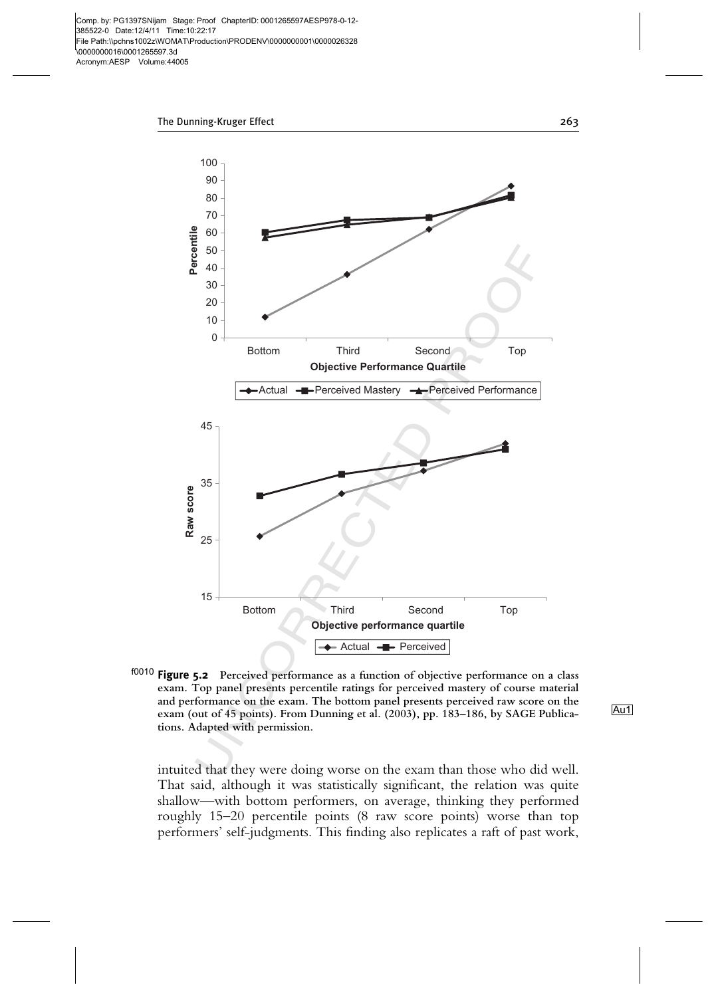

 $f0010$  Figure 5.2 Perceived performance as a function of objective performance on a class exam. Top panel presents percentile ratings for perceived mastery of course material and performance on the exam. The bottom panel presents perceived raw score on the exam (out of 45 points). From Dunning et al. (2003), pp. 183–186, by SAGE Publications. Adapted with permission.

intuited that they were doing worse on the exam than those who did well. That said, although it was statistically significant, the relation was quite shallow—with bottom performers, on average, thinking they performed roughly 15–20 percentile points (8 raw score points) worse than top performers' self-judgments. This finding also replicates a raft of past work,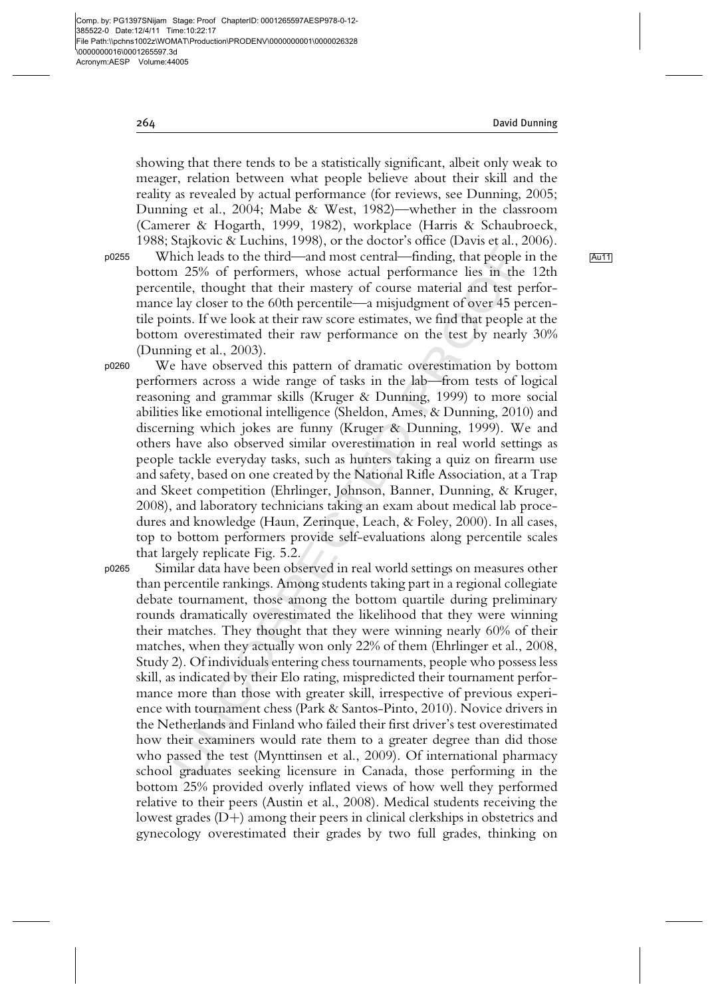264 David Dunning

showing that there tends to be a statistically significant, albeit only weak to meager, relation between what people believe about their skill and the reality as revealed by actual performance (for reviews, see Dunning, 2005; Dunning et al., 2004; Mabe & West, 1982)—whether in the classroom (Camerer & Hogarth, 1999, 1982), workplace (Harris & Schaubroeck, 1988; Stajkovic & Luchins, 1998), or the doctor's office (Davis et al., 2006).

PROOF  $p0255$  Which leads to the third—and most central—finding, that people in the  $\frac{[A\cup 11]}{[A\cup 11]}$ bottom 25% of performers, whose actual performance lies in the 12th percentile, thought that their mastery of course material and test performance lay closer to the 60th percentile—a misjudgment of over 45 percentile points. If we look at their raw score estimates, we find that people at the bottom overestimated their raw performance on the test by nearly 30% (Dunning et al., 2003).

p0260 We have observed this pattern of dramatic overestimation by bottom performers across a wide range of tasks in the lab—from tests of logical reasoning and grammar skills (Kruger & Dunning, 1999) to more social abilities like emotional intelligence (Sheldon, Ames, & Dunning, 2010) and discerning which jokes are funny (Kruger & Dunning, 1999). We and others have also observed similar overestimation in real world settings as people tackle everyday tasks, such as hunters taking a quiz on firearm use and safety, based on one created by the National Rifle Association, at a Trap and Skeet competition (Ehrlinger, Johnson, Banner, Dunning, & Kruger, 2008), and laboratory technicians taking an exam about medical lab procedures and knowledge (Haun, Zerinque, Leach, & Foley, 2000). In all cases, top to bottom performers provide self-evaluations along percentile scales that largely replicate Fig. 5.2.

ing which jokes are funny (Kruger & L<br>have also observed similar overestimation<br>tackle everyday tasks, such as hunters tak<br>ety, based on one created by the National R<br>eet competition (Ehrlinger, Johnson, Bann<br>and laborator p0265 Similar data have been observed in real world settings on measures other than percentile rankings. Among students taking part in a regional collegiate debate tournament, those among the bottom quartile during preliminary rounds dramatically overestimated the likelihood that they were winning their matches. They thought that they were winning nearly 60% of their matches, when they actually won only 22% of them (Ehrlinger et al., 2008, Study 2). Of individuals entering chess tournaments, people who possess less skill, as indicated by their Elo rating, mispredicted their tournament performance more than those with greater skill, irrespective of previous experience with tournament chess (Park & Santos-Pinto, 2010). Novice drivers in the Netherlands and Finland who failed their first driver's test overestimated how their examiners would rate them to a greater degree than did those who passed the test (Mynttinsen et al., 2009). Of international pharmacy school graduates seeking licensure in Canada, those performing in the bottom 25% provided overly inflated views of how well they performed relative to their peers (Austin et al., 2008). Medical students receiving the lowest grades  $(D+)$  among their peers in clinical clerkships in obstetrics and gynecology overestimated their grades by two full grades, thinking on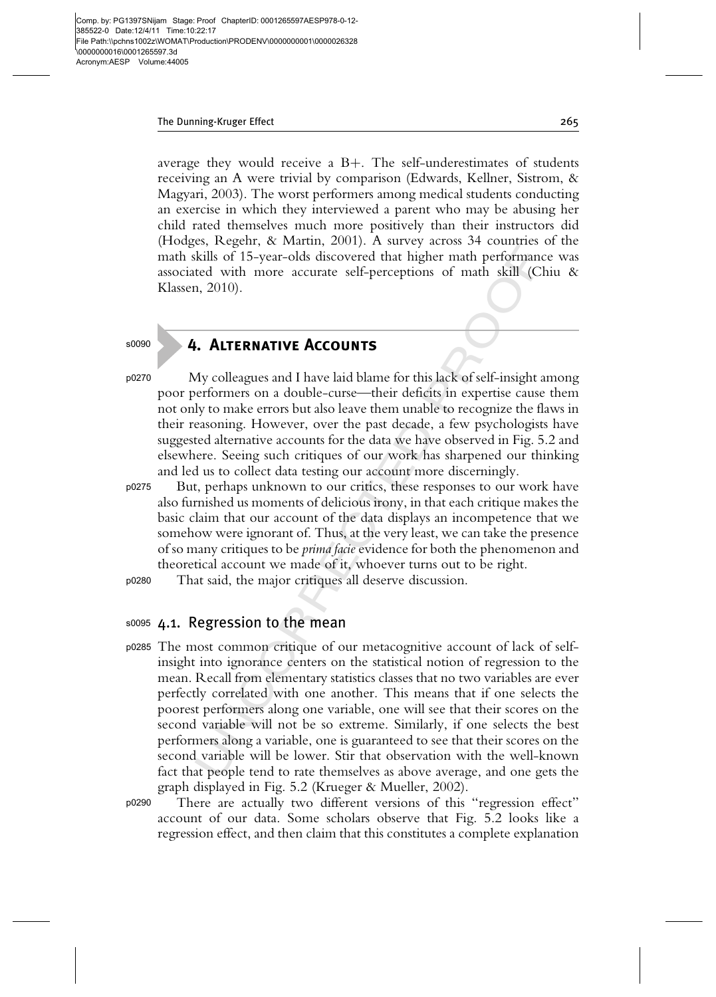where math performance<br>
ns of math skill (Cl<br>
skill (Cl<br>
skill (Cl<br>
skill (Cl<br>
skill (Cl<br>
skill contained to the skill and the skill<br>
skill contained to recognize the fl<br>
skill (D<br>
skill contained to recognize the fl<br>
skil average they would receive a  $B+$ . The self-underestimates of students receiving an A were trivial by comparison (Edwards, Kellner, Sistrom, & Magyari, 2003). The worst performers among medical students conducting an exercise in which they interviewed a parent who may be abusing her child rated themselves much more positively than their instructors did (Hodges, Regehr, & Martin, 2001). A survey across 34 countries of the math skills of 15-year-olds discovered that higher math performance was associated with more accurate self-perceptions of math skill (Chiu & Klassen, 2010).

# s0090 4. ALTERNATIVE ACCOUNTS

p0270 My colleagues and I have laid blame for this lack of self-insight among poor performers on a double-curse—their deficits in expertise cause them not only to make errors but also leave them unable to recognize the flaws in their reasoning. However, over the past decade, a few psychologists have suggested alternative accounts for the data we have observed in Fig. 5.2 and elsewhere. Seeing such critiques of our work has sharpened our thinking and led us to collect data testing our account more discerningly.

p0275 But, perhaps unknown to our critics, these responses to our work have also furnished us moments of delicious irony, in that each critique makes the basic claim that our account of the data displays an incompetence that we somehow were ignorant of. Thus, at the very least, we can take the presence of so many critiques to be prima facie evidence for both the phenomenon and theoretical account we made of it, whoever turns out to be right.

p0280 That said, the major critiques all deserve discussion.

# s0095 4.1. Regression to the mean

- easoning. However, over the past decade,<br>ted alternative accounts for the data we hav<br>ere. Seeing such critiques of our work ha<br>d us to collect data testing our account mo<br>t, perhaps unknown to our critics, these re-<br>mishe p0285 The most common critique of our metacognitive account of lack of selfinsight into ignorance centers on the statistical notion of regression to the mean. Recall from elementary statistics classes that no two variables are ever perfectly correlated with one another. This means that if one selects the poorest performers along one variable, one will see that their scores on the second variable will not be so extreme. Similarly, if one selects the best performers along a variable, one is guaranteed to see that their scores on the second variable will be lower. Stir that observation with the well-known fact that people tend to rate themselves as above average, and one gets the graph displayed in Fig. 5.2 (Krueger & Mueller, 2002).
- p0290 There are actually two different versions of this "regression effect" account of our data. Some scholars observe that Fig. 5.2 looks like a regression effect, and then claim that this constitutes a complete explanation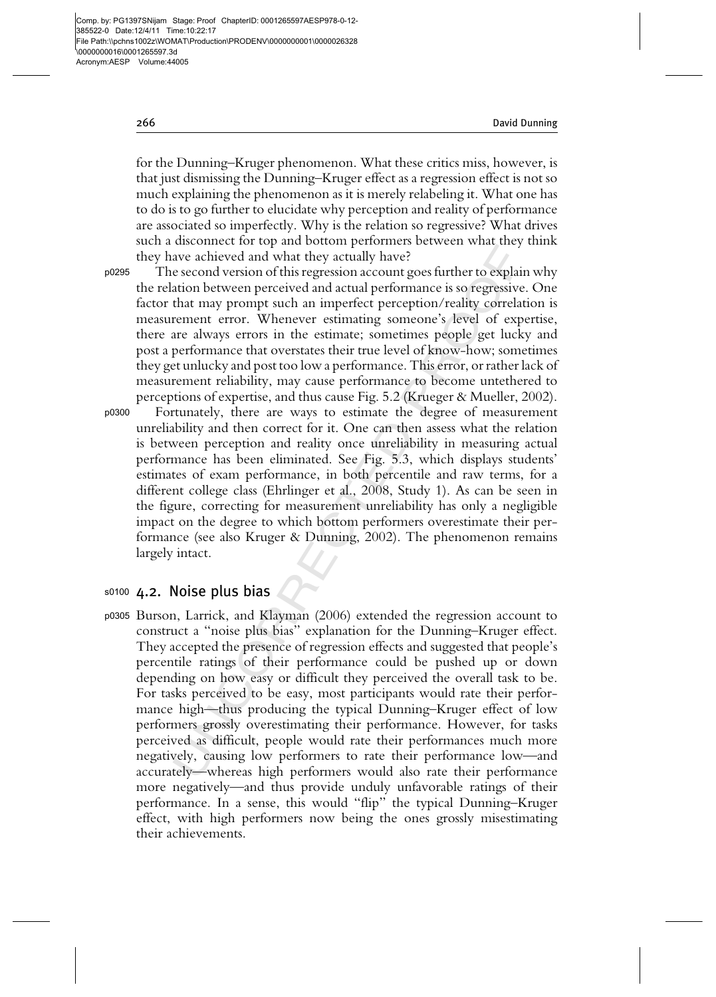for the Dunning–Kruger phenomenon. What these critics miss, however, is that just dismissing the Dunning–Kruger effect as a regression effect is not so much explaining the phenomenon as it is merely relabeling it. What one has to do is to go further to elucidate why perception and reality of performance are associated so imperfectly. Why is the relation so regressive? What drives such a disconnect for top and bottom performers between what they think they have achieved and what they actually have?

e?<br>e?<br>t goes further to explai<br>rmance is so regressive<br>ception/reality correla<br>meone's level of exp<br>times people get luck<br>el of know-how; some<br>e. This error, or rather l<br>ce to become untethe<br>(Krueger & Mueller, in p0295 The second version of this regression account goes further to explain why the relation between perceived and actual performance is so regressive. One factor that may prompt such an imperfect perception/reality correlation is measurement error. Whenever estimating someone's level of expertise, there are always errors in the estimate; sometimes people get lucky and post a performance that overstates their true level of know-how; sometimes they get unlucky and post too low a performance. This error, or rather lack of measurement reliability, may cause performance to become untethered to perceptions of expertise, and thus cause Fig. 5.2 (Krueger & Mueller, 2002).

p0300 Fortunately, there are ways to estimate the degree of measurement unreliability and then correct for it. One can then assess what the relation is between perception and reality once unreliability in measuring actual performance has been eliminated. See Fig. 5.3, which displays students' estimates of exam performance, in both percentile and raw terms, for a different college class (Ehrlinger et al., 2008, Study 1). As can be seen in the figure, correcting for measurement unreliability has only a negligible impact on the degree to which bottom performers overestimate their performance (see also Kruger & Dunning, 2002). The phenomenon remains largely intact.

# s0100 4.2. Noise plus bias

bility and then correct for it. One can the<br>veen perception and reality once unreliat<br>mance has been eliminated. See Fig. 5.3,<br>tes of exam performance, in both percen<br>nt college class (Ehrlinger et al., 2008, Stu<br>ure, corr p0305 Burson, Larrick, and Klayman (2006) extended the regression account to construct a "noise plus bias" explanation for the Dunning–Kruger effect. They accepted the presence of regression effects and suggested that people's percentile ratings of their performance could be pushed up or down depending on how easy or difficult they perceived the overall task to be. For tasks perceived to be easy, most participants would rate their performance high—thus producing the typical Dunning–Kruger effect of low performers grossly overestimating their performance. However, for tasks perceived as difficult, people would rate their performances much more negatively, causing low performers to rate their performance low—and accurately—whereas high performers would also rate their performance more negatively—and thus provide unduly unfavorable ratings of their performance. In a sense, this would "flip" the typical Dunning–Kruger effect, with high performers now being the ones grossly misestimating their achievements.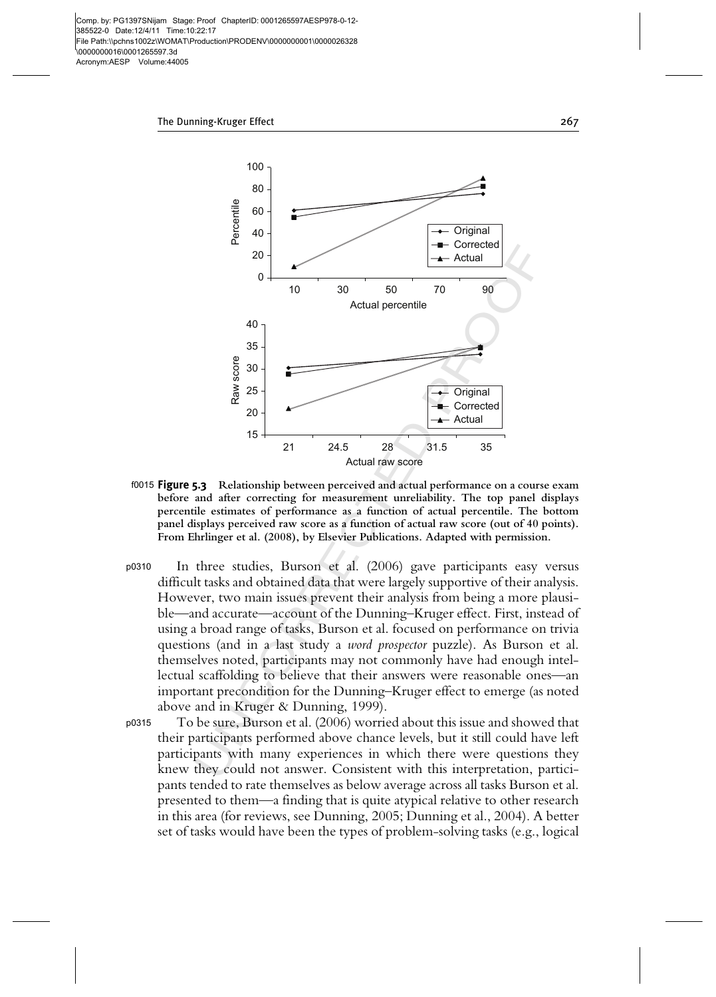

f0015 Figure 5.3 Relationship between perceived and actual performance on a course exam before and after correcting for measurement unreliability. The top panel displays percentile estimates of performance as a function of actual percentile. The bottom panel displays perceived raw score as a function of actual raw score (out of 40 points). From Ehrlinger et al. (2008), by Elsevier Publications. Adapted with permission.

- 15<br>
21 24.5 28 3<br>
24.5 28 3<br>
24.5 28 3<br>
24.5 28 3<br>
24.5 28 28 3<br>
24.5 28 28 2<br>
24.5 28 2<br>
24.5 28 2<br>
24.5 28 2<br>
24.5 28 2<br>
24.5 28 2<br>
24.5 28 2<br>
24.5 28 2<br>
24.5 28 2<br>
24.5 28 2<br>
24.5 28 2<br>
26.00000000000000000000000000000 p0310 In three studies, Burson et al. (2006) gave participants easy versus difficult tasks and obtained data that were largely supportive of their analysis. However, two main issues prevent their analysis from being a more plausible—and accurate—account of the Dunning–Kruger effect. First, instead of using a broad range of tasks, Burson et al. focused on performance on trivia questions (and in a last study a word prospector puzzle). As Burson et al. themselves noted, participants may not commonly have had enough intellectual scaffolding to believe that their answers were reasonable ones—an important precondition for the Dunning–Kruger effect to emerge (as noted above and in Kruger & Dunning, 1999).
- p0315 To be sure, Burson et al. (2006) worried about this issue and showed that their participants performed above chance levels, but it still could have left participants with many experiences in which there were questions they knew they could not answer. Consistent with this interpretation, participants tended to rate themselves as below average across all tasks Burson et al. presented to them—a finding that is quite atypical relative to other research in this area (for reviews, see Dunning, 2005; Dunning et al., 2004). A better set of tasks would have been the types of problem-solving tasks (e.g., logical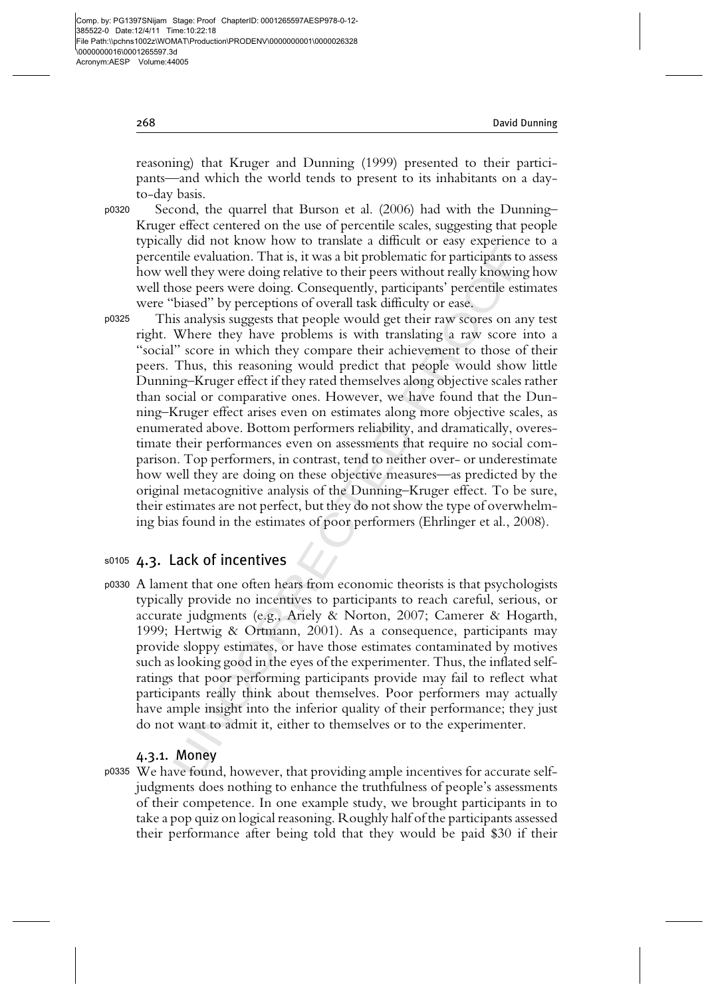268 David Dunning

reasoning) that Kruger and Dunning (1999) presented to their participants—and which the world tends to present to its inhabitants on a dayto-day basis.

p0320 Second, the quarrel that Burson et al. (2006) had with the Dunning– Kruger effect centered on the use of percentile scales, suggesting that people typically did not know how to translate a difficult or easy experience to a percentile evaluation. That is, it was a bit problematic for participants to assess how well they were doing relative to their peers without really knowing how well those peers were doing. Consequently, participants' percentile estimates were "biased" by perceptions of overall task difficulty or ease.

antic for participants to<br>without really knowin<br>ticipants' percentile est<br>culty or ease.<br>their raw scores on an<br>slating a raw score<br>hievement to those of<br>the people would show<br>along objective scales<br>the have found that the p0325 This analysis suggests that people would get their raw scores on any test right. Where they have problems is with translating a raw score into a "social" score in which they compare their achievement to those of their peers. Thus, this reasoning would predict that people would show little Dunning–Kruger effect if they rated themselves along objective scales rather than social or comparative ones. However, we have found that the Dunning–Kruger effect arises even on estimates along more objective scales, as enumerated above. Bottom performers reliability, and dramatically, overestimate their performances even on assessments that require no social comparison. Top performers, in contrast, tend to neither over- or underestimate how well they are doing on these objective measures—as predicted by the original metacognitive analysis of the Dunning–Kruger effect. To be sure, their estimates are not perfect, but they do not show the type of overwhelming bias found in the estimates of poor performers (Ehrlinger et al., 2008).

# s0105 4.3. Lack of incentives

rated above. Bottom performers reliability,<br>their performances even on assessments th<br>n. Top performers, in contrast, tend to neith<br>rell they are doing on these objective measul metacognitive analysis of the Dunning–K<br>stim p0330 A lament that one often hears from economic theorists is that psychologists typically provide no incentives to participants to reach careful, serious, or accurate judgments (e.g., Ariely & Norton, 2007; Camerer & Hogarth, 1999; Hertwig & Ortmann, 2001). As a consequence, participants may provide sloppy estimates, or have those estimates contaminated by motives such as looking good in the eyes of the experimenter. Thus, the inflated selfratings that poor performing participants provide may fail to reflect what participants really think about themselves. Poor performers may actually have ample insight into the inferior quality of their performance; they just do not want to admit it, either to themselves or to the experimenter.

#### 4.3.1. Money

p0335 We have found, however, that providing ample incentives for accurate selfjudgments does nothing to enhance the truthfulness of people's assessments of their competence. In one example study, we brought participants in to take a pop quiz on logical reasoning. Roughly half of the participants assessed their performance after being told that they would be paid \$30 if their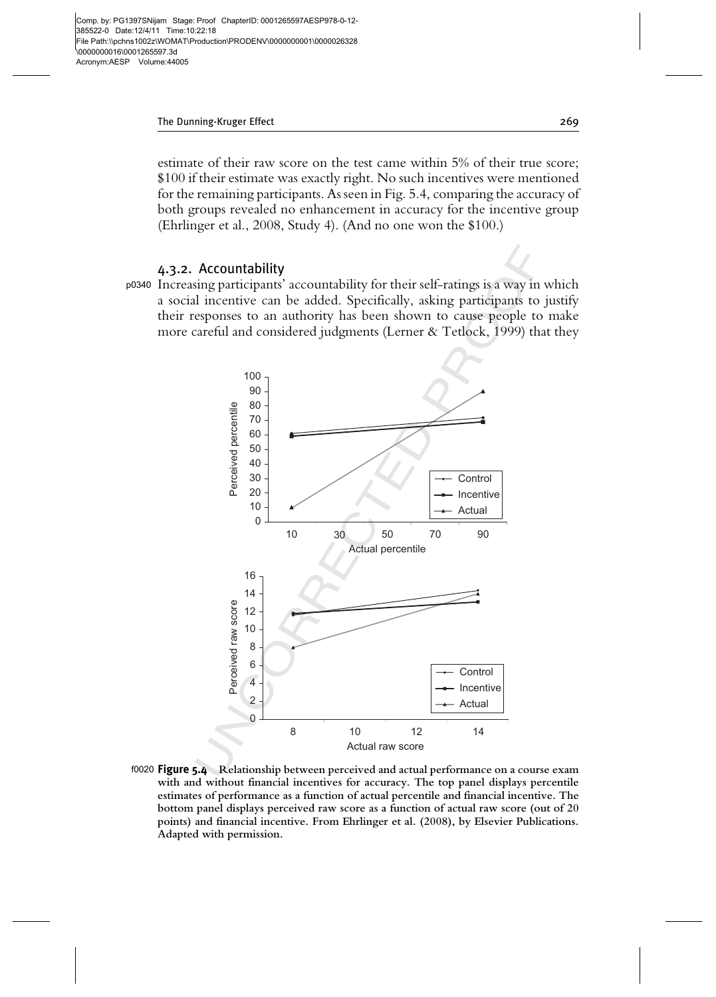#### The Dunning-Kruger Effect 269

estimate of their raw score on the test came within 5% of their true score; \$100 if their estimate was exactly right. No such incentives were mentioned for the remaining participants. As seen in Fig. 5.4, comparing the accuracy of both groups revealed no enhancement in accuracy for the incentive group (Ehrlinger et al., 2008, Study 4). (And no one won the \$100.)

### 4.3.2. Accountability

p0340 Increasing participants' accountability for their self-ratings is a way in which a social incentive can be added. Specifically, asking participants to justify their responses to an authority has been shown to cause people to make more careful and considered judgments (Lerner & Tetlock, 1999) that they



f0020 Figure 5.4 Relationship between perceived and actual performance on a course exam with and without financial incentives for accuracy. The top panel displays percentile estimates of performance as a function of actual percentile and financial incentive. The bottom panel displays perceived raw score as a function of actual raw score (out of 20 points) and financial incentive. From Ehrlinger et al. (2008), by Elsevier Publications. Adapted with permission.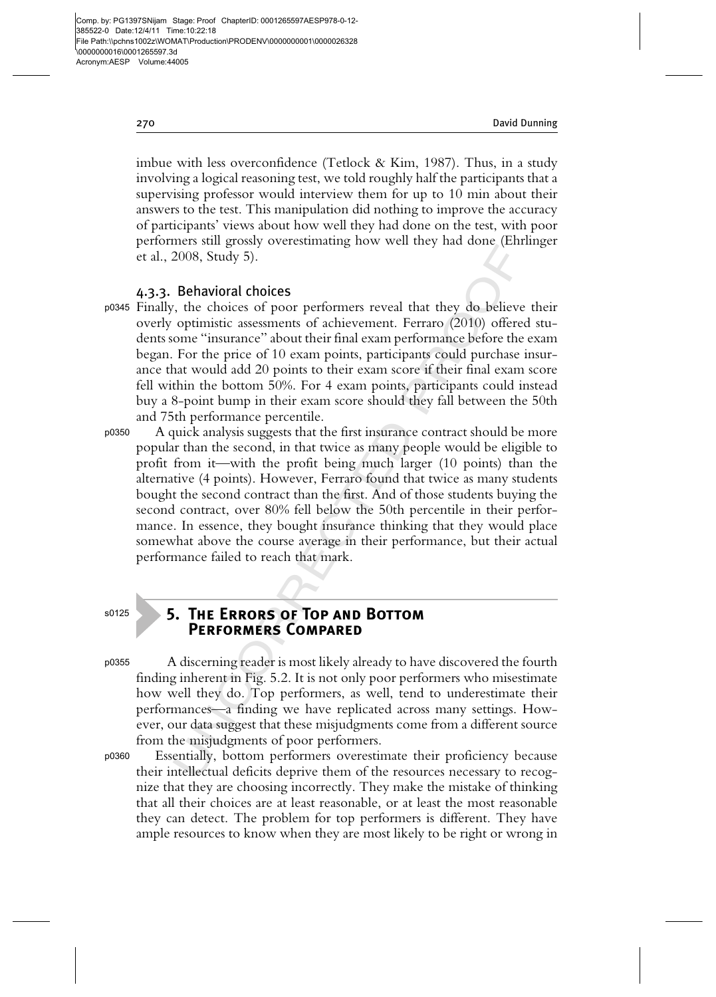270 David Dunning

imbue with less overconfidence (Tetlock & Kim, 1987). Thus, in a study involving a logical reasoning test, we told roughly half the participants that a supervising professor would interview them for up to 10 min about their answers to the test. This manipulation did nothing to improve the accuracy of participants' views about how well they had done on the test, with poor performers still grossly overestimating how well they had done (Ehrlinger et al., 2008, Study 5).

### 4.3.3. Behavioral choices

- Property and they do believe<br>Perraro (2010) offere<br>Performance before the<br>pants could purchase<br>core if their final exames, participants could if<br>they fall between the p0345 Finally, the choices of poor performers reveal that they do believe their overly optimistic assessments of achievement. Ferraro (2010) offered students some "insurance" about their final exam performance before the exam began. For the price of 10 exam points, participants could purchase insurance that would add 20 points to their exam score if their final exam score fell within the bottom 50%. For 4 exam points, participants could instead buy a 8-point bump in their exam score should they fall between the 50th and 75th performance percentile.
- un personance personance.<br>
unick analysis suggests that the first insurance<br>
ur than the second, in that twice as many person<br>
tive (4 points). However, Ferraro found th<br>
tive (4 points). However, Ferraro found th<br>
the sec p0350 A quick analysis suggests that the first insurance contract should be more popular than the second, in that twice as many people would be eligible to profit from it—with the profit being much larger (10 points) than the alternative (4 points). However, Ferraro found that twice as many students bought the second contract than the first. And of those students buying the second contract, over 80% fell below the 50th percentile in their performance. In essence, they bought insurance thinking that they would place somewhat above the course average in their performance, but their actual performance failed to reach that mark.

# s0125 5. THE ERRORS OF TOP AND BOTTOM Performers Compared

- p0355 A discerning reader is most likely already to have discovered the fourth finding inherent in Fig. 5.2. It is not only poor performers who misestimate how well they do. Top performers, as well, tend to underestimate their performances—a finding we have replicated across many settings. However, our data suggest that these misjudgments come from a different source from the misjudgments of poor performers.
- p0360 Essentially, bottom performers overestimate their proficiency because their intellectual deficits deprive them of the resources necessary to recognize that they are choosing incorrectly. They make the mistake of thinking that all their choices are at least reasonable, or at least the most reasonable they can detect. The problem for top performers is different. They have ample resources to know when they are most likely to be right or wrong in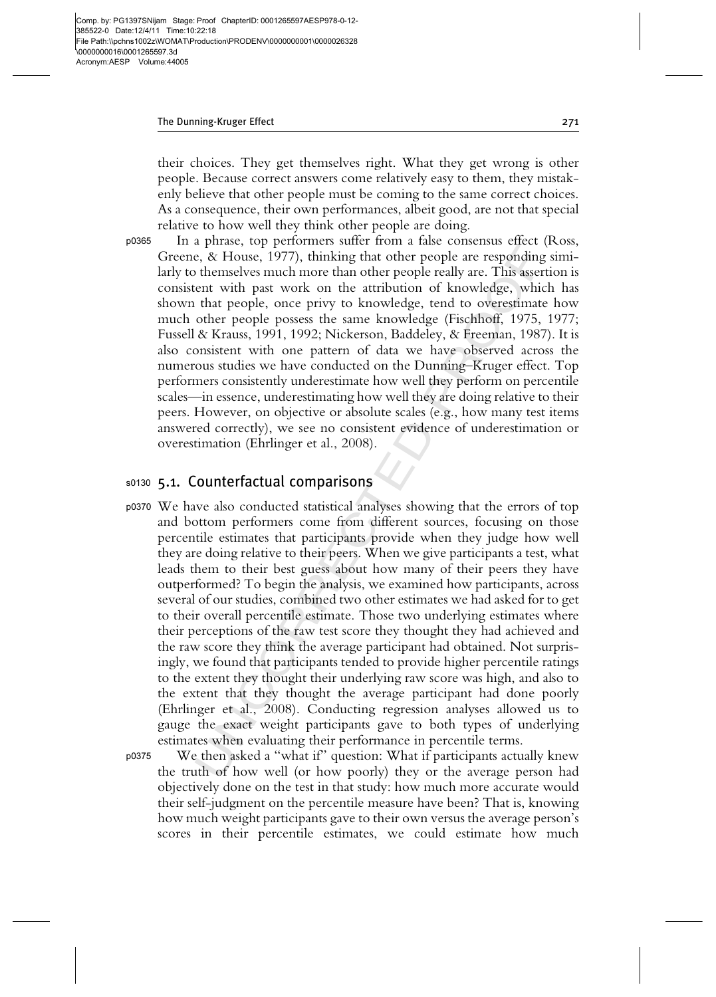their choices. They get themselves right. What they get wrong is other people. Because correct answers come relatively easy to them, they mistakenly believe that other people must be coming to the same correct choices. As a consequence, their own performances, albeit good, are not that special relative to how well they think other people are doing.

people are responding<br>le really are. This assert<br>of knowledge, which, tend to overestimate<br>dge (Fischhoff, 1975,<br>eley, & Freeman, 1987<br>chave observed acro<br>Dunning–Kruger effec<br>l they perform on perties of the set of the s p0365 In a phrase, top performers suffer from a false consensus effect (Ross, Greene, & House, 1977), thinking that other people are responding similarly to themselves much more than other people really are. This assertion is consistent with past work on the attribution of knowledge, which has shown that people, once privy to knowledge, tend to overestimate how much other people possess the same knowledge (Fischhoff, 1975, 1977; Fussell & Krauss, 1991, 1992; Nickerson, Baddeley, & Freeman, 1987). It is also consistent with one pattern of data we have observed across the numerous studies we have conducted on the Dunning–Kruger effect. Top performers consistently underestimate how well they perform on percentile scales—in essence, underestimating how well they are doing relative to their peers. However, on objective or absolute scales (e.g., how many test items answered correctly), we see no consistent evidence of underestimation or overestimation (Ehrlinger et al., 2008).

# s0130 5.1. Counterfactual comparisons

- read correctly), we see no consistent evider<br>timation (Ehrlinger et al., 2008).<br>Counterfactual comparisons<br>we also conducted statistical analyses show<br>outom performers come from different so<br>tile estimates that participant p0370 We have also conducted statistical analyses showing that the errors of top and bottom performers come from different sources, focusing on those percentile estimates that participants provide when they judge how well they are doing relative to their peers. When we give participants a test, what leads them to their best guess about how many of their peers they have outperformed? To begin the analysis, we examined how participants, across several of our studies, combined two other estimates we had asked for to get to their overall percentile estimate. Those two underlying estimates where their perceptions of the raw test score they thought they had achieved and the raw score they think the average participant had obtained. Not surprisingly, we found that participants tended to provide higher percentile ratings to the extent they thought their underlying raw score was high, and also to the extent that they thought the average participant had done poorly (Ehrlinger et al., 2008). Conducting regression analyses allowed us to gauge the exact weight participants gave to both types of underlying estimates when evaluating their performance in percentile terms.
- p0375 We then asked a "what if" question: What if participants actually knew the truth of how well (or how poorly) they or the average person had objectively done on the test in that study: how much more accurate would their self-judgment on the percentile measure have been? That is, knowing how much weight participants gave to their own versus the average person's scores in their percentile estimates, we could estimate how much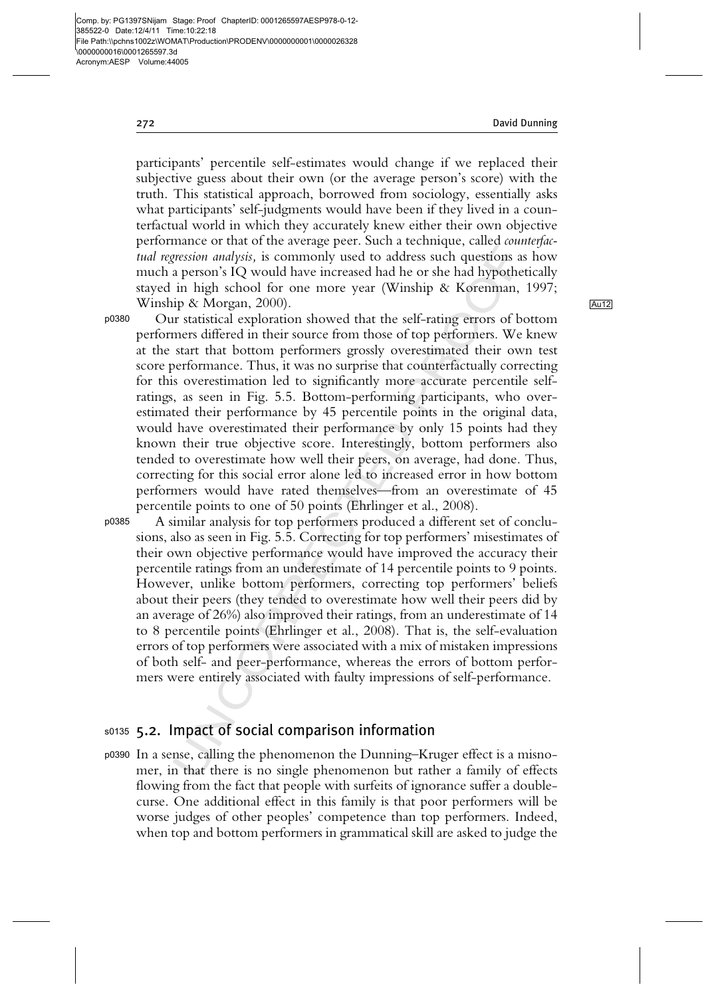272 David Dunning

participants' percentile self-estimates would change if we replaced their subjective guess about their own (or the average person's score) with the truth. This statistical approach, borrowed from sociology, essentially asks what participants' self-judgments would have been if they lived in a counterfactual world in which they accurately knew either their own objective performance or that of the average peer. Such a technique, called counterfactual regression analysis, is commonly used to address such questions as how much a person's IQ would have increased had he or she had hypothetically stayed in high school for one more year (Winship & Korenman, 1997; Winship & Morgan, 2000).  $\sqrt{\frac{A\mu}{2}}$ 

Free Sauch questions a<br>the or she had hypothe<br>inship & Korenman,<br>self-rating errors of b<br>of top performers. We<br>verestimated their ow<br>t counterfactually corre<br>accurate percentil<br>ng participants, who<br>noints in the origina p0380 Our statistical exploration showed that the self-rating errors of bottom performers differed in their source from those of top performers. We knew at the start that bottom performers grossly overestimated their own test score performance. Thus, it was no surprise that counterfactually correcting for this overestimation led to significantly more accurate percentile selfratings, as seen in Fig. 5.5. Bottom-performing participants, who overestimated their performance by 45 percentile points in the original data, would have overestimated their performance by only 15 points had they known their true objective score. Interestingly, bottom performers also tended to overestimate how well their peers, on average, had done. Thus, correcting for this social error alone led to increased error in how bottom performers would have rated themselves—from an overestimate of 45 percentile points to one of 50 points (Ehrlinger et al., 2008).

have overestimated their performance by<br>a their true objective score. Interestingly,<br>to overestimate how well their peers, on<br>ting for this social error alone led to increa<br>mers would have rated themselves—fron<br>tile points p0385 A similar analysis for top performers produced a different set of conclusions, also as seen in Fig. 5.5. Correcting for top performers' misestimates of their own objective performance would have improved the accuracy their percentile ratings from an underestimate of 14 percentile points to 9 points. However, unlike bottom performers, correcting top performers' beliefs about their peers (they tended to overestimate how well their peers did by an average of 26%) also improved their ratings, from an underestimate of 14 to 8 percentile points (Ehrlinger et al., 2008). That is, the self-evaluation errors of top performers were associated with a mix of mistaken impressions of both self- and peer-performance, whereas the errors of bottom performers were entirely associated with faulty impressions of self-performance.

# s0135 5.2. Impact of social comparison information

p0390 In a sense, calling the phenomenon the Dunning–Kruger effect is a misnomer, in that there is no single phenomenon but rather a family of effects flowing from the fact that people with surfeits of ignorance suffer a doublecurse. One additional effect in this family is that poor performers will be worse judges of other peoples' competence than top performers. Indeed, when top and bottom performers in grammatical skill are asked to judge the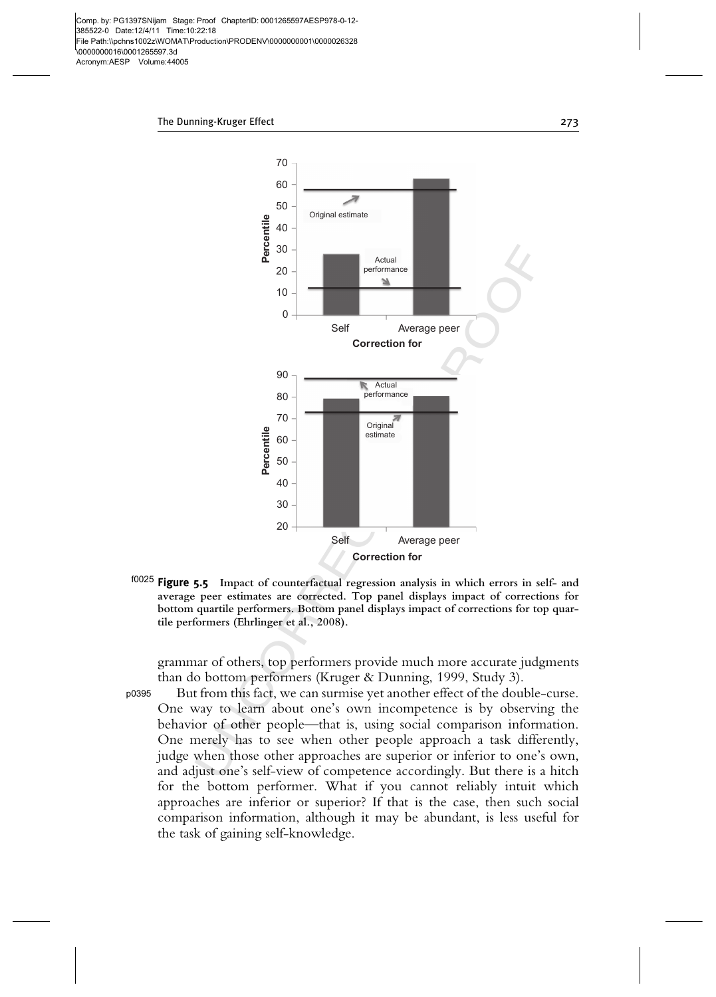The Dunning-Kruger Effect **273** 



 $f0025$  Figure 5.5 Impact of counterfactual regression analysis in which errors in self- and average peer estimates are corrected. Top panel displays impact of corrections for bottom quartile performers. Bottom panel displays impact of corrections for top quartile performers (Ehrlinger et al., 2008).

grammar of others, top performers provide much more accurate judgments than do bottom performers (Kruger & Dunning, 1999, Study 3).

p0395 But from this fact, we can surmise yet another effect of the double-curse. One way to learn about one's own incompetence is by observing the behavior of other people—that is, using social comparison information. One merely has to see when other people approach a task differently, judge when those other approaches are superior or inferior to one's own, and adjust one's self-view of competence accordingly. But there is a hitch for the bottom performer. What if you cannot reliably intuit which approaches are inferior or superior? If that is the case, then such social comparison information, although it may be abundant, is less useful for the task of gaining self-knowledge.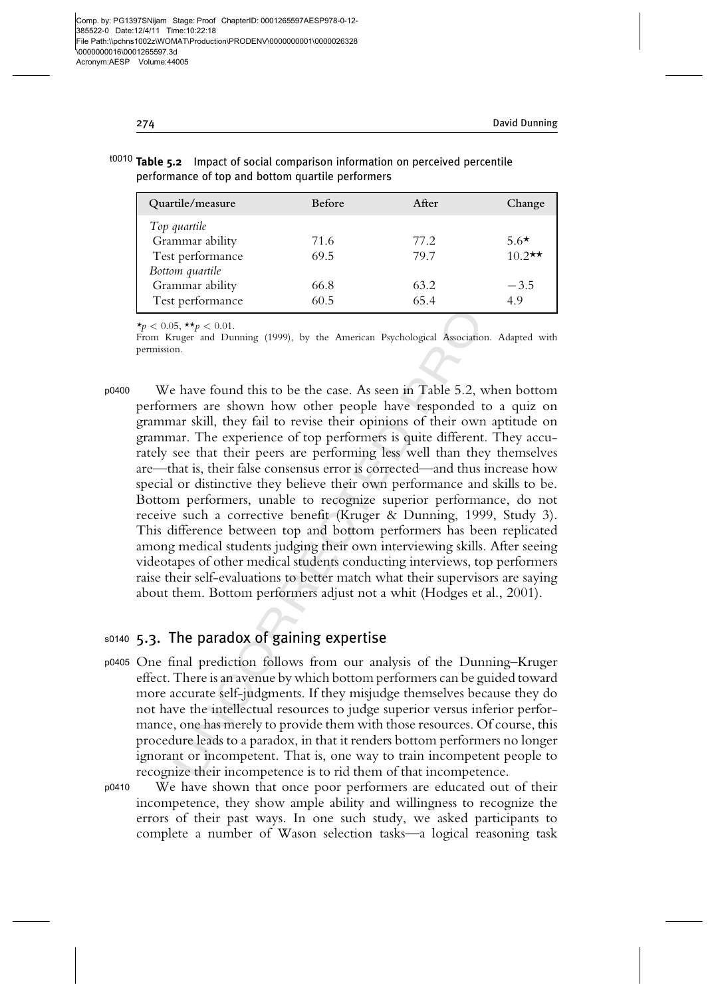| <sup>t0010</sup> Table 5.2 Impact of social comparison information on perceived percentile |
|--------------------------------------------------------------------------------------------|
| performance of top and bottom quartile performers                                          |

| Quartile/measure                                                                                                                                    | <b>Before</b> | After | Change    |
|-----------------------------------------------------------------------------------------------------------------------------------------------------|---------------|-------|-----------|
| Top quartile                                                                                                                                        |               |       |           |
| Grammar ability                                                                                                                                     | 71.6          | 77.2  | $5.6*$    |
| Test performance                                                                                                                                    | 69.5          | 79.7  | $10.2$ ** |
| Bottom quartile                                                                                                                                     |               |       |           |
| Grammar ability                                                                                                                                     | 66.8          | 63.2  | $-3.5$    |
| Test performance                                                                                                                                    | 60.5          | 65.4  | 4.9       |
| $\star_p$ < 0.05, $\star \star_p$ < 0.01.<br>From Kruger and Dunning (1999), by the American Psychological Association. Adapted with<br>permission. |               |       |           |
| We have found this to be the case. As seen in Table 5.2, when bottom<br>performers are shown how other people have responded to a quiz on           |               |       |           |

aar skill, they tail to revise their opinions<br>aar. The experience of top performers is quee that their peers are performing less we<br>hat is, their false consensus error is correctee<br>or distinctive they believe their own per p0400 We have found this to be the case. As seen in Table 5.2, when bottom performers are shown how other people have responded to a quiz on grammar skill, they fail to revise their opinions of their own aptitude on grammar. The experience of top performers is quite different. They accurately see that their peers are performing less well than they themselves are—that is, their false consensus error is corrected—and thus increase how special or distinctive they believe their own performance and skills to be. Bottom performers, unable to recognize superior performance, do not receive such a corrective benefit (Kruger & Dunning, 1999, Study 3). This difference between top and bottom performers has been replicated among medical students judging their own interviewing skills. After seeing videotapes of other medical students conducting interviews, top performers raise their self-evaluations to better match what their supervisors are saying about them. Bottom performers adjust not a whit (Hodges et al., 2001).

# s0140 5.3. The paradox of gaining expertise

- p0405 One final prediction follows from our analysis of the Dunning–Kruger effect. There is an avenue by which bottom performers can be guided toward more accurate self-judgments. If they misjudge themselves because they do not have the intellectual resources to judge superior versus inferior performance, one has merely to provide them with those resources. Of course, this procedure leads to a paradox, in that it renders bottom performers no longer ignorant or incompetent. That is, one way to train incompetent people to recognize their incompetence is to rid them of that incompetence.
- p0410 We have shown that once poor performers are educated out of their incompetence, they show ample ability and willingness to recognize the errors of their past ways. In one such study, we asked participants to complete a number of Wason selection tasks—a logical reasoning task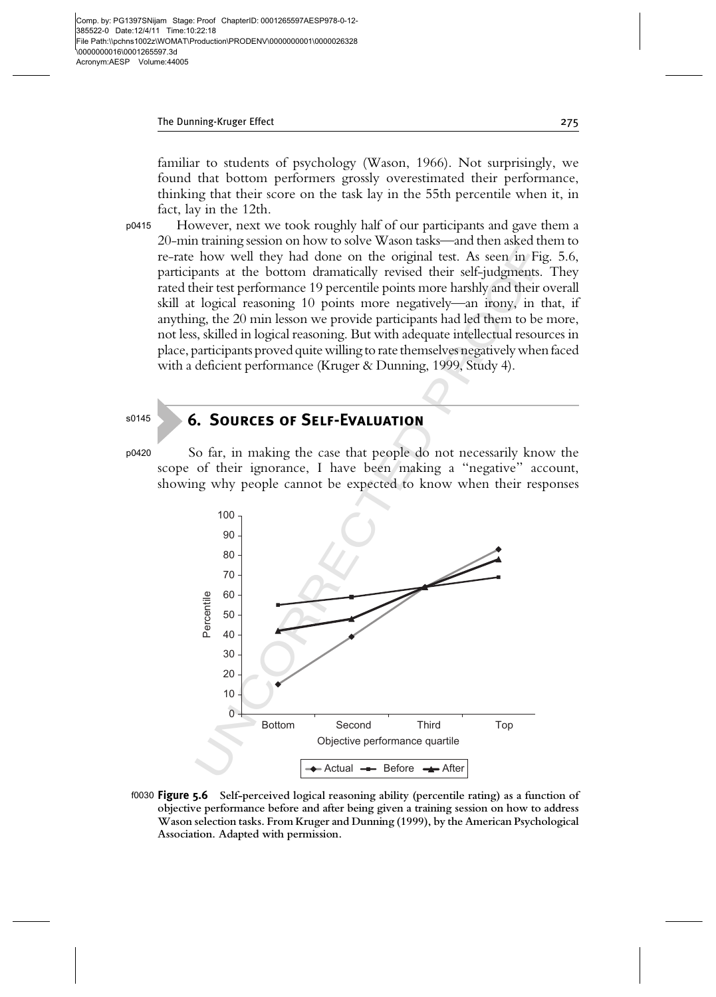familiar to students of psychology (Wason, 1966). Not surprisingly, we found that bottom performers grossly overestimated their performance, thinking that their score on the task lay in the 55th percentile when it, in fact, lay in the 12th.

all test. As seen in Fig.<br>1 all test. As seen in Fig.<br>1 their self-judgments.<br>2 more harshly and their<br>tively—an irony, in the shad led them to be<br>1 quate intellectual resours<br>1 means in the search of the search seen all t p0415 However, next we took roughly half of our participants and gave them a 20-min training session on how to solve Wason tasks—and then asked them to re-rate how well they had done on the original test. As seen in Fig. 5.6, participants at the bottom dramatically revised their self-judgments. They rated their test performance 19 percentile points more harshly and their overall skill at logical reasoning 10 points more negatively—an irony, in that, if anything, the 20 min lesson we provide participants had led them to be more, not less, skilled in logical reasoning. But with adequate intellectual resources in place, participants proved quite willing to rate themselves negatively when faced with a deficient performance (Kruger & Dunning, 1999, Study 4).

# s0145 6. SOURCES OF SELF-EVALUATION

p0420 So far, in making the case that people do not necessarily know the scope of their ignorance, I have been making a "negative" account, showing why people cannot be expected to know when their responses



f0030 Figure 5.6 Self-perceived logical reasoning ability (percentile rating) as a function of objective performance before and after being given a training session on how to address Wason selection tasks. From Kruger and Dunning (1999), by the American Psychological Association. Adapted with permission.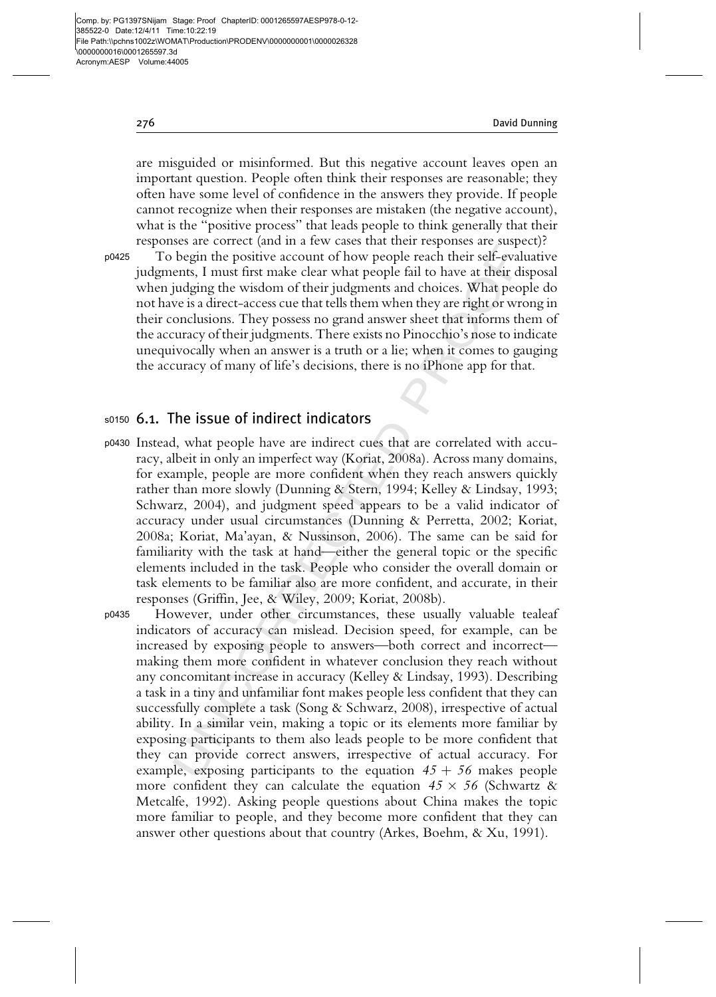are misguided or misinformed. But this negative account leaves open an important question. People often think their responses are reasonable; they often have some level of confidence in the answers they provide. If people cannot recognize when their responses are mistaken (the negative account), what is the "positive process" that leads people to think generally that their responses are correct (and in a few cases that their responses are suspect)?

Le reach their self-eval<br>fail to have at their d<br>md choices. What peo<br>en they are right or wr<br>r sheet that informs the<br>Pinocchio's nose to in<br>e; when it comes to g;<br>no iPhone app for th p0425 To begin the positive account of how people reach their self-evaluative judgments, I must first make clear what people fail to have at their disposal when judging the wisdom of their judgments and choices. What people do not have is a direct-access cue that tells them when they are right or wrong in their conclusions. They possess no grand answer sheet that informs them of the accuracy of their judgments. There exists no Pinocchio's nose to indicate unequivocally when an answer is a truth or a lie; when it comes to gauging the accuracy of many of life's decisions, there is no iPhone app for that.

# s0150 6.1. The issue of indirect indicators

p0430 Instead, what people have are indirect cues that are correlated with accuracy, albeit in only an imperfect way (Koriat, 2008a). Across many domains, for example, people are more confident when they reach answers quickly rather than more slowly (Dunning & Stern, 1994; Kelley & Lindsay, 1993; Schwarz, 2004), and judgment speed appears to be a valid indicator of accuracy under usual circumstances (Dunning & Perretta, 2002; Koriat, 2008a; Koriat, Ma'ayan, & Nussinson, 2006). The same can be said for familiarity with the task at hand—either the general topic or the specific elements included in the task. People who consider the overall domain or task elements to be familiar also are more confident, and accurate, in their responses (Griffin, Jee, & Wiley, 2009; Koriat, 2008b).

It is use of muntect mutcators<br>d, what people have are indirect cues that<br>lbeit in only an imperfect way (Koriat, 2008<br>ample, people are more confident when th<br>than more slowly (Dunning & Stern, 1994<br>rz, 2004), and judgmen p0435 However, under other circumstances, these usually valuable tealeaf indicators of accuracy can mislead. Decision speed, for example, can be increased by exposing people to answers—both correct and incorrect making them more confident in whatever conclusion they reach without any concomitant increase in accuracy (Kelley & Lindsay, 1993). Describing a task in a tiny and unfamiliar font makes people less confident that they can successfully complete a task (Song & Schwarz, 2008), irrespective of actual ability. In a similar vein, making a topic or its elements more familiar by exposing participants to them also leads people to be more confident that they can provide correct answers, irrespective of actual accuracy. For example, exposing participants to the equation  $45 + 56$  makes people more confident they can calculate the equation  $45 \times 56$  (Schwartz & Metcalfe, 1992). Asking people questions about China makes the topic more familiar to people, and they become more confident that they can answer other questions about that country (Arkes, Boehm, & Xu, 1991).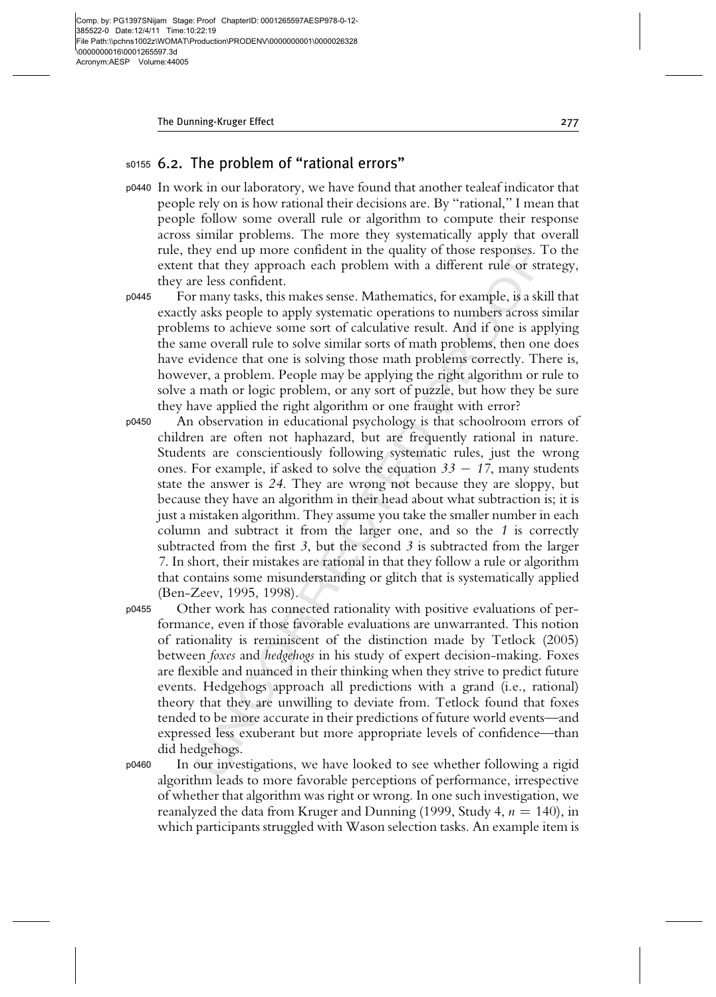# s0155 6.2. The problem of "rational errors"

- p0440 In work in our laboratory, we have found that another tealeaf indicator that people rely on is how rational their decisions are. By "rational," I mean that people follow some overall rule or algorithm to compute their response across similar problems. The more they systematically apply that overall rule, they end up more confident in the quality of those responses. To the extent that they approach each problem with a different rule or strategy, they are less confident.
- y of those responses. <br>
a different rule or str<br>
ics, for example, is a sk<br>
ms to numbers across :<br>
sesult. And if one is ap<br>
ath problems, then on<br>
roblems correctly. Th<br>
he right algorithm or 1<br>
uzzle, but how they b<br>
au p0445 For many tasks, this makes sense. Mathematics, for example, is a skill that exactly asks people to apply systematic operations to numbers across similar problems to achieve some sort of calculative result. And if one is applying the same overall rule to solve similar sorts of math problems, then one does have evidence that one is solving those math problems correctly. There is, however, a problem. People may be applying the right algorithm or rule to solve a math or logic problem, or any sort of puzzle, but how they be sure they have applied the right algorithm or one fraught with error?
- observation in educational psychology is the are often not haphazard, but are frequents are conscientiously following systemate of or example, if asked to solve the equation ne answer is 24. They are wrong not bece they h p0450 An observation in educational psychology is that schoolroom errors of children are often not haphazard, but are frequently rational in nature. Students are conscientiously following systematic rules, just the wrong ones. For example, if asked to solve the equation  $33 - 17$ , many students state the answer is 24. They are wrong not because they are sloppy, but because they have an algorithm in their head about what subtraction is; it is just a mistaken algorithm. They assume you take the smaller number in each column and subtract it from the larger one, and so the 1 is correctly subtracted from the first 3, but the second 3 is subtracted from the larger 7. In short, their mistakes are rational in that they follow a rule or algorithm that contains some misunderstanding or glitch that is systematically applied (Ben-Zeev, 1995, 1998).
- p0455 Other work has connected rationality with positive evaluations of performance, even if those favorable evaluations are unwarranted. This notion of rationality is reminiscent of the distinction made by Tetlock (2005) between foxes and hedgehogs in his study of expert decision-making. Foxes are flexible and nuanced in their thinking when they strive to predict future events. Hedgehogs approach all predictions with a grand (i.e., rational) theory that they are unwilling to deviate from. Tetlock found that foxes tended to be more accurate in their predictions of future world events—and expressed less exuberant but more appropriate levels of confidence—than did hedgehogs.
- 

p0460 In our investigations, we have looked to see whether following a rigid algorithm leads to more favorable perceptions of performance, irrespective of whether that algorithm was right or wrong. In one such investigation, we reanalyzed the data from Kruger and Dunning (1999, Study 4,  $n = 140$ ), in which participants struggled with Wason selection tasks. An example item is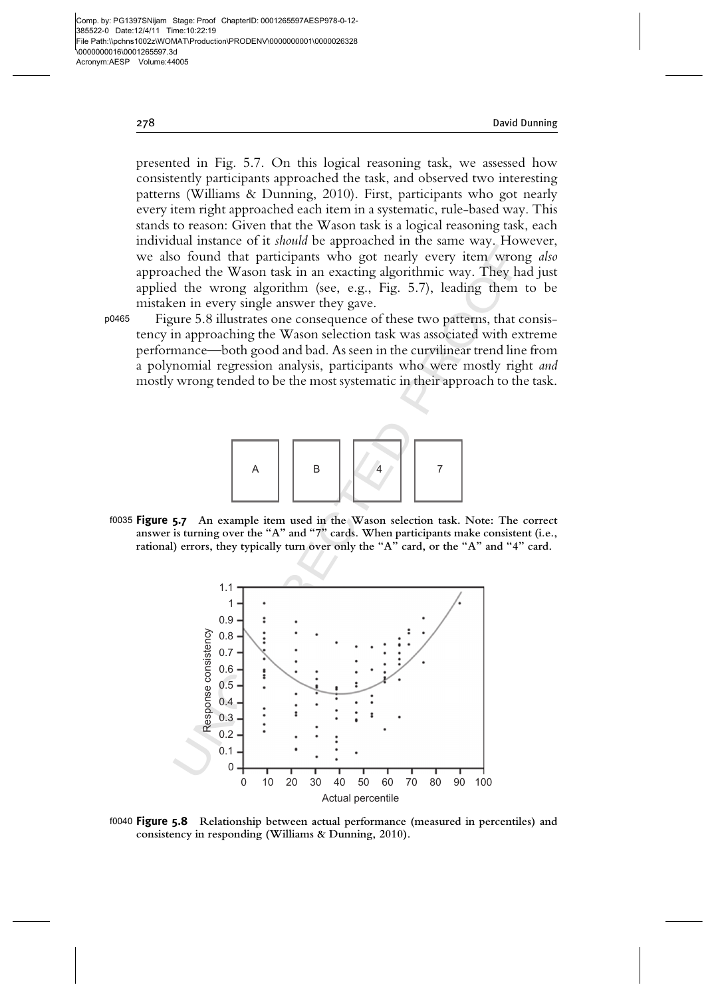presented in Fig. 5.7. On this logical reasoning task, we assessed how consistently participants approached the task, and observed two interesting patterns (Williams & Dunning, 2010). First, participants who got nearly every item right approached each item in a systematic, rule-based way. This stands to reason: Given that the Wason task is a logical reasoning task, each individual instance of it should be approached in the same way. However, we also found that participants who got nearly every item wrong also approached the Wason task in an exacting algorithmic way. They had just applied the wrong algorithm (see, e.g., Fig. 5.7), leading them to be mistaken in every single answer they gave.

Figure 1.1 They have the word of the STA and the STA and the STA and the set two patterns, that cover a control of the control of the control of the control of the set of the set of the set of the set of the set of the set p0465 Figure 5.8 illustrates one consequence of these two patterns, that consistency in approaching the Wason selection task was associated with extreme performance—both good and bad. As seen in the curvilinear trend line from a polynomial regression analysis, participants who were mostly right and mostly wrong tended to be the most systematic in their approach to the task.



f0035 Figure 5.7 An example item used in the Wason selection task. Note: The correct answer is turning over the "A" and "7" cards. When participants make consistent (i.e., rational) errors, they typically turn over only the "A" card, or the "A" and "4" card.



f0040 Figure 5.8 Relationship between actual performance (measured in percentiles) and consistency in responding (Williams & Dunning, 2010).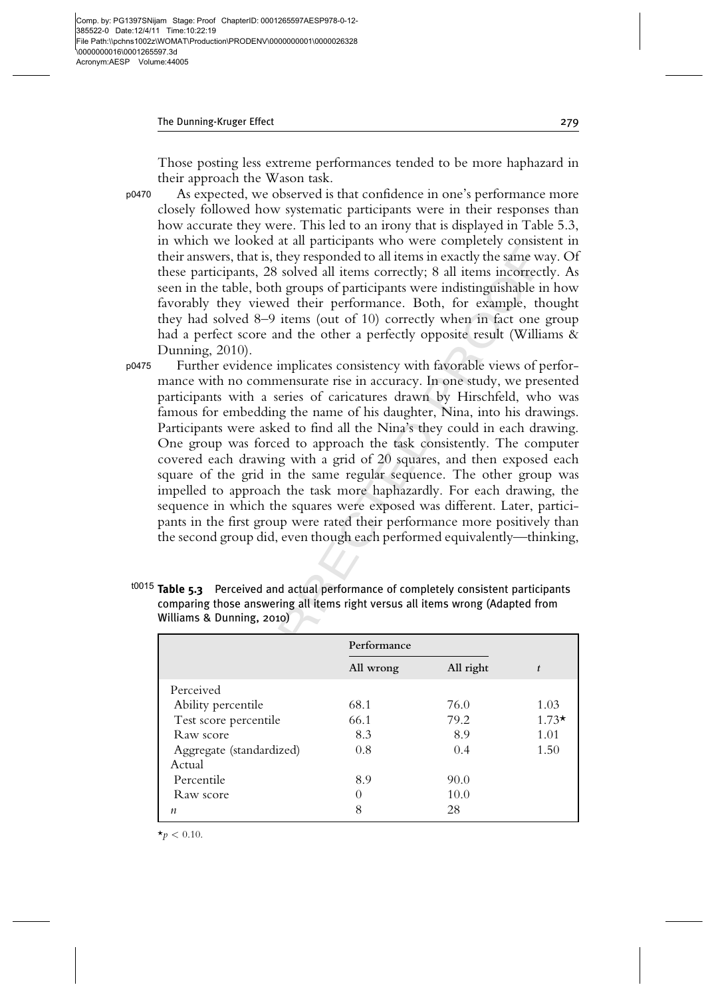Those posting less extreme performances tended to be more haphazard in their approach the Wason task.

- Fig. is in exactly the same w<br>
is in exactly the same w<br>
is in exactly the same w<br>
is incorrect<br>
ere indistinguishable is<br>
oth, for example, the<br>
dy when in fact one<br>
opposite result (Willia<br>
ch favorable views of p<br>
In on p0470 As expected, we observed is that confidence in one's performance more closely followed how systematic participants were in their responses than how accurate they were. This led to an irony that is displayed in Table 5.3, in which we looked at all participants who were completely consistent in their answers, that is, they responded to all items in exactly the same way. Of these participants, 28 solved all items correctly; 8 all items incorrectly. As seen in the table, both groups of participants were indistinguishable in how favorably they viewed their performance. Both, for example, thought they had solved 8–9 items (out of 10) correctly when in fact one group had a perfect score and the other a perfectly opposite result (Williams & Dunning, 2010).
- p0475 Further evidence implicates consistency with favorable views of performance with no commensurate rise in accuracy. In one study, we presented participants with a series of caricatures drawn by Hirschfeld, who was famous for embedding the name of his daughter, Nina, into his drawings. Participants were asked to find all the Nina's they could in each drawing. One group was forced to approach the task consistently. The computer covered each drawing with a grid of 20 squares, and then exposed each square of the grid in the same regular sequence. The other group was impelled to approach the task more haphazardly. For each drawing, the sequence in which the squares were exposed was different. Later, participants in the first group were rated their performance more positively than the second group did, even though each performed equivalently—thinking,

| Participants were asked to find all the Nina's they could in each drawing.<br>One group was forced to approach the task consistently. The computer<br>covered each drawing with a grid of 20 squares, and then exposed each<br>square of the grid in the same regular sequence. The other group was<br>impelled to approach the task more haphazardly. For each drawing, the<br>sequence in which the squares were exposed was different. Later, partici-<br>pants in the first group were rated their performance more positively than<br>the second group did, even though each performed equivalently—thinking,<br>Table 5.3 Perceived and actual performance of completely consistent participants<br>comparing those answering all items right versus all items wrong (Adapted from<br>Williams & Dunning, 2010) |                |           |                |  |
|-----------------------------------------------------------------------------------------------------------------------------------------------------------------------------------------------------------------------------------------------------------------------------------------------------------------------------------------------------------------------------------------------------------------------------------------------------------------------------------------------------------------------------------------------------------------------------------------------------------------------------------------------------------------------------------------------------------------------------------------------------------------------------------------------------------------------|----------------|-----------|----------------|--|
| Performance                                                                                                                                                                                                                                                                                                                                                                                                                                                                                                                                                                                                                                                                                                                                                                                                           |                |           |                |  |
|                                                                                                                                                                                                                                                                                                                                                                                                                                                                                                                                                                                                                                                                                                                                                                                                                       | All wrong      | All right | $\mathfrak{t}$ |  |
| Perceived                                                                                                                                                                                                                                                                                                                                                                                                                                                                                                                                                                                                                                                                                                                                                                                                             |                |           |                |  |
| Ability percentile                                                                                                                                                                                                                                                                                                                                                                                                                                                                                                                                                                                                                                                                                                                                                                                                    | 68.1           | 76.0      | 1.03           |  |
| Test score percentile                                                                                                                                                                                                                                                                                                                                                                                                                                                                                                                                                                                                                                                                                                                                                                                                 | 66.1           | 79.2      | $1.73*$        |  |
| Raw score                                                                                                                                                                                                                                                                                                                                                                                                                                                                                                                                                                                                                                                                                                                                                                                                             | 8.3            | 8.9       | 1.01           |  |
| Aggregate (standardized)                                                                                                                                                                                                                                                                                                                                                                                                                                                                                                                                                                                                                                                                                                                                                                                              | 0.8            | 0.4       | 1.50           |  |
| Actual                                                                                                                                                                                                                                                                                                                                                                                                                                                                                                                                                                                                                                                                                                                                                                                                                |                |           |                |  |
| Percentile                                                                                                                                                                                                                                                                                                                                                                                                                                                                                                                                                                                                                                                                                                                                                                                                            | 8.9            | 90.0      |                |  |
| Raw score                                                                                                                                                                                                                                                                                                                                                                                                                                                                                                                                                                                                                                                                                                                                                                                                             | $\overline{0}$ | 10.0      |                |  |
| n                                                                                                                                                                                                                                                                                                                                                                                                                                                                                                                                                                                                                                                                                                                                                                                                                     | 8              | 28        |                |  |

 $t0015$  Table 5.3 Perceived and actual performance of completely consistent participants comparing those answering all items right versus all items wrong (Adapted from Williams & Dunning, 2010)

 $\star_p$  < 0.10.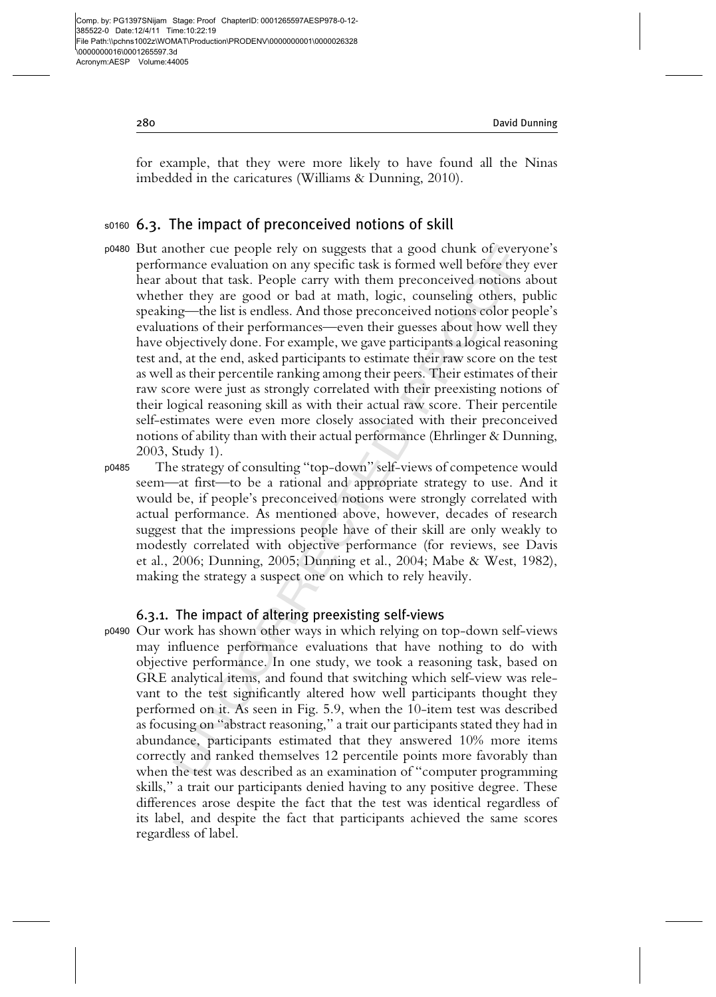280 David Dunning

for example, that they were more likely to have found all the Ninas imbedded in the caricatures (Williams & Dunning, 2010).

# s0160 6.3. The impact of preconceived notions of skill

- a good chunk of ever<br>formed well before the<br>preconceived notions<br>c, counseling others,<br>eived notions color pe<br>guesses about how we<br>precise at their raw score on t<br>eers. Their estimates of<br>their preexisting notions are seen p0480 But another cue people rely on suggests that a good chunk of everyone's performance evaluation on any specific task is formed well before they ever hear about that task. People carry with them preconceived notions about whether they are good or bad at math, logic, counseling others, public speaking—the list is endless. And those preconceived notions color people's evaluations of their performances—even their guesses about how well they have objectively done. For example, we gave participants a logical reasoning test and, at the end, asked participants to estimate their raw score on the test as well as their percentile ranking among their peers. Their estimates of their raw score were just as strongly correlated with their preexisting notions of their logical reasoning skill as with their actual raw score. Their percentile self-estimates were even more closely associated with their preconceived notions of ability than with their actual performance (Ehrlinger & Dunning, 2003, Study 1).
- p0485 The strategy of consulting "top-down" self-views of competence would seem—at first—to be a rational and appropriate strategy to use. And it would be, if people's preconceived notions were strongly correlated with actual performance. As mentioned above, however, decades of research suggest that the impressions people have of their skill are only weakly to modestly correlated with objective performance (for reviews, see Davis et al., 2006; Dunning, 2005; Dunning et al., 2004; Mabe & West, 1982), making the strategy a suspect one on which to rely heavily.

#### 6.3.1. The impact of altering preexisting self-views

imates were even more closely associated<br>s of ability than with their actual performan<br>Study 1).<br>e strategy of consulting "top-down" self-vie-<br>at first—to be a rational and appropriatt<br>be, if people's preconceived notions p0490 Our work has shown other ways in which relying on top-down self-views may influence performance evaluations that have nothing to do with objective performance. In one study, we took a reasoning task, based on GRE analytical items, and found that switching which self-view was relevant to the test significantly altered how well participants thought they performed on it. As seen in Fig. 5.9, when the 10-item test was described as focusing on "abstract reasoning," a trait our participants stated they had in abundance, participants estimated that they answered 10% more items correctly and ranked themselves 12 percentile points more favorably than when the test was described as an examination of "computer programming skills," a trait our participants denied having to any positive degree. These differences arose despite the fact that the test was identical regardless of its label, and despite the fact that participants achieved the same scores regardless of label.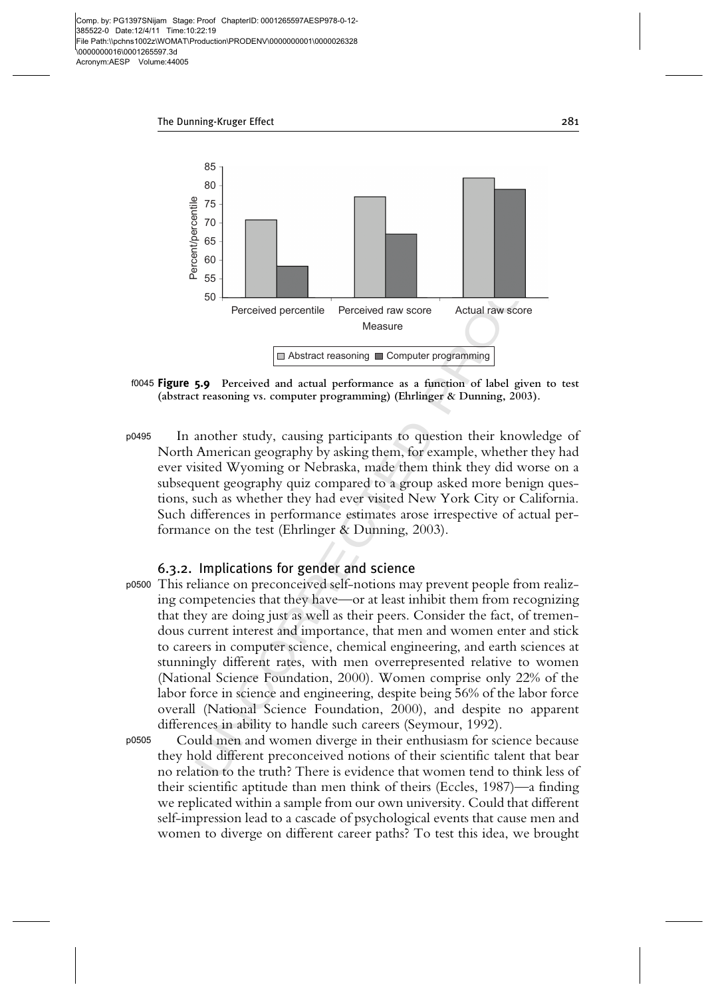The Dunning-Kruger Effect 281



- f0045 Figure 5.9 Perceived and actual performance as a function of label given to test (abstract reasoning vs. computer programming) (Ehrlinger & Dunning, 2003).
- p0495 In another study, causing participants to question their knowledge of North American geography by asking them, for example, whether they had ever visited Wyoming or Nebraska, made them think they did worse on a subsequent geography quiz compared to a group asked more benign questions, such as whether they had ever visited New York City or California. Such differences in performance estimates arose irrespective of actual performance on the test (Ehrlinger & Dunning, 2003).

# 6.3.2. Implications for gender and science

- another study, causing participants to que<br>American geography by asking them, for existed Wyoming or Nebraska, made them t<br>uent geography quiz compared to a group<br>uch as whether they had ever visited New<br>uffferences in per p0500 This reliance on preconceived self-notions may prevent people from realizing competencies that they have—or at least inhibit them from recognizing that they are doing just as well as their peers. Consider the fact, of tremendous current interest and importance, that men and women enter and stick to careers in computer science, chemical engineering, and earth sciences at stunningly different rates, with men overrepresented relative to women (National Science Foundation, 2000). Women comprise only 22% of the labor force in science and engineering, despite being 56% of the labor force overall (National Science Foundation, 2000), and despite no apparent differences in ability to handle such careers (Seymour, 1992).
- p0505 Could men and women diverge in their enthusiasm for science because they hold different preconceived notions of their scientific talent that bear no relation to the truth? There is evidence that women tend to think less of their scientific aptitude than men think of theirs (Eccles, 1987)—a finding we replicated within a sample from our own university. Could that different self-impression lead to a cascade of psychological events that cause men and women to diverge on different career paths? To test this idea, we brought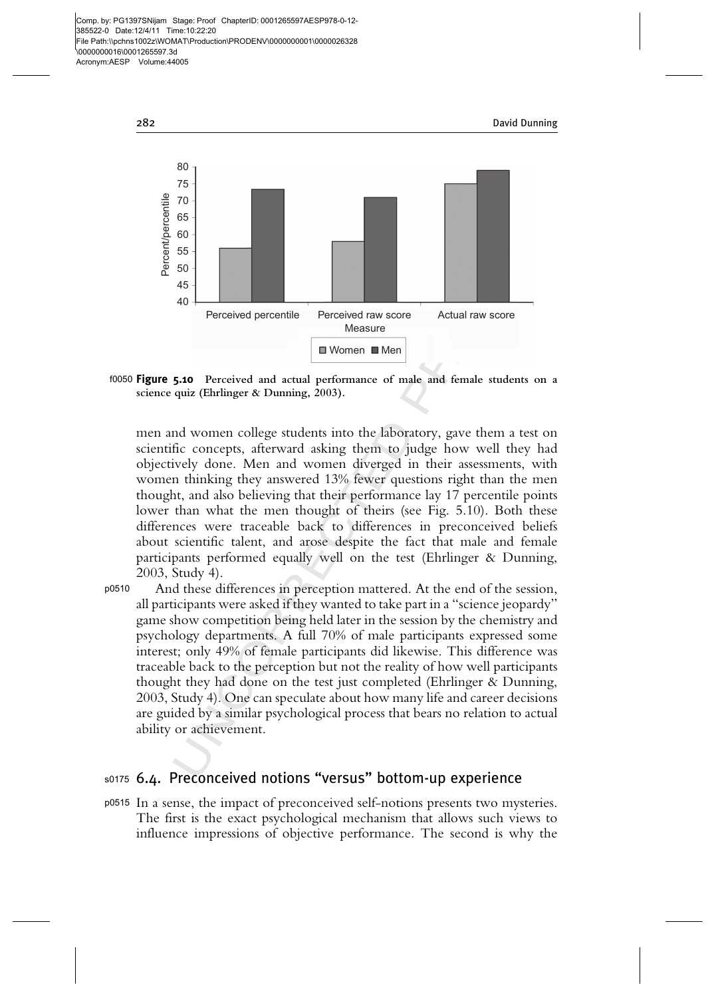

f0050 Figure 5.10 Perceived and actual performance of male and female students on a science quiz (Ehrlinger & Dunning, 2003).

nd women college students into the laboration<br>fic concepts, afterward asking them to juvely done. Men and women diverged in<br>thinking they answered 13% fewer ques<br>than what the men thought of theirs (se<br>mees were traceable men and women college students into the laboratory, gave them a test on scientific concepts, afterward asking them to judge how well they had objectively done. Men and women diverged in their assessments, with women thinking they answered 13% fewer questions right than the men thought, and also believing that their performance lay 17 percentile points lower than what the men thought of theirs (see Fig. 5.10). Both these differences were traceable back to differences in preconceived beliefs about scientific talent, and arose despite the fact that male and female participants performed equally well on the test (Ehrlinger & Dunning, 2003, Study 4).

p0510 And these differences in perception mattered. At the end of the session, all participants were asked if they wanted to take part in a "science jeopardy" game show competition being held later in the session by the chemistry and psychology departments. A full 70% of male participants expressed some interest; only 49% of female participants did likewise. This difference was traceable back to the perception but not the reality of how well participants thought they had done on the test just completed (Ehrlinger & Dunning, 2003, Study 4). One can speculate about how many life and career decisions are guided by a similar psychological process that bears no relation to actual ability or achievement.

# s0175 6.4. Preconceived notions "versus" bottom-up experience

p0515 In a sense, the impact of preconceived self-notions presents two mysteries. The first is the exact psychological mechanism that allows such views to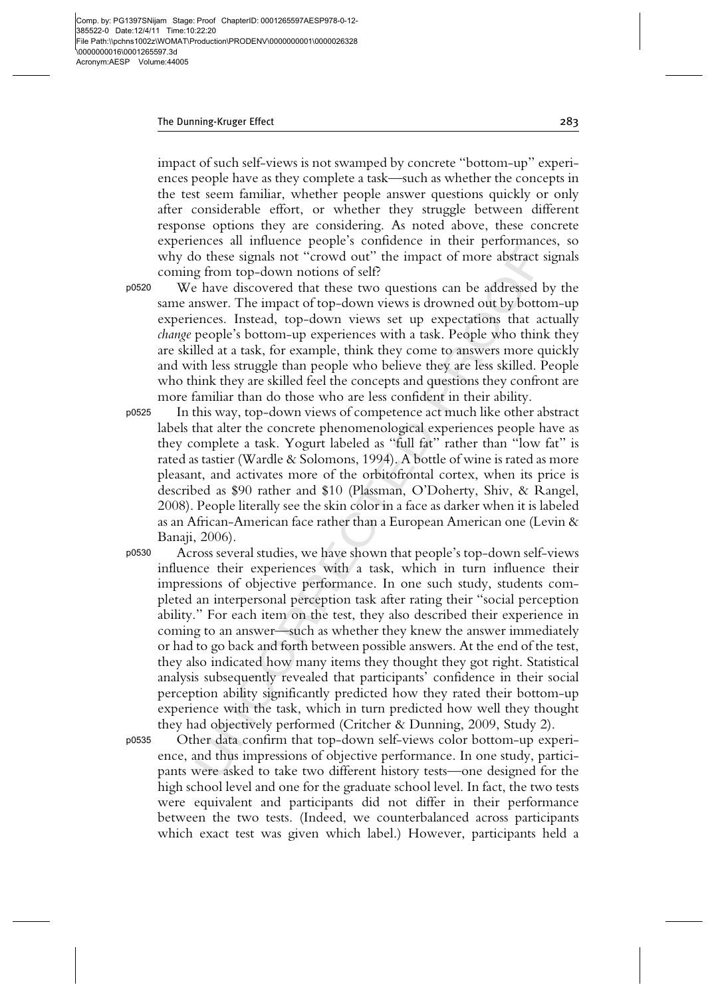#### The Dunning-Kruger Effect 283

impact of such self-views is not swamped by concrete "bottom-up" experiences people have as they complete a task—such as whether the concepts in the test seem familiar, whether people answer questions quickly or only after considerable effort, or whether they struggle between different response options they are considering. As noted above, these concrete experiences all influence people's confidence in their performances, so why do these signals not "crowd out" the impact of more abstract signals coming from top-down notions of self?

and the pre-abstract<br>ons can be addressed do<br>drowned out by botto<br>o expectations that a<br>task. People who thin<br>me to answers more q<br>they are less skilled. If<br>questions they confront in their ability. p0520 We have discovered that these two questions can be addressed by the same answer. The impact of top-down views is drowned out by bottom-up experiences. Instead, top-down views set up expectations that actually change people's bottom-up experiences with a task. People who think they are skilled at a task, for example, think they come to answers more quickly and with less struggle than people who believe they are less skilled. People who think they are skilled feel the concepts and questions they confront are more familiar than do those who are less confident in their ability.

- p0525 In this way, top-down views of competence act much like other abstract labels that alter the concrete phenomenological experiences people have as they complete a task. Yogurt labeled as "full fat" rather than "low fat" is rated as tastier (Wardle & Solomons, 1994). A bottle of wine is rated as more pleasant, and activates more of the orbitofrontal cortex, when its price is described as \$90 rather and \$10 (Plassman, O'Doherty, Shiv, & Rangel, 2008). People literally see the skin color in a face as darker when it is labeled as an African-American face rather than a European American one (Levin & Banaji, 2006).
- that alter the concrete phenomenological e<br>omplete a task. Yogurt labeled as "full fat"<br>s tastier (Wardle & Solomons, 1994). A bott<br>t, and activates more of the orbitofrontal<br>bed as \$90 rather and \$10 (Plassman, O'L<br>People p0530 Across several studies, we have shown that people's top-down self-views influence their experiences with a task, which in turn influence their impressions of objective performance. In one such study, students completed an interpersonal perception task after rating their "social perception ability." For each item on the test, they also described their experience in coming to an answer—such as whether they knew the answer immediately or had to go back and forth between possible answers. At the end of the test, they also indicated how many items they thought they got right. Statistical analysis subsequently revealed that participants' confidence in their social perception ability significantly predicted how they rated their bottom-up experience with the task, which in turn predicted how well they thought they had objectively performed (Critcher & Dunning, 2009, Study 2).
- p0535 Other data confirm that top-down self-views color bottom-up experience, and thus impressions of objective performance. In one study, participants were asked to take two different history tests—one designed for the high school level and one for the graduate school level. In fact, the two tests were equivalent and participants did not differ in their performance between the two tests. (Indeed, we counterbalanced across participants which exact test was given which label.) However, participants held a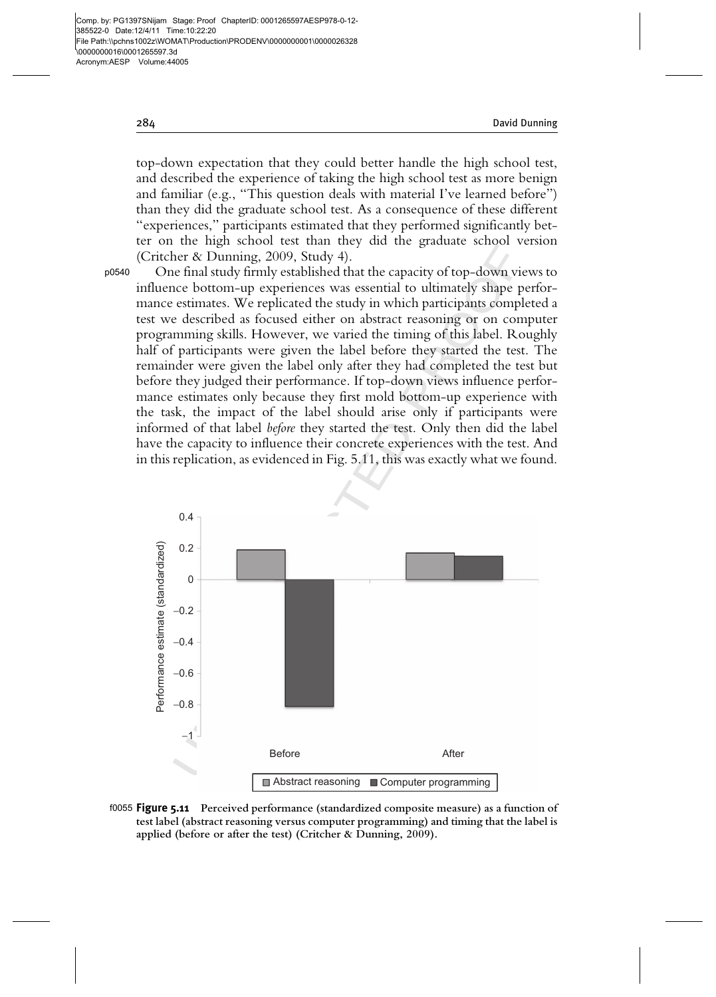top-down expectation that they could better handle the high school test, and described the experience of taking the high school test as more benign and familiar (e.g., "This question deals with material I've learned before") than they did the graduate school test. As a consequence of these different "experiences," participants estimated that they performed significantly better on the high school test than they did the graduate school version (Critcher & Dunning, 2009, Study 4).

pacity of top-down vio<br>to ultimately shape p<br>ich participants complicants<br>reasoning or on con<br>ming of this label. Referred the test<br>had completed the test<br>bown views influence p<br>bottom-up experience p0540 One final study firmly established that the capacity of top-down views to influence bottom-up experiences was essential to ultimately shape performance estimates. We replicated the study in which participants completed a test we described as focused either on abstract reasoning or on computer programming skills. However, we varied the timing of this label. Roughly half of participants were given the label before they started the test. The remainder were given the label only after they had completed the test but before they judged their performance. If top-down views influence performance estimates only because they first mold bottom-up experience with the task, the impact of the label should arise only if participants were informed of that label before they started the test. Only then did the label have the capacity to influence their concrete experiences with the test. And in this replication, as evidenced in Fig. 5.11, this was exactly what we found.



f0055 Figure 5.11 Perceived performance (standardized composite measure) as a function of test label (abstract reasoning versus computer programming) and timing that the label is applied (before or after the test) (Critcher & Dunning, 2009).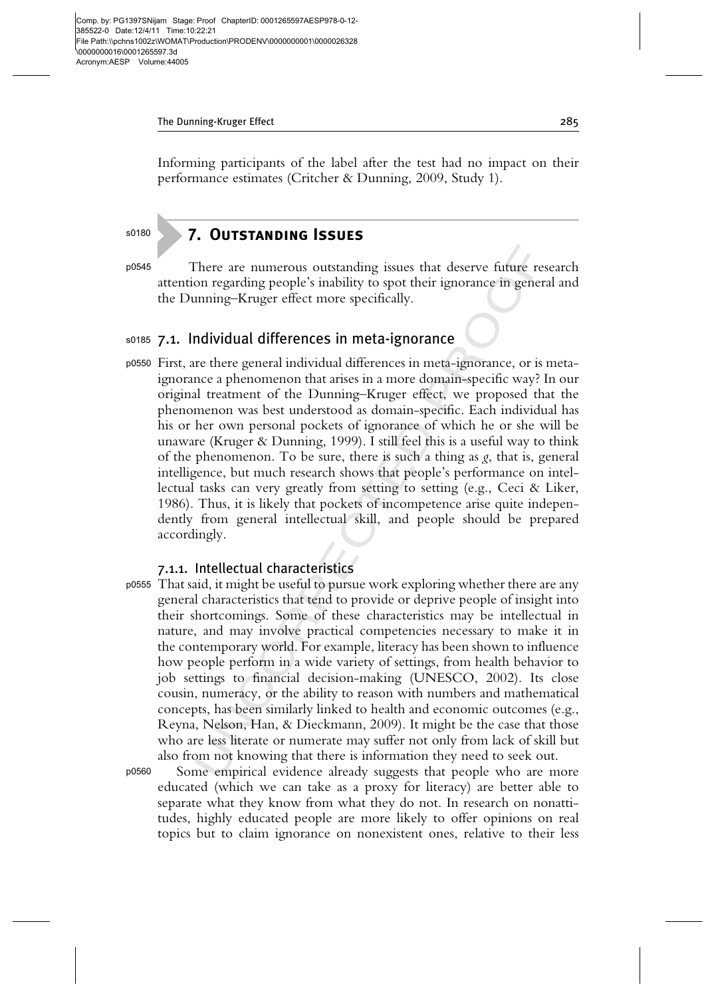The Dunning-Kruger Effect 285

Informing participants of the label after the test had no impact on their performance estimates (Critcher & Dunning, 2009, Study 1).

# s0180 7. OUTSTANDING ISSUES

p0545 There are numerous outstanding issues that deserve future research attention regarding people's inability to spot their ignorance in general and the Dunning–Kruger effect more specifically.

# s0185 7.1. Individual differences in meta-ignorance

that deserve future re<br>
eir ignorance in gener<br> **rance**<br>
meta-ignorance, or is<br>
domain-specific way?<br>
Fect, we proposed the<br>
specific. Each individues p0550 First, are there general individual differences in meta-ignorance, or is metaignorance a phenomenon that arises in a more domain-specific way? In our original treatment of the Dunning–Kruger effect, we proposed that the phenomenon was best understood as domain-specific. Each individual has his or her own personal pockets of ignorance of which he or she will be unaware (Kruger & Dunning, 1999). I still feel this is a useful way to think of the phenomenon. To be sure, there is such a thing as  $g$ , that is, general intelligence, but much research shows that people's performance on intellectual tasks can very greatly from setting to setting (e.g., Ceci & Liker, 1986). Thus, it is likely that pockets of incompetence arise quite independently from general intellectual skill, and people should be prepared accordingly.

# 7.1.1. Intellectual characteristics

her own personal pockets of ignorance of<br>re (Kruger & Dunning, 1999). I still feel th<br>phenomenon. To be sure, there is such a<br>gence, but much research shows that peopl<br>tasks can very greatly from setting to set<br>Thus, it is p0555 That said, it might be useful to pursue work exploring whether there are any general characteristics that tend to provide or deprive people of insight into their shortcomings. Some of these characteristics may be intellectual in nature, and may involve practical competencies necessary to make it in the contemporary world. For example, literacy has been shown to influence how people perform in a wide variety of settings, from health behavior to job settings to financial decision-making (UNESCO, 2002). Its close cousin, numeracy, or the ability to reason with numbers and mathematical concepts, has been similarly linked to health and economic outcomes (e.g., Reyna, Nelson, Han, & Dieckmann, 2009). It might be the case that those who are less literate or numerate may suffer not only from lack of skill but also from not knowing that there is information they need to seek out.

p0560 Some empirical evidence already suggests that people who are more educated (which we can take as a proxy for literacy) are better able to separate what they know from what they do not. In research on nonattitudes, highly educated people are more likely to offer opinions on real topics but to claim ignorance on nonexistent ones, relative to their less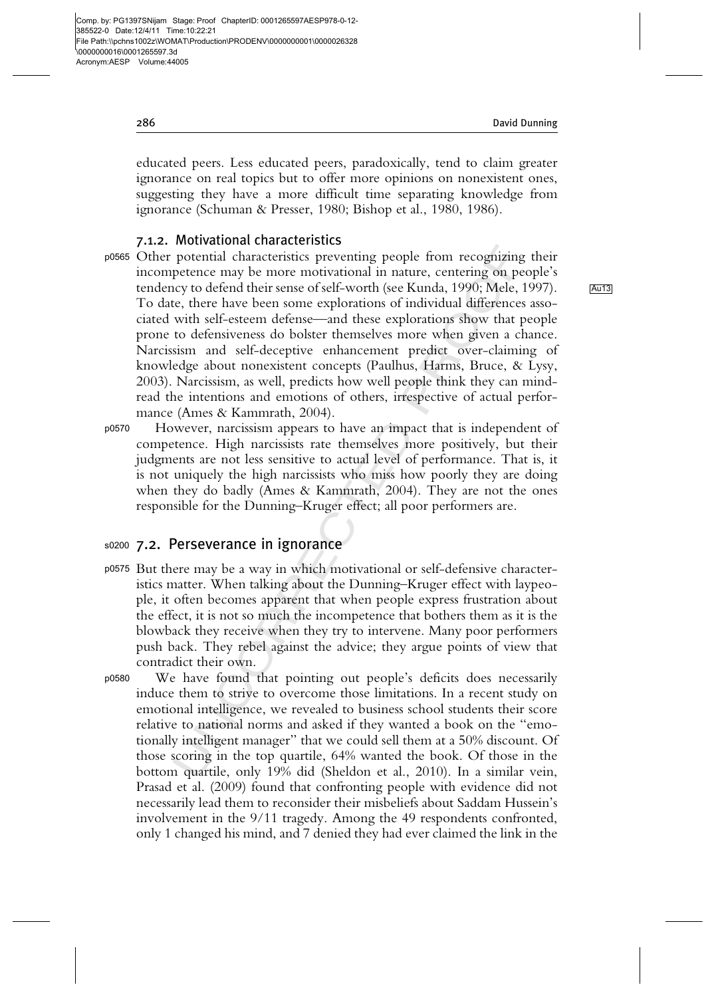educated peers. Less educated peers, paradoxically, tend to claim greater ignorance on real topics but to offer more opinions on nonexistent ones, suggesting they have a more difficult time separating knowledge from ignorance (Schuman & Presser, 1980; Bishop et al., 1980, 1986).

### 7.1.2. Motivational characteristics

Comp. by: PG1397SNijam Stage: Proof ChapterID: 0001265597AESP978-0-12-

File Path:\\pchns1002z\WOMAT\Production\PRODENV\0000000001\0000026328

- pple from recognizing<br>ature, centering on pe<br>e Kunda, 1990; Mele,<br>f individual differences<br>plorations show that p<br>more when given a cl<br>predict over-claimi<br>us, Harms, Bruce, &<br>eople think they can<br>respective of actual p p0565 Other potential characteristics preventing people from recognizing their incompetence may be more motivational in nature, centering on people's tendency to defend their sense of self-worth (see Kunda, 1990; Mele, 1997).  $\overline{A\omega13}$ To date, there have been some explorations of individual differences associated with self-esteem defense—and these explorations show that people prone to defensiveness do bolster themselves more when given a chance. Narcissism and self-deceptive enhancement predict over-claiming of knowledge about nonexistent concepts (Paulhus, Harms, Bruce, & Lysy, 2003). Narcissism, as well, predicts how well people think they can mindread the intentions and emotions of others, irrespective of actual performance (Ames & Kammrath, 2004).
- p0570 However, narcissism appears to have an impact that is independent of competence. High narcissists rate themselves more positively, but their judgments are not less sensitive to actual level of performance. That is, it is not uniquely the high narcissists who miss how poorly they are doing when they do badly (Ames & Kammrath, 2004). They are not the ones responsible for the Dunning–Kruger effect; all poor performers are.

# s0200 7.2. Perseverance in ignorance

- p0575 But there may be a way in which motivational or self-defensive characteristics matter. When talking about the Dunning–Kruger effect with laypeople, it often becomes apparent that when people express frustration about the effect, it is not so much the incompetence that bothers them as it is the blowback they receive when they try to intervene. Many poor performers push back. They rebel against the advice; they argue points of view that contradict their own.
- wever, narcissism appears to have an impatence. High narcissists rate themselves ments are not less sensitive to actual level of uniquely the high narcissists who miss ho they do badly (Ames & Kammrath, 2004 sible for the p0580 We have found that pointing out people's deficits does necessarily induce them to strive to overcome those limitations. In a recent study on emotional intelligence, we revealed to business school students their score relative to national norms and asked if they wanted a book on the "emotionally intelligent manager" that we could sell them at a 50% discount. Of those scoring in the top quartile, 64% wanted the book. Of those in the bottom quartile, only 19% did (Sheldon et al., 2010). In a similar vein, Prasad et al. (2009) found that confronting people with evidence did not necessarily lead them to reconsider their misbeliefs about Saddam Hussein's involvement in the 9/11 tragedy. Among the 49 respondents confronted, only 1 changed his mind, and 7 denied they had ever claimed the link in the

385522-0 Date:12/4/11 Time:10:22:21

\0000000016\0001265597.3d Acronym:AESP Volume:44005

### 286 **David Dunning** 286 **David Dunning** 286 **David Dunning** 286 **David Dunning** 286 **David Dunning**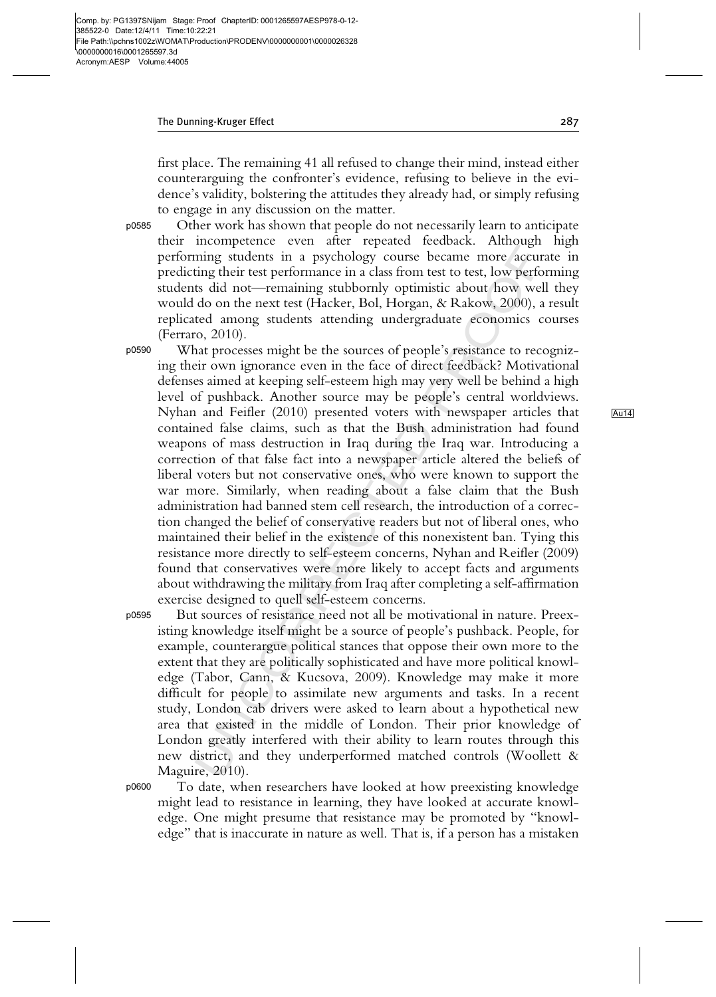first place. The remaining 41 all refused to change their mind, instead either counterarguing the confronter's evidence, refusing to believe in the evidence's validity, bolstering the attitudes they already had, or simply refusing to engage in any discussion on the matter.

became more accurated<br>test to test, low performistic about how well<br>n, & Rakow, 2000), a<br>raduate economics c<br>pple's resistance to recorrect feedback? Motives<br>y very well be behind<br>eople's central world p0585 Other work has shown that people do not necessarily learn to anticipate their incompetence even after repeated feedback. Although high performing students in a psychology course became more accurate in predicting their test performance in a class from test to test, low performing students did not—remaining stubbornly optimistic about how well they would do on the next test (Hacker, Bol, Horgan, & Rakow, 2000), a result replicated among students attending undergraduate economics courses (Ferraro, 2010).

ned false claims, such as that the Bush a<br>ms of mass destruction in Iraq during the<br>tion of that false fact into a newspaper art<br>voters but not conservative ones, who we<br>nore. Similarly, when reading about a fa<br>istration h p0590 What processes might be the sources of people's resistance to recognizing their own ignorance even in the face of direct feedback? Motivational defenses aimed at keeping self-esteem high may very well be behind a high level of pushback. Another source may be people's central worldviews. Nyhan and Feifler (2010) presented voters with newspaper articles that  $\overline{Au14}$ contained false claims, such as that the Bush administration had found weapons of mass destruction in Iraq during the Iraq war. Introducing a correction of that false fact into a newspaper article altered the beliefs of liberal voters but not conservative ones, who were known to support the war more. Similarly, when reading about a false claim that the Bush administration had banned stem cell research, the introduction of a correction changed the belief of conservative readers but not of liberal ones, who maintained their belief in the existence of this nonexistent ban. Tying this resistance more directly to self-esteem concerns, Nyhan and Reifler (2009) found that conservatives were more likely to accept facts and arguments about withdrawing the military from Iraq after completing a self-affirmation exercise designed to quell self-esteem concerns.

p0595 But sources of resistance need not all be motivational in nature. Preexisting knowledge itself might be a source of people's pushback. People, for example, counterargue political stances that oppose their own more to the extent that they are politically sophisticated and have more political knowledge (Tabor, Cann, & Kucsova, 2009). Knowledge may make it more difficult for people to assimilate new arguments and tasks. In a recent study, London cab drivers were asked to learn about a hypothetical new area that existed in the middle of London. Their prior knowledge of London greatly interfered with their ability to learn routes through this new district, and they underperformed matched controls (Woollett & Maguire, 2010).

p0600 To date, when researchers have looked at how preexisting knowledge might lead to resistance in learning, they have looked at accurate knowledge. One might presume that resistance may be promoted by "knowledge" that is inaccurate in nature as well. That is, if a person has a mistaken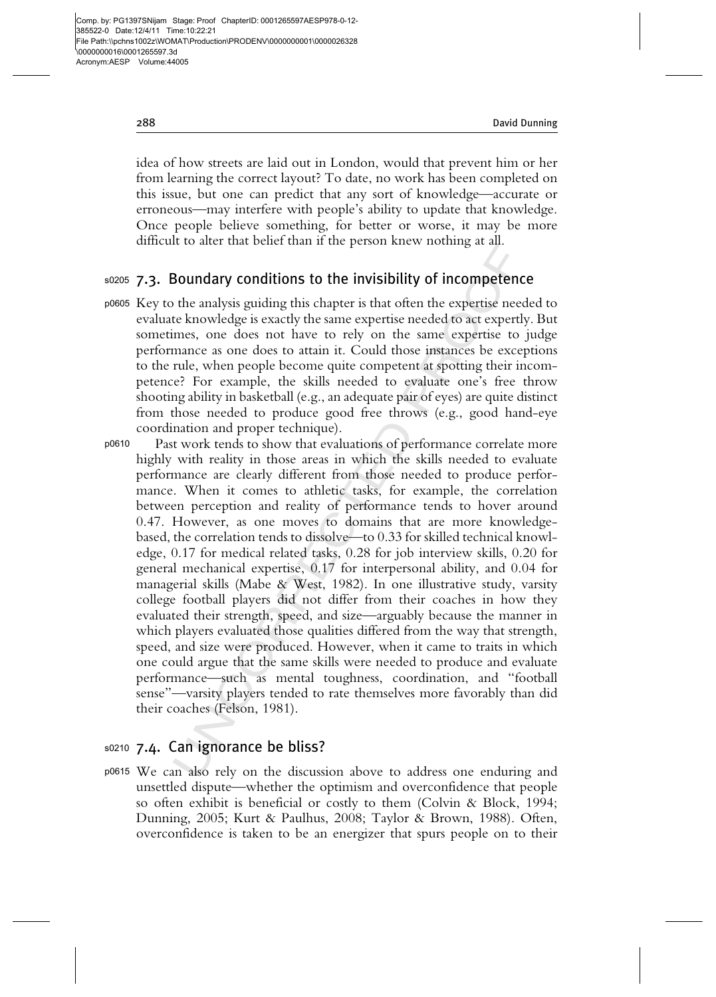idea of how streets are laid out in London, would that prevent him or her from learning the correct layout? To date, no work has been completed on this issue, but one can predict that any sort of knowledge—accurate or erroneous—may interfere with people's ability to update that knowledge. Once people believe something, for better or worse, it may be more difficult to alter that belief than if the person knew nothing at all.

# s0205 7.3. Boundary conditions to the invisibility of incompetence

- lity of incompetend<br>frem the expertise nee<br>e needed to act expertly<br>ne same expertise to<br>nose instances be exce<br>tent at spotting their in<br>evaluate one's free<br>pair of eyes) are quite d<br>rows (e g = good har p0605 Key to the analysis guiding this chapter is that often the expertise needed to evaluate knowledge is exactly the same expertise needed to act expertly. But sometimes, one does not have to rely on the same expertise to judge performance as one does to attain it. Could those instances be exceptions to the rule, when people become quite competent at spotting their incompetence? For example, the skills needed to evaluate one's free throw shooting ability in basketball (e.g., an adequate pair of eyes) are quite distinct from those needed to produce good free throws (e.g., good hand-eye coordination and proper technique).
- nation and proper technique).<br>
t work tends to show that evaluations of pe<br>
with reality in those areas in which the<br>
mance are clearly different from those ne<br>
. When it comes to athletic tasks, for<br>
en perception and rea p0610 Past work tends to show that evaluations of performance correlate more highly with reality in those areas in which the skills needed to evaluate performance are clearly different from those needed to produce performance. When it comes to athletic tasks, for example, the correlation between perception and reality of performance tends to hover around 0.47. However, as one moves to domains that are more knowledgebased, the correlation tends to dissolve—to 0.33 for skilled technical knowledge, 0.17 for medical related tasks, 0.28 for job interview skills, 0.20 for general mechanical expertise, 0.17 for interpersonal ability, and 0.04 for managerial skills (Mabe & West, 1982). In one illustrative study, varsity college football players did not differ from their coaches in how they evaluated their strength, speed, and size—arguably because the manner in which players evaluated those qualities differed from the way that strength, speed, and size were produced. However, when it came to traits in which one could argue that the same skills were needed to produce and evaluate performance—such as mental toughness, coordination, and "football sense"—varsity players tended to rate themselves more favorably than did their coaches (Felson, 1981).

### s0210 7.4. Can ignorance be bliss?

p0615 We can also rely on the discussion above to address one enduring and unsettled dispute—whether the optimism and overconfidence that people so often exhibit is beneficial or costly to them (Colvin & Block, 1994; Dunning, 2005; Kurt & Paulhus, 2008; Taylor & Brown, 1988). Often, overconfidence is taken to be an energizer that spurs people on to their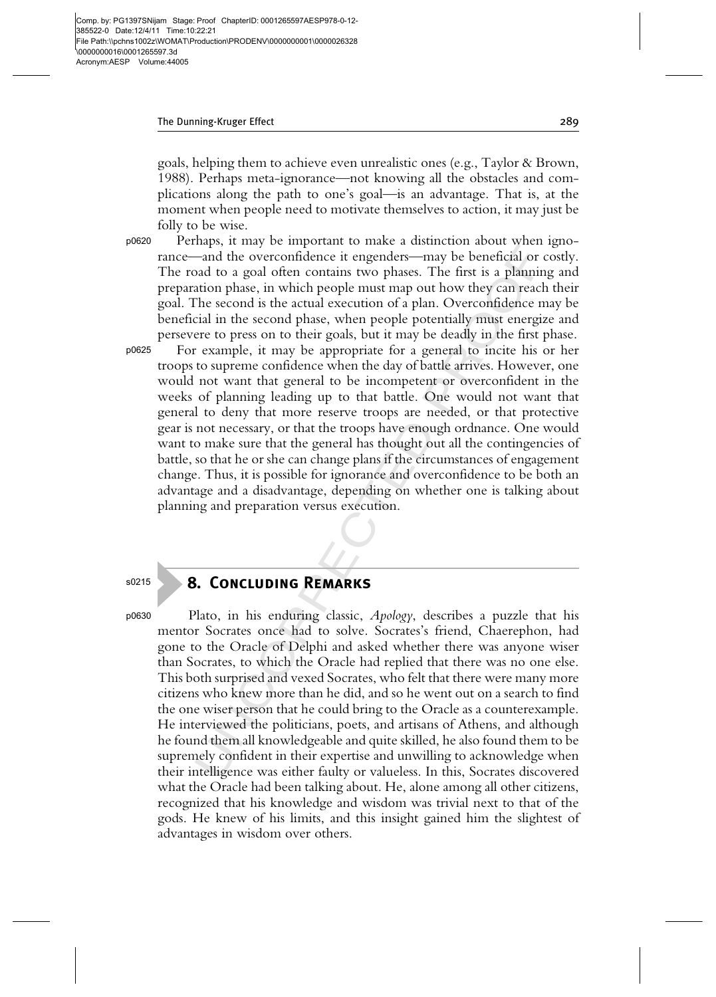goals, helping them to achieve even unrealistic ones (e.g., Taylor & Brown, 1988). Perhaps meta-ignorance—not knowing all the obstacles and complications along the path to one's goal—is an advantage. That is, at the moment when people need to motivate themselves to action, it may just be folly to be wise.

may be beneficial or<br>The first is a plannir<br>nut how they can reacl<br>an. Overconfidence n<br>otentially must energia<br>be deadly in the first<br>general to incite his<br>battle arrives. Howeve<br>ent or overconfident<br>One would not war<br>nee p0620 Perhaps, it may be important to make a distinction about when ignorance—and the overconfidence it engenders—may be beneficial or costly. The road to a goal often contains two phases. The first is a planning and preparation phase, in which people must map out how they can reach their goal. The second is the actual execution of a plan. Overconfidence may be beneficial in the second phase, when people potentially must energize and persevere to press on to their goals, but it may be deadly in the first phase.

p0625 For example, it may be appropriate for a general to incite his or her troops to supreme confidence when the day of battle arrives. However, one would not want that general to be incompetent or overconfident in the weeks of planning leading up to that battle. One would not want that general to deny that more reserve troops are needed, or that protective gear is not necessary, or that the troops have enough ordnance. One would want to make sure that the general has thought out all the contingencies of battle, so that he or she can change plans if the circumstances of engagement change. Thus, it is possible for ignorance and overconfidence to be both an advantage and a disadvantage, depending on whether one is talking about planning and preparation versus execution.

# s0215 8. CONCLUDING REMARKS

not necessary, or that the troops have enous<br>o make sure that the general has thought of<br>so that he or she can change plans if the circ<br>e. Thus, it is possible for ignorance and ove-<br>age and a disadvantage, depending on wh p0630 Plato, in his enduring classic, Apology, describes a puzzle that his mentor Socrates once had to solve. Socrates's friend, Chaerephon, had gone to the Oracle of Delphi and asked whether there was anyone wiser than Socrates, to which the Oracle had replied that there was no one else. This both surprised and vexed Socrates, who felt that there were many more citizens who knew more than he did, and so he went out on a search to find the one wiser person that he could bring to the Oracle as a counterexample. He interviewed the politicians, poets, and artisans of Athens, and although he found them all knowledgeable and quite skilled, he also found them to be supremely confident in their expertise and unwilling to acknowledge when their intelligence was either faulty or valueless. In this, Socrates discovered what the Oracle had been talking about. He, alone among all other citizens, recognized that his knowledge and wisdom was trivial next to that of the gods. He knew of his limits, and this insight gained him the slightest of advantages in wisdom over others.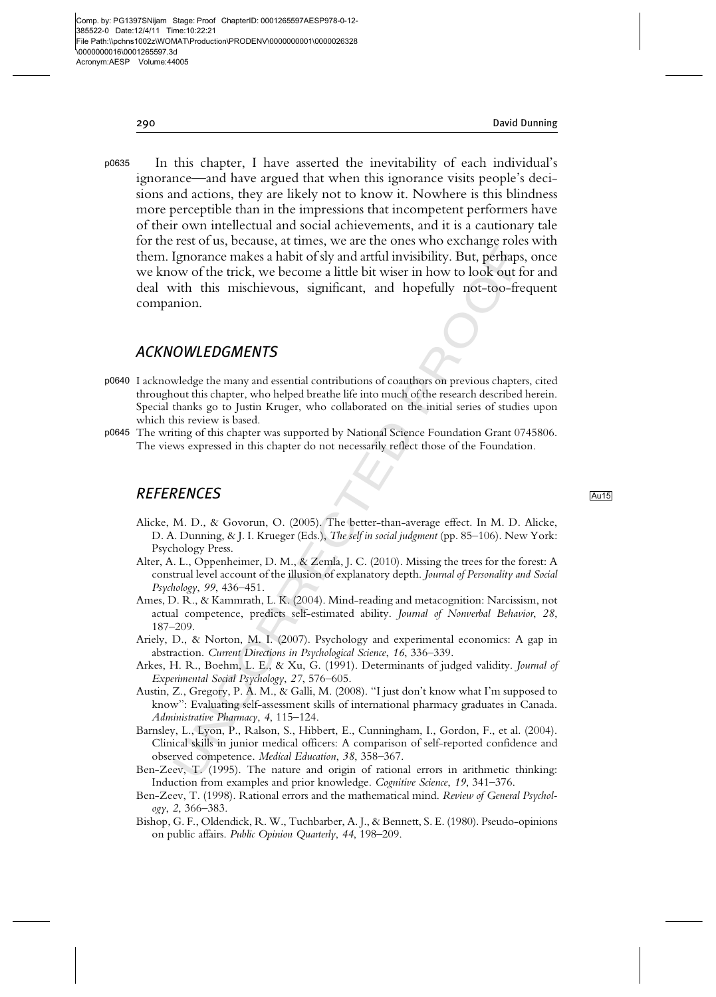290 David Dunning

interior control of the period of the period of the period of the period of the period of the search described the initial series of studies p0635 In this chapter, I have asserted the inevitability of each individual's ignorance—and have argued that when this ignorance visits people's decisions and actions, they are likely not to know it. Nowhere is this blindness more perceptible than in the impressions that incompetent performers have of their own intellectual and social achievements, and it is a cautionary tale for the rest of us, because, at times, we are the ones who exchange roles with them. Ignorance makes a habit of sly and artful invisibility. But, perhaps, once we know of the trick, we become a little bit wiser in how to look out for and deal with this mischievous, significant, and hopefully not-too-frequent companion.

# **ACKNOWLEDGMENTS**

- p0640 I acknowledge the many and essential contributions of coauthors on previous chapters, cited throughout this chapter, who helped breathe life into much of the research described herein. Special thanks go to Justin Kruger, who collaborated on the initial series of studies upon which this review is based.
- p0645 The writing of this chapter was supported by National Science Foundation Grant 0745806. The views expressed in this chapter do not necessarily reflect those of the Foundation.

# REFERENCES Au15

- nis review is based.<br>
ting of this chapter was supported by National Sciencity reflect<br>
ws expressed in this chapter do not necessarily reflect<br>
M. D., & Govorun, O. (2005). The better-than-av.<br>
Dunning, & J. I. Krueger (E Alicke, M. D., & Govorun, O. (2005). The better-than-average effect. In M. D. Alicke, D. A. Dunning, & J. I. Krueger (Eds.), The self in social judgment (pp. 85–106). New York: Psychology Press.
- Alter, A. L., Oppenheimer, D. M., & Zemla, J. C. (2010). Missing the trees for the forest: A construal level account of the illusion of explanatory depth. Journal of Personality and Social Psychology, 99, 436–451.
- Ames, D. R., & Kammrath, L. K. (2004). Mind-reading and metacognition: Narcissism, not actual competence, predicts self-estimated ability. Journal of Nonverbal Behavior, 28, 187–209.
- Ariely, D., & Norton, M. I. (2007). Psychology and experimental economics: A gap in abstraction. Current Directions in Psychological Science, 16, 336–339.
- Arkes, H. R., Boehm, L. E., & Xu, G. (1991). Determinants of judged validity. Journal of Experimental Social Psychology, 27, 576–605.
- Austin, Z., Gregory, P. A. M., & Galli, M. (2008). "I just don't know what I'm supposed to know": Evaluating self-assessment skills of international pharmacy graduates in Canada. Administrative Pharmacy, 4, 115–124.
- Barnsley, L., Lyon, P., Ralson, S., Hibbert, E., Cunningham, I., Gordon, F., et al. (2004). Clinical skills in junior medical officers: A comparison of self-reported confidence and observed competence. Medical Education, 38, 358–367.
- Ben-Zeev, T. (1995). The nature and origin of rational errors in arithmetic thinking: Induction from examples and prior knowledge. Cognitive Science, 19, 341–376.
- Ben-Zeev, T. (1998). Rational errors and the mathematical mind. Review of General Psychology, 2, 366–383.
- Bishop, G. F., Oldendick, R. W., Tuchbarber, A. J., & Bennett, S. E. (1980). Pseudo-opinions on public affairs. Public Opinion Quarterly, 44, 198–209.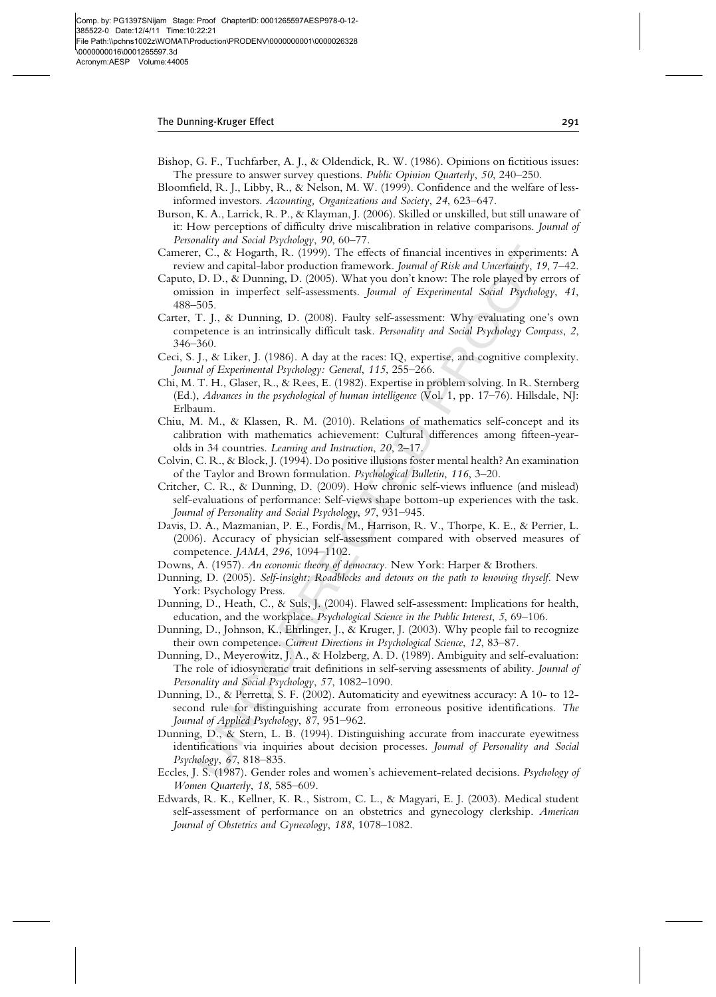- Bishop, G. F., Tuchfarber, A. J., & Oldendick, R. W. (1986). Opinions on fictitious issues: The pressure to answer survey questions. Public Opinion Quarterly, 50, 240–250.
- Bloomfield, R. J., Libby, R., & Nelson, M. W. (1999). Confidence and the welfare of lessinformed investors. Accounting, Organizations and Society, 24, 623–647.
- Burson, K. A., Larrick, R. P., & Klayman, J. (2006). Skilled or unskilled, but still unaware of it: How perceptions of difficulty drive miscalibration in relative comparisons. Journal of Personality and Social Psychology, 90, 60-77.
- Camerer, C., & Hogarth, R. (1999). The effects of financial incentives in experiments: A review and capital-labor production framework. Journal of Risk and Uncertainty, 19, 7–42.
- Caputo, D. D., & Dunning, D. (2005). What you don't know: The role played by errors of omission in imperfect self-assessments. Journal of Experimental Social Psychology, 41, 488–505.
- ncial incentives in experim<br>al of Risk and Uncertainty, 1:<br>now: The role played by experimental Social Psycholo<br>nent: Why evaluating one<br>nent: Why evaluating one<br>pertise, and cognitive com<br>pertise, and cognitive com<br>66.<br>pr Carter, T. J., & Dunning, D. (2008). Faulty self-assessment: Why evaluating one's own competence is an intrinsically difficult task. Personality and Social Psychology Compass, 2, 346–360.
- Ceci, S. J., & Liker, J. (1986). A day at the races: IQ, expertise, and cognitive complexity. Journal of Experimental Psychology: General, 115, 255–266.
- Chi, M. T. H., Glaser, R., & Rees, E. (1982). Expertise in problem solving. In R. Sternberg (Ed.), Advances in the psychological of human intelligence (Vol. 1, pp. 17–76). Hillsdale, NJ: Erlbaum.
- Chiu, M. M., & Klassen, R. M. (2010). Relations of mathematics self-concept and its calibration with mathematics achievement: Cultural differences among fifteen-yearolds in 34 countries. Learning and Instruction, 20, 2–17.
- Colvin, C. R., & Block, J. (1994). Do positive illusions foster mental health? An examination of the Taylor and Brown formulation. Psychological Bulletin, 116, 3–20.
- Critcher, C. R., & Dunning, D. (2009). How chronic self-views influence (and mislead) self-evaluations of performance: Self-views shape bottom-up experiences with the task. Journal of Personality and Social Psychology, 97, 931–945.
- Davis, D. A., Mazmanian, P. E., Fordis, M., Harrison, R. V., Thorpe, K. E., & Perrier, L. (2006). Accuracy of physician self-assessment compared with observed measures of competence. JAMA, 296, 1094–1102.
- Downs, A. (1957). An economic theory of democracy. New York: Harper & Brothers.
- Dunning, D. (2005). Self-insight: Roadblocks and detours on the path to knowing thyself. New York: Psychology Press.
- Dunning, D., Heath, C., & Suls, J. (2004). Flawed self-assessment: Implications for health, education, and the workplace. Psychological Science in the Public Interest, 5, 69-106.
- Dunning, D., Johnson, K., Ehrlinger, J., & Kruger, J. (2003). Why people fail to recognize their own competence. Current Directions in Psychological Science, 12, 83-87.
- Dunning, D., Meyerowitz, J. A., & Holzberg, A. D. (1989). Ambiguity and self-evaluation: The role of idiosyncratic trait definitions in self-serving assessments of ability. Journal of Personality and Social Psychology, 57, 1082-1090.
- A. M., & Klassen, R. M. (2010). Relations of mation with mathematics achievement: Cultural d<br>in 34 countries. *Learning and Instruction*, 20, 2–17.<br>C. R., & Block, J. (1994). Do positive illusions foster<br>e Taylor and Brown Dunning, D., & Perretta, S. F. (2002). Automaticity and eyewitness accuracy: A 10- to 12 second rule for distinguishing accurate from erroneous positive identifications. The Journal of Applied Psychology, 87, 951–962.
- Dunning, D., & Stern, L. B. (1994). Distinguishing accurate from inaccurate eyewitness identifications via inquiries about decision processes. Journal of Personality and Social Psychology, 67, 818–835.
- Eccles, J. S. (1987). Gender roles and women's achievement-related decisions. Psychology of Women Quarterly, 18, 585–609.
- Edwards, R. K., Kellner, K. R., Sistrom, C. L., & Magyari, E. J. (2003). Medical student self-assessment of performance on an obstetrics and gynecology clerkship. American Journal of Obstetrics and Gynecology, 188, 1078–1082.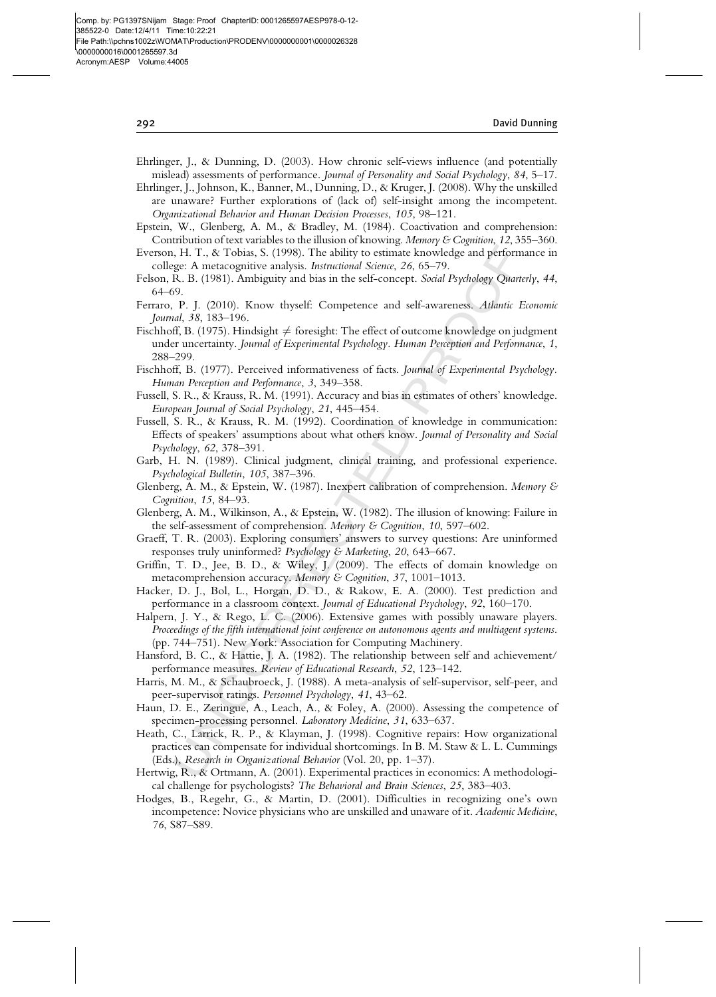- Ehrlinger, J., & Dunning, D. (2003). How chronic self-views influence (and potentially mislead) assessments of performance. Journal of Personality and Social Psychology, 84, 5–17.
- Ehrlinger, J., Johnson, K., Banner, M., Dunning, D., & Kruger, J. (2008). Why the unskilled are unaware? Further explorations of (lack of) self-insight among the incompetent. Organizational Behavior and Human Decision Processes, 105, 98–121.
- Epstein, W., Glenberg, A. M., & Bradley, M. (1984). Coactivation and comprehension: Contribution of text variables to the illusion of knowing. Memory & Cognition, 12, 355–360.
- Everson, H. T., & Tobias, S. (1998). The ability to estimate knowledge and performance in college: A metacognitive analysis. Instructional Science, 26, 65–79.
- Felson, R. B. (1981). Ambiguity and bias in the self-concept. Social Psychology Quarterly, 44, 64–69.
- Ferraro, P. J. (2010). Know thyself: Competence and self-awareness. Atlantic Economic Journal, 38, 183–196.
- The knowledge and perform<br>26, 65–79.<br>ept. *Social Psychology Quart.*<br>self-awareness. *Atlantic I*<br>outcome knowledge on ju<br>Juman Perception and Perform<br>Journal of Experimental Ps<sub>)</sub><br>in estimates of others' kno Fischhoff, B. (1975). Hindsight  $\neq$  foresight: The effect of outcome knowledge on judgment under uncertainty. Journal of Experimental Psychology. Human Perception and Performance, 1, 288–299.
- Fischhoff, B. (1977). Perceived informativeness of facts. Journal of Experimental Psychology. Human Perception and Performance, 3, 349–358.
- Fussell, S. R., & Krauss, R. M. (1991). Accuracy and bias in estimates of others' knowledge. European Journal of Social Psychology, 21, 445–454.
- Fussell, S. R., & Krauss, R. M. (1992). Coordination of knowledge in communication: Effects of speakers' assumptions about what others know. Journal of Personality and Social Psychology, 62, 378–391.
- Garb, H. N. (1989). Clinical judgment, clinical training, and professional experience. Psychological Bulletin, 105, 387–396.
- Glenberg, A. M., & Epstein, W. (1987). Inexpert calibration of comprehension. Memory & Cognition, 15, 84–93.
- Glenberg, A. M., Wilkinson, A., & Epstein, W. (1982). The illusion of knowing: Failure in the self-assessment of comprehension. Memory & Cognition, 10, 597–602.
- Graeff, T. R. (2003). Exploring consumers' answers to survey questions: Are uninformed responses truly uninformed? Psychology & Marketing, 20, 643–667.
- Griffin, T. D., Jee, B. D., & Wiley, J. (2009). The effects of domain knowledge on metacomprehension accuracy. Memory & Cognition, 37, 1001–1013.
- Hacker, D. J., Bol, L., Horgan, D. D., & Rakow, E. A. (2000). Test prediction and performance in a classroom context. Journal of Educational Psychology, 92, 160–170.
- Halpern, J. Y., & Rego, L. C. (2006). Extensive games with possibly unaware players. Proceedings of the fifth international joint conference on autonomous agents and multiagent systems. (pp. 744–751). New York: Association for Computing Machinery.
- Hansford, B. C., & Hattie, J. A. (1982). The relationship between self and achievement/ performance measures. Review of Educational Research, 52, 123–142.
- Harris, M. M., & Schaubroeck, J. (1988). A meta-analysis of self-supervisor, self-peer, and peer-supervisor ratings. Personnel Psychology, 41, 43–62.
- Haun, D. E., Zeringue, A., Leach, A., & Foley, A. (2000). Assessing the competence of specimen-processing personnel. Laboratory Medicine, 31, 633–637.
- S. R., & Krauss, R. M. (1992). Coordination of Its of speakers' assumptions about what others know<br>the sty of greaters' assumptions about what others know<br>i.e., R. (1989). Clinical judgment, clinical training<br>indigital Bul Heath, C., Larrick, R. P., & Klayman, J. (1998). Cognitive repairs: How organizational practices can compensate for individual shortcomings. In B. M. Staw & L. L. Cummings (Eds.), Research in Organizational Behavior (Vol. 20, pp. 1–37).
- Hertwig, R., & Ortmann, A. (2001). Experimental practices in economics: A methodological challenge for psychologists? The Behavioral and Brain Sciences, 25, 383–403.
- Hodges, B., Regehr, G., & Martin, D. (2001). Difficulties in recognizing one's own incompetence: Novice physicians who are unskilled and unaware of it. Academic Medicine, 76, S87–S89.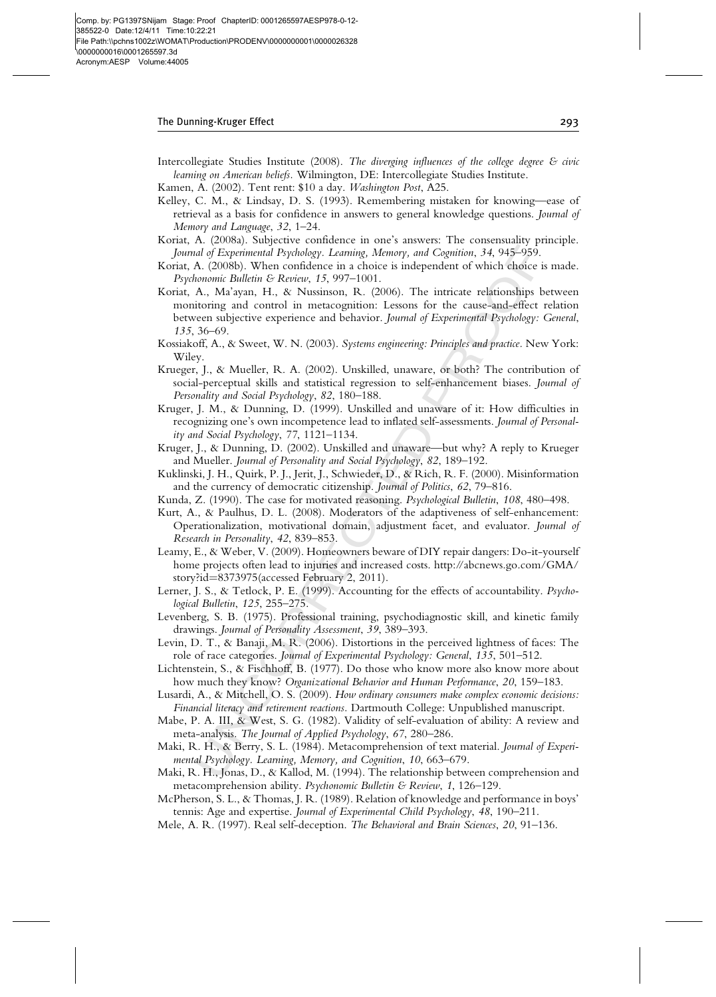- Intercollegiate Studies Institute (2008). The diverging influences of the college degree  $\mathcal E$  civic learning on American beliefs. Wilmington, DE: Intercollegiate Studies Institute.
- Kamen, A. (2002). Tent rent: \$10 a day. Washington Post, A25.
- Kelley, C. M., & Lindsay, D. S. (1993). Remembering mistaken for knowing—ease of retrieval as a basis for confidence in answers to general knowledge questions. Journal of Memory and Language, 32, 1–24.
- Koriat, A. (2008a). Subjective confidence in one's answers: The consensuality principle. Journal of Experimental Psychology. Learning, Memory, and Cognition, 34, 945–959.
- Koriat, A. (2008b). When confidence in a choice is independent of which choice is made. Psychonomic Bulletin & Review, 15, 997–1001.
- *nd Cognition, 34, 945–959.*<br>pendent of which choice i<br>e intricate relationships b<br>for the cause-and-effect<br>of Experimental Psychology:<br>?: Principles and practice. Nev<br>are, or both? The contributelf-enhancement biases. Jou Koriat, A., Ma'ayan, H., & Nussinson, R. (2006). The intricate relationships between monitoring and control in metacognition: Lessons for the cause-and-effect relation between subjective experience and behavior. Journal of Experimental Psychology: General, 135, 36–69.
- Kossiakoff, A., & Sweet, W. N. (2003). Systems engineering: Principles and practice. New York: Wiley.
- Krueger, J., & Mueller, R. A. (2002). Unskilled, unaware, or both? The contribution of social-perceptual skills and statistical regression to self-enhancement biases. Journal of Personality and Social Psychology, 82, 180–188.
- Kruger, J. M., & Dunning, D. (1999). Unskilled and unaware of it: How difficulties in recognizing one's own incompetence lead to inflated self-assessments. Journal of Personality and Social Psychology, 77, 1121–1134.
- Kruger, J., & Dunning, D. (2002). Unskilled and unaware—but why? A reply to Krueger and Mueller. Journal of Personality and Social Psychology, 82, 189–192.
- Kuklinski, J. H., Quirk, P. J., Jerit, J., Schwieder, D., & Rich, R. F. (2000). Misinformation and the currency of democratic citizenship. Journal of Politics, 62, 79–816.
- Kunda, Z. (1990). The case for motivated reasoning. Psychological Bulletin, 108, 480–498.
- gnizing one's own incompetence lead to inflated self<br>*d Social Psychology*, 77, 1121–1134.<br>J., & Dunning, D. (2002). Unskilled and unaware-<br>J., R. Dunning, D. (2002). Unskilled and unaware-<br>J., R. Purming, D. (2002). Unski Kurt, A., & Paulhus, D. L. (2008). Moderators of the adaptiveness of self-enhancement: Operationalization, motivational domain, adjustment facet, and evaluator. Journal of Research in Personality, 42, 839–853.
- Leamy, E., & Weber, V. (2009). Homeowners beware of DIY repair dangers: Do-it-yourself home projects often lead to injuries and increased costs. http://abcnews.go.com/GMA/ story?id=8373975(accessed February 2, 2011).
- Lerner, J. S., & Tetlock, P. E. (1999). Accounting for the effects of accountability. Psychological Bulletin, 125, 255–275.
- Levenberg, S. B. (1975). Professional training, psychodiagnostic skill, and kinetic family drawings. Journal of Personality Assessment, 39, 389–393.
- Levin, D. T., & Banaji, M. R. (2006). Distortions in the perceived lightness of faces: The role of race categories. Journal of Experimental Psychology: General, 135, 501–512.
- Lichtenstein, S., & Fischhoff, B. (1977). Do those who know more also know more about how much they know? Organizational Behavior and Human Performance, 20, 159–183.
- Lusardi, A., & Mitchell, O. S. (2009). How ordinary consumers make complex economic decisions: Financial literacy and retirement reactions. Dartmouth College: Unpublished manuscript.
- Mabe, P. A. III, & West, S. G. (1982). Validity of self-evaluation of ability: A review and meta-analysis. The Journal of Applied Psychology, 67, 280–286.
- Maki, R. H., & Berry, S. L. (1984). Metacomprehension of text material. Journal of Experimental Psychology. Learning, Memory, and Cognition, 10, 663–679.
- Maki, R. H., Jonas, D., & Kallod, M. (1994). The relationship between comprehension and metacomprehension ability. Psychonomic Bulletin & Review, 1, 126–129.
- McPherson, S. L., & Thomas, J. R. (1989). Relation of knowledge and performance in boys' tennis: Age and expertise. Journal of Experimental Child Psychology, 48, 190–211.
- Mele, A. R. (1997). Real self-deception. The Behavioral and Brain Sciences, 20, 91–136.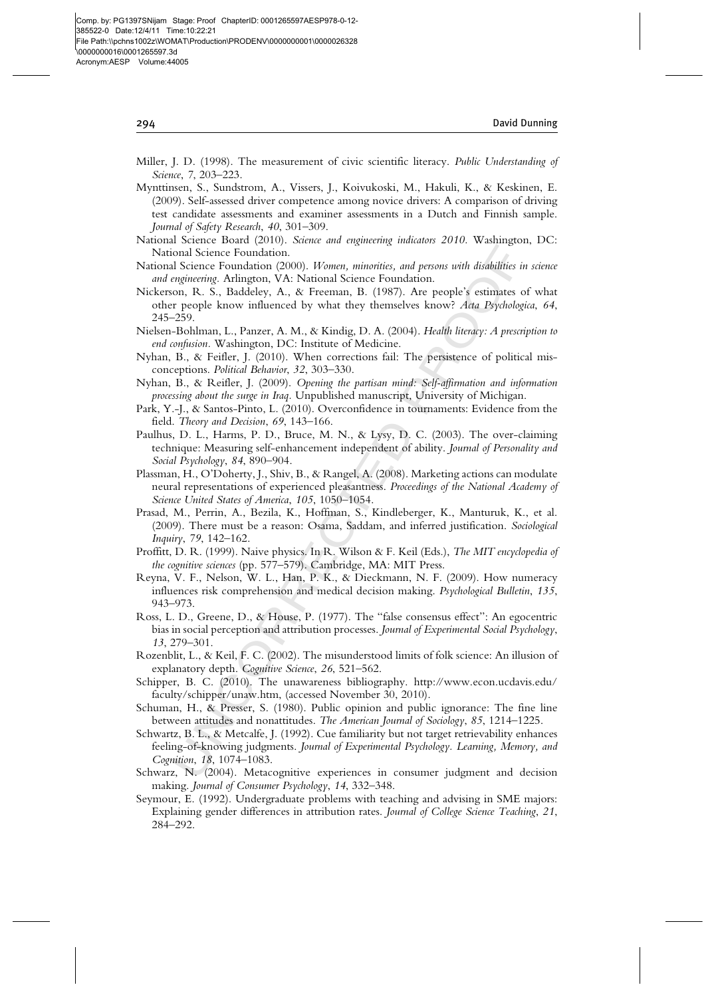- Miller, J. D. (1998). The measurement of civic scientific literacy. Public Understanding of Science, 7, 203–223.
- Mynttinsen, S., Sundstrom, A., Vissers, J., Koivukoski, M., Hakuli, K., & Keskinen, E. (2009). Self-assessed driver competence among novice drivers: A comparison of driving test candidate assessments and examiner assessments in a Dutch and Finnish sample. Journal of Safety Research, 40, 301–309.
- National Science Board (2010). Science and engineering indicators 2010. Washington, DC: National Science Foundation.
- National Science Foundation (2000). Women, minorities, and persons with disabilities in science and engineering. Arlington, VA: National Science Foundation.
- and persons with disabilities in<br>dation.<br>
). Are people's estimates elves know? Acta Psycholog<br>
elves know? Acta Psycholog<br>
104). Health literacy: A prescription<br>
The persistence of politic<br>
ind: Self-affirmation and infq<br> Nickerson, R. S., Baddeley, A., & Freeman, B. (1987). Are people's estimates of what other people know influenced by what they themselves know? Acta Psychologica, 64, 245–259.
- Nielsen-Bohlman, L., Panzer, A. M., & Kindig, D. A. (2004). Health literacy: A prescription to end confusion. Washington, DC: Institute of Medicine.
- Nyhan, B., & Feifler, J. (2010). When corrections fail: The persistence of political misconceptions. Political Behavior, 32, 303–330.
- Nyhan, B., & Reifler, J. (2009). Opening the partisan mind: Self-affirmation and information processing about the surge in Iraq. Unpublished manuscript, University of Michigan.
- Park, Y.-J., & Santos-Pinto, L. (2010). Overconfidence in tournaments: Evidence from the field. Theory and Decision, 69, 143–166.
- Paulhus, D. L., Harms, P. D., Bruce, M. N., & Lysy, D. C. (2003). The over-claiming technique: Measuring self-enhancement independent of ability. Journal of Personality and Social Psychology, 84, 890–904.
- . Theory and Decision, 69, 143–166.<br>
D. L., Harms, P. D., Bruce, M. N., & Lysy, D.<br>
Inique: Measuring self-enhancement independent of<br>
il Psychology, 84, 890–904.<br>
I. H., O'Doherty, J., Shiv, B., & Rangel, A. (2008). I<br>
a Plassman, H., O'Doherty, J., Shiv, B., & Rangel, A. (2008). Marketing actions can modulate neural representations of experienced pleasantness. Proceedings of the National Academy of Science United States of America, 105, 1050-1054.
- Prasad, M., Perrin, A., Bezila, K., Hoffman, S., Kindleberger, K., Manturuk, K., et al. (2009). There must be a reason: Osama, Saddam, and inferred justification. Sociological Inquiry, 79, 142–162.
- Proffitt, D. R. (1999). Naive physics. In R. Wilson & F. Keil (Eds.), The MIT encyclopedia of the cognitive sciences (pp. 577–579). Cambridge, MA: MIT Press.
- Reyna, V. F., Nelson, W. L., Han, P. K., & Dieckmann, N. F. (2009). How numeracy influences risk comprehension and medical decision making. Psychological Bulletin, 135, 943–973.
- Ross, L. D., Greene, D., & House, P. (1977). The "false consensus effect": An egocentric bias in social perception and attribution processes. Journal of Experimental Social Psychology, 13, 279–301.
- Rozenblit, L., & Keil, F. C. (2002). The misunderstood limits of folk science: An illusion of explanatory depth. Cognitive Science, 26, 521-562.
- Schipper, B. C. (2010). The unawareness bibliography. http://www.econ.ucdavis.edu/ faculty/schipper/unaw.htm, (accessed November 30, 2010).
- Schuman, H., & Presser, S. (1980). Public opinion and public ignorance: The fine line between attitudes and nonattitudes. The American Journal of Sociology, 85, 1214–1225.
- Schwartz, B. L., & Metcalfe, J. (1992). Cue familiarity but not target retrievability enhances feeling-of-knowing judgments. Journal of Experimental Psychology. Learning, Memory, and Cognition, 18, 1074–1083.
- Schwarz, N. (2004). Metacognitive experiences in consumer judgment and decision making. Journal of Consumer Psychology, 14, 332–348.
- Seymour, E. (1992). Undergraduate problems with teaching and advising in SME majors: Explaining gender differences in attribution rates. Journal of College Science Teaching, 21, 284–292.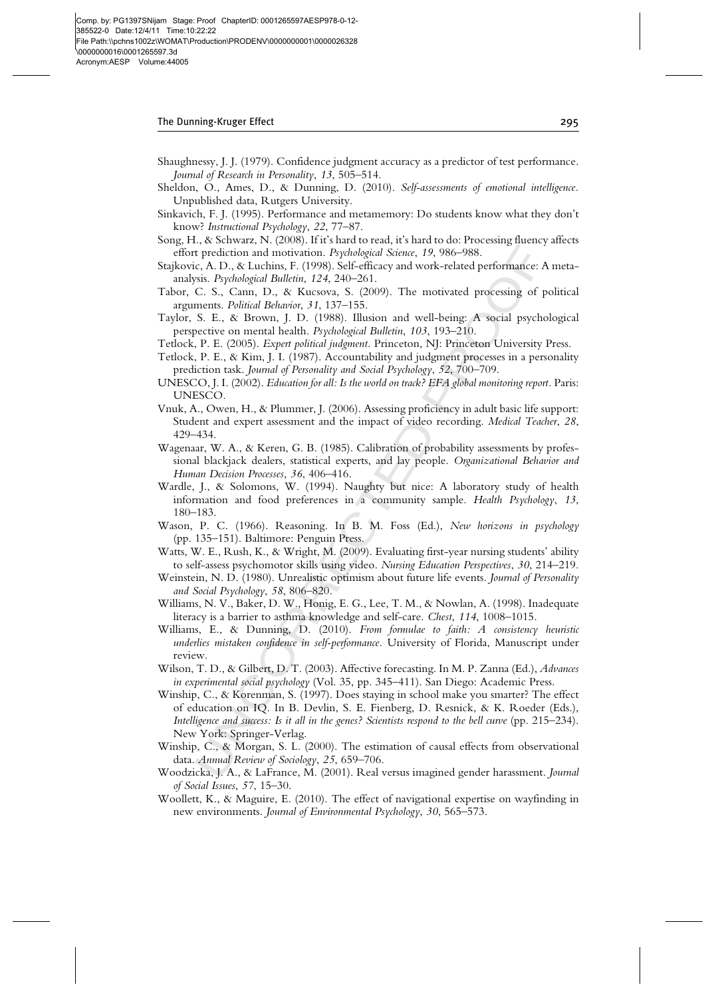- Shaughnessy, J. J. (1979). Confidence judgment accuracy as a predictor of test performance. Journal of Research in Personality, 13, 505–514.
- Sheldon, O., Ames, D., & Dunning, D. (2010). Self-assessments of emotional intelligence. Unpublished data, Rutgers University.
- Sinkavich, F. J. (1995). Performance and metamemory: Do students know what they don't know? Instructional Psychology, 22, 77–87.
- Song, H., & Schwarz, N. (2008). If it's hard to read, it's hard to do: Processing fluency affects effort prediction and motivation. Psychological Science, 19, 986–988.
- Stajkovic, A. D., & Luchins, F. (1998). Self-efficacy and work-related performance: A metaanalysis. Psychological Bulletin, 124, 240–261.
- Tabor, C. S., Cann, D., & Kucsova, S. (2009). The motivated processing of political arguments. Political Behavior, 31, 137–155.
- 19, 986–988.<br>
rork-related performance: *1*<br>
motivated processing of 1<br>
rell-being: A social psych<br>
3, 193–210.<br>
NJ: Princeton University<br>
idgment processes in a per<br>
gy, 52, 700–709.<br>
PEFA global monitoring report<br>
ficien Taylor, S. E., & Brown, J. D. (1988). Illusion and well-being: A social psychological perspective on mental health. Psychological Bulletin, 103, 193–210.
- Tetlock, P. E. (2005). Expert political judgment. Princeton, NJ: Princeton University Press.
- Tetlock, P. E., & Kim, J. I. (1987). Accountability and judgment processes in a personality prediction task. Journal of Personality and Social Psychology, 52, 700–709.
- UNESCO, J. I. (2002). Education for all: Is the world on track? EFA global monitoring report. Paris: UNESCO.
- Vnuk, A., Owen, H., & Plummer, J. (2006). Assessing proficiency in adult basic life support: Student and expert assessment and the impact of video recording. Medical Teacher, 28, 429–434.
- Wagenaar, W. A., & Keren, G. B. (1985). Calibration of probability assessments by professional blackjack dealers, statistical experts, and lay people. Organizational Behavior and Human Decision Processes, 36, 406–416.
- Wardle, J., & Solomons, W. (1994). Naughty but nice: A laboratory study of health information and food preferences in a community sample. Health Psychology, 13, 180–183.
- Wason, P. C. (1966). Reasoning. In B. M. Foss (Ed.), New horizons in psychology (pp. 135–151). Baltimore: Penguin Press.
- Watts, W. E., Rush, K., & Wright, M. (2009). Evaluating first-year nursing students' ability to self-assess psychomotor skills using video. Nursing Education Perspectives, 30, 214–219.
- Weinstein, N. D. (1980). Unrealistic optimism about future life events. Journal of Personality and Social Psychology, 58, 806–820.
- Williams, N. V., Baker, D. W., Honig, E. G., Lee, T. M., & Nowlan, A. (1998). Inadequate literacy is a barrier to asthma knowledge and self-care. Chest, 114, 1008–1015.
- Williams, E., & Dunning, D. (2010). From formulae to faith: A consistency heuristic underlies mistaken confidence in self-performance. University of Florida, Manuscript under review.
- Wilson, T. D., & Gilbert, D. T. (2003). Affective forecasting. In M. P. Zanna (Ed.), Advances in experimental social psychology (Vol. 35, pp. 345–411). San Diego: Academic Press.
- ent and expert assessment and the impact of video<br>434.<br>434.<br>434.<br>434. W. A., & Keren, G. B. (1985). Calibration of pracession Processes, 36, 406–416.<br>J., & Solomons, W. (1994). Naughty but nice:<br>7163.<br>P. C. (1966). Reasoni Winship, C., & Korenman, S. (1997). Does staying in school make you smarter? The effect of education on IQ. In B. Devlin, S. E. Fienberg, D. Resnick, & K. Roeder (Eds.), Intelligence and success: Is it all in the genes? Scientists respond to the bell curve (pp. 215–234). New York: Springer-Verlag.
- Winship, C., & Morgan, S. L. (2000). The estimation of causal effects from observational data. Annual Review of Sociology, 25, 659–706.
- Woodzicka, J. A., & LaFrance, M. (2001). Real versus imagined gender harassment. Journal of Social Issues, 57, 15–30.
- Woollett, K., & Maguire, E. (2010). The effect of navigational expertise on wayfinding in new environments. Journal of Environmental Psychology, 30, 565–573.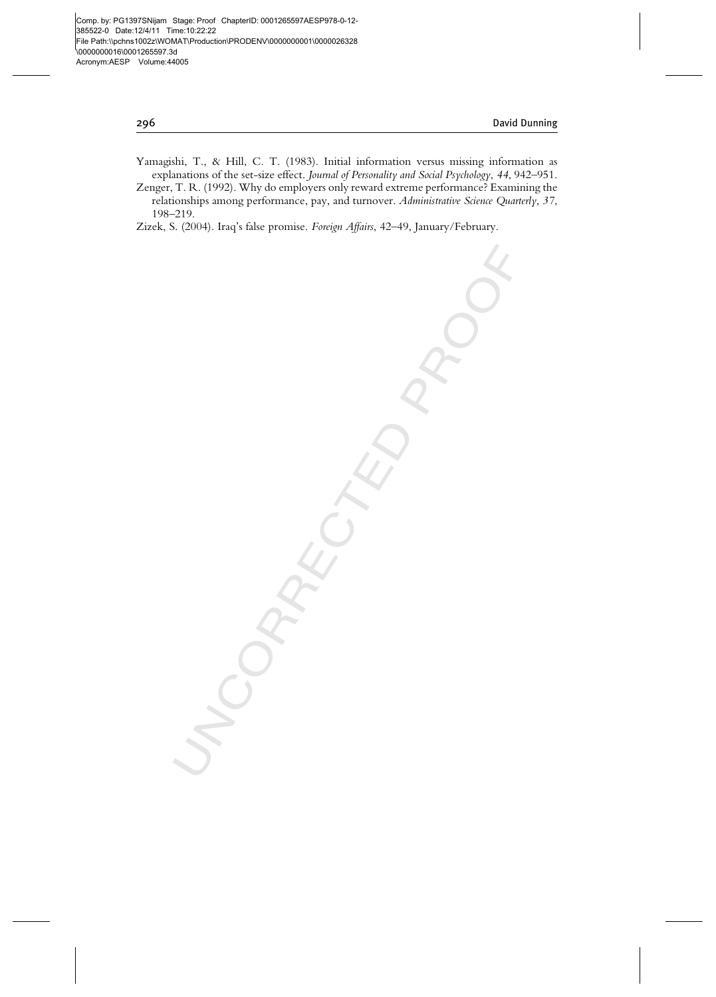- Yamagishi, T., & Hill, C. T. (1983). Initial information versus missing information as explanations of the set-size effect. Journal of Personality and Social Psychology, 44, 942–951.
- Zenger, T. R. (1992). Why do employers only reward extreme performance? Examining the relationships among performance, pay, and turnover. Administrative Science Quarterly, 37, 198–219.
- Zizek, S. (2004). Iraq's false promise. Foreign Affairs, 42–49, January/February.

NCORRECTE PROOF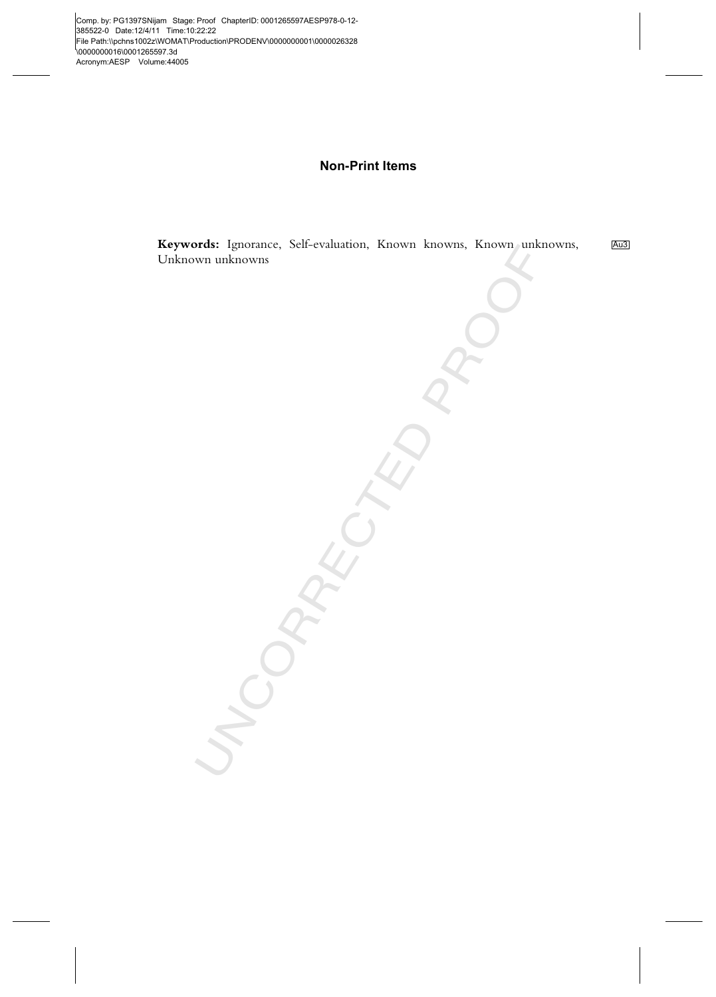# Non-Print Items

UNCORRECTED

**PROPERTY** Keywords: Ignorance, Self-evaluation, Known knowns, Known unknowns, Au3 Unknown unknowns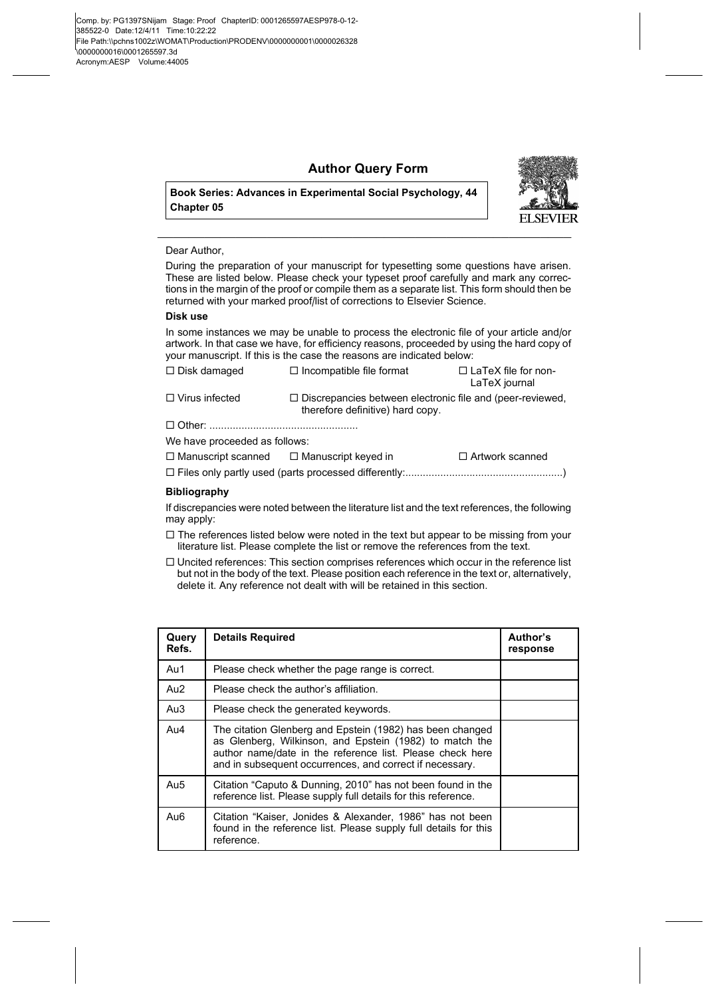# Author Query Form



Book Series: Advances in Experimental Social Psychology, 44 Chapter 05

#### Dear Author,

During the preparation of your manuscript for typesetting some questions have arisen. These are listed below. Please check your typeset proof carefully and mark any corrections in the margin of the proof or compile them as a separate list. This form should then be returned with your marked proof/list of corrections to Elsevier Science.

#### Disk use

In some instances we may be unable to process the electronic file of your article and/or artwork. In that case we have, for efficiency reasons, proceeded by using the hard copy of your manuscript. If this is the case the reasons are indicated below:

| $\Box$ Disk damaged   | $\Box$ Incompatible file format                                                                      | $\Box$ LaTeX file for non- |
|-----------------------|------------------------------------------------------------------------------------------------------|----------------------------|
|                       |                                                                                                      | LaTeX iournal              |
| $\Box$ Virus infected | $\Box$ Discrepancies between electronic file and (peer-reviewed,<br>therefore definitive) hard copy. |                            |

¨ Other: ...................................................

We have proceeded as follows:

 $\square$  Manuscript scanned  $\square$  Manuscript keyed in  $\square$  Artwork scanned

¨ Files only partly used (parts processed differently:......................................................)

#### Bibliography

If discrepancies were noted between the literature list and the text references, the following may apply:

- $\square$  The references listed below were noted in the text but appear to be missing from your literature list. Please complete the list or remove the references from the text.
- $\square$  Uncited references: This section comprises references which occur in the reference list but not in the body of the text. Please position each reference in the text or, alternatively, delete it. Any reference not dealt with will be retained in this section.

| Query<br>Refs.  | <b>Details Required</b>                                                                                                                                                                                                                       | Author's<br>response |
|-----------------|-----------------------------------------------------------------------------------------------------------------------------------------------------------------------------------------------------------------------------------------------|----------------------|
| Au1             | Please check whether the page range is correct.                                                                                                                                                                                               |                      |
| Au <sub>2</sub> | Please check the author's affiliation.                                                                                                                                                                                                        |                      |
| Au3             | Please check the generated keywords.                                                                                                                                                                                                          |                      |
| Au4             | The citation Glenberg and Epstein (1982) has been changed<br>as Glenberg, Wilkinson, and Epstein (1982) to match the<br>author name/date in the reference list. Please check here<br>and in subsequent occurrences, and correct if necessary. |                      |
| Au5             | Citation "Caputo & Dunning, 2010" has not been found in the<br>reference list. Please supply full details for this reference.                                                                                                                 |                      |
| Au6             | Citation "Kaiser, Jonides & Alexander, 1986" has not been<br>found in the reference list. Please supply full details for this<br>reference.                                                                                                   |                      |